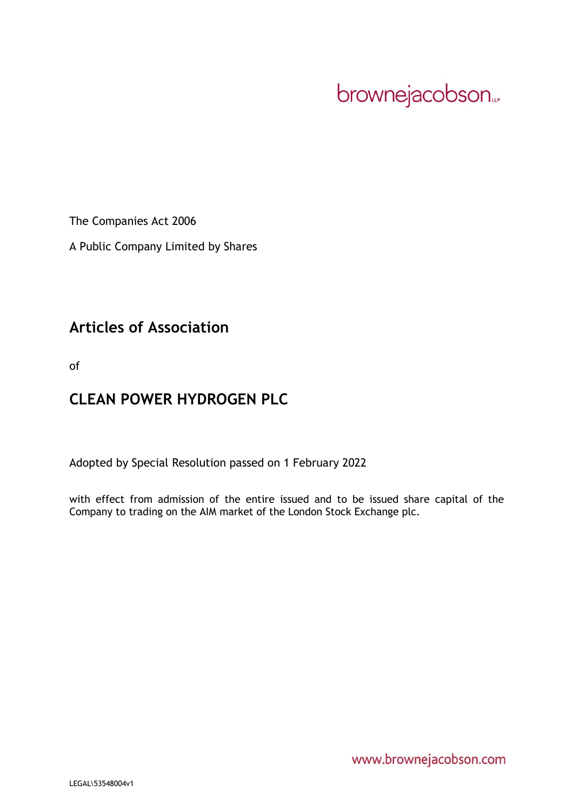brownejacobson...

The Companies Act 2006

A Public Company Limited by Shares

# **Articles of Association**

of

# **CLEAN POWER HYDROGEN PLC**

Adopted by Special Resolution passed on 1 February 2022

with effect from admission of the entire issued and to be issued share capital of the Company to trading on the AIM market of the London Stock Exchange plc.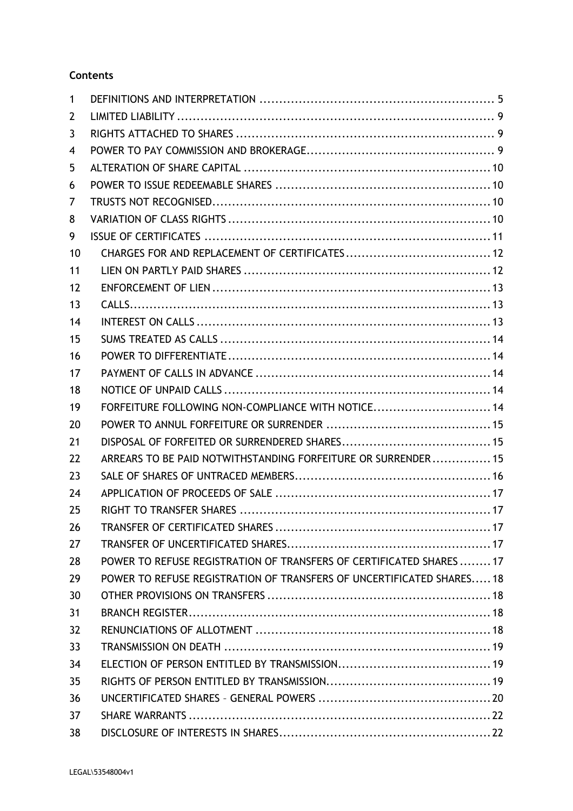# **Contents**

| 1  |                                                                       |
|----|-----------------------------------------------------------------------|
| 2  |                                                                       |
| 3  |                                                                       |
| 4  |                                                                       |
| 5  |                                                                       |
| 6  |                                                                       |
| 7  |                                                                       |
| 8  |                                                                       |
| 9  |                                                                       |
| 10 |                                                                       |
| 11 |                                                                       |
| 12 |                                                                       |
| 13 |                                                                       |
| 14 |                                                                       |
| 15 |                                                                       |
| 16 |                                                                       |
| 17 |                                                                       |
| 18 |                                                                       |
| 19 | FORFEITURE FOLLOWING NON-COMPLIANCE WITH NOTICE 14                    |
| 20 |                                                                       |
| 21 |                                                                       |
| 22 | ARREARS TO BE PAID NOTWITHSTANDING FORFEITURE OR SURRENDER 15         |
| 23 |                                                                       |
| 24 |                                                                       |
| 25 |                                                                       |
| 26 |                                                                       |
| 27 |                                                                       |
| 28 | POWER TO REFUSE REGISTRATION OF TRANSFERS OF CERTIFICATED SHARES  17  |
| 29 | POWER TO REFUSE REGISTRATION OF TRANSFERS OF UNCERTIFICATED SHARES 18 |
| 30 |                                                                       |
| 31 |                                                                       |
| 32 |                                                                       |
| 33 |                                                                       |
| 34 |                                                                       |
| 35 |                                                                       |
| 36 |                                                                       |
| 37 |                                                                       |
| 38 |                                                                       |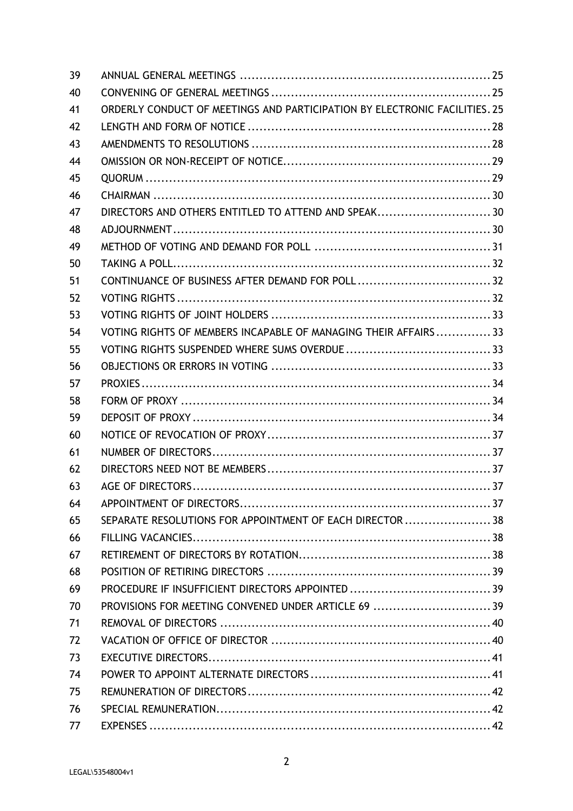| 39 |                                                                            |  |
|----|----------------------------------------------------------------------------|--|
| 40 |                                                                            |  |
| 41 | ORDERLY CONDUCT OF MEETINGS AND PARTICIPATION BY ELECTRONIC FACILITIES. 25 |  |
| 42 |                                                                            |  |
| 43 |                                                                            |  |
| 44 |                                                                            |  |
| 45 |                                                                            |  |
| 46 |                                                                            |  |
| 47 | DIRECTORS AND OTHERS ENTITLED TO ATTEND AND SPEAK30                        |  |
| 48 |                                                                            |  |
| 49 |                                                                            |  |
| 50 |                                                                            |  |
| 51 |                                                                            |  |
| 52 |                                                                            |  |
| 53 |                                                                            |  |
| 54 | VOTING RIGHTS OF MEMBERS INCAPABLE OF MANAGING THEIR AFFAIRS  33           |  |
| 55 |                                                                            |  |
| 56 |                                                                            |  |
| 57 |                                                                            |  |
| 58 |                                                                            |  |
| 59 |                                                                            |  |
| 60 |                                                                            |  |
| 61 |                                                                            |  |
| 62 |                                                                            |  |
| 63 |                                                                            |  |
| 64 |                                                                            |  |
| 65 | SEPARATE RESOLUTIONS FOR APPOINTMENT OF EACH DIRECTOR  38                  |  |
| 66 |                                                                            |  |
| 67 |                                                                            |  |
| 68 |                                                                            |  |
| 69 |                                                                            |  |
| 70 | PROVISIONS FOR MEETING CONVENED UNDER ARTICLE 69  39                       |  |
| 71 |                                                                            |  |
| 72 |                                                                            |  |
| 73 |                                                                            |  |
| 74 |                                                                            |  |
| 75 |                                                                            |  |
| 76 |                                                                            |  |
| 77 |                                                                            |  |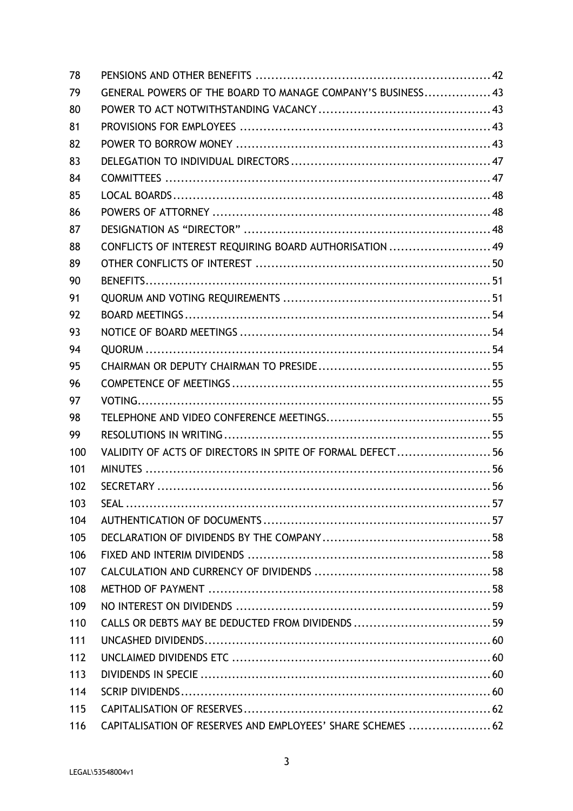| 78  |                                                             |  |
|-----|-------------------------------------------------------------|--|
| 79  | GENERAL POWERS OF THE BOARD TO MANAGE COMPANY'S BUSINESS 43 |  |
| 80  |                                                             |  |
| 81  |                                                             |  |
| 82  |                                                             |  |
| 83  |                                                             |  |
| 84  |                                                             |  |
| 85  |                                                             |  |
| 86  |                                                             |  |
| 87  |                                                             |  |
| 88  | CONFLICTS OF INTEREST REQUIRING BOARD AUTHORISATION  49     |  |
| 89  |                                                             |  |
| 90  |                                                             |  |
| 91  |                                                             |  |
| 92  |                                                             |  |
| 93  |                                                             |  |
| 94  |                                                             |  |
| 95  |                                                             |  |
| 96  |                                                             |  |
| 97  |                                                             |  |
| 98  |                                                             |  |
| 99  |                                                             |  |
| 100 | VALIDITY OF ACTS OF DIRECTORS IN SPITE OF FORMAL DEFECT 56  |  |
| 101 |                                                             |  |
| 102 |                                                             |  |
| 103 |                                                             |  |
| 104 |                                                             |  |
| 105 |                                                             |  |
| 106 |                                                             |  |
| 107 |                                                             |  |
| 108 |                                                             |  |
| 109 |                                                             |  |
| 110 |                                                             |  |
| 111 |                                                             |  |
| 112 |                                                             |  |
| 113 |                                                             |  |
| 114 |                                                             |  |
| 115 |                                                             |  |
| 116 | CAPITALISATION OF RESERVES AND EMPLOYEES' SHARE SCHEMES  62 |  |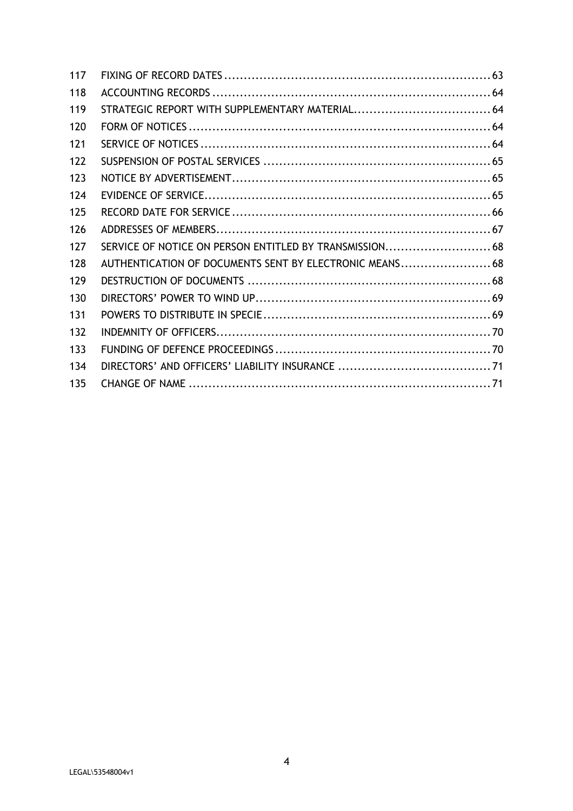| 117 |                                                         |  |
|-----|---------------------------------------------------------|--|
| 118 |                                                         |  |
| 119 |                                                         |  |
| 120 |                                                         |  |
| 121 |                                                         |  |
| 122 |                                                         |  |
| 123 |                                                         |  |
| 124 |                                                         |  |
| 125 |                                                         |  |
| 126 |                                                         |  |
| 127 | SERVICE OF NOTICE ON PERSON ENTITLED BY TRANSMISSION 68 |  |
| 128 | AUTHENTICATION OF DOCUMENTS SENT BY ELECTRONIC MEANS 68 |  |
| 129 |                                                         |  |
| 130 |                                                         |  |
| 131 |                                                         |  |
| 132 |                                                         |  |
| 133 |                                                         |  |
| 134 |                                                         |  |
| 135 |                                                         |  |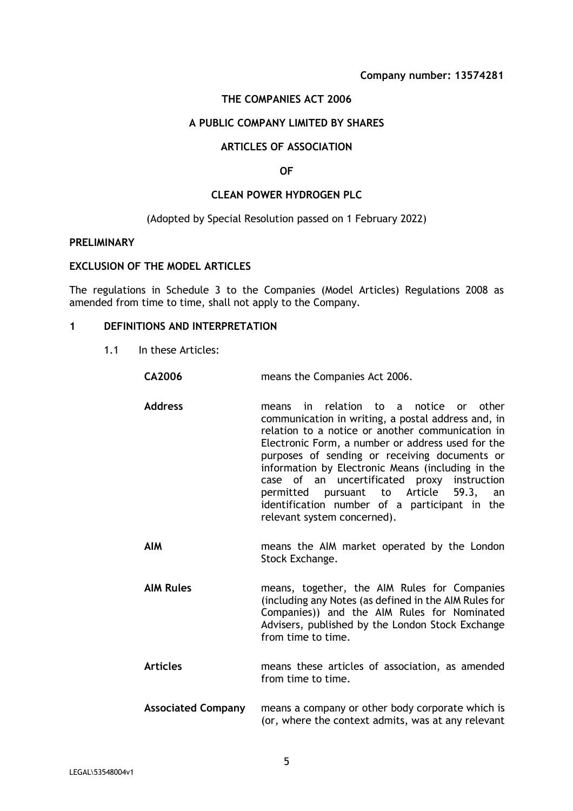# **THE COMPANIES ACT 2006**

# **A PUBLIC COMPANY LIMITED BY SHARES**

#### **ARTICLES OF ASSOCIATION**

#### **OF**

#### **CLEAN POWER HYDROGEN PLC**

#### (Adopted by Special Resolution passed on 1 February 2022)

#### **PRELIMINARY**

#### **EXCLUSION OF THE MODEL ARTICLES**

The regulations in Schedule 3 to the Companies (Model Articles) Regulations 2008 as amended from time to time, shall not apply to the Company.

# **1 DEFINITIONS AND INTERPRETATION**

1.1 In these Articles:

| <b>CA2006</b>      | means the Companies Act 2006.                                                                                                                                                                                                                                                                                                                                                                                                                                                           |
|--------------------|-----------------------------------------------------------------------------------------------------------------------------------------------------------------------------------------------------------------------------------------------------------------------------------------------------------------------------------------------------------------------------------------------------------------------------------------------------------------------------------------|
| <b>Address</b>     | in relation to a notice or other<br>means<br>communication in writing, a postal address and, in<br>relation to a notice or another communication in<br>Electronic Form, a number or address used for the<br>purposes of sending or receiving documents or<br>information by Electronic Means (including in the<br>case of an uncertificated proxy instruction<br>permitted pursuant to Article 59.3, an<br>identification number of a participant in the<br>relevant system concerned). |
| <b>AIM</b>         | means the AIM market operated by the London<br>Stock Exchange.                                                                                                                                                                                                                                                                                                                                                                                                                          |
| <b>AIM Rules</b>   | means, together, the AIM Rules for Companies<br>(including any Notes (as defined in the AIM Rules for<br>Companies)) and the AIM Rules for Nominated<br>Advisers, published by the London Stock Exchange<br>from time to time.                                                                                                                                                                                                                                                          |
| <b>Articles</b>    | means these articles of association, as amended<br>from time to time.                                                                                                                                                                                                                                                                                                                                                                                                                   |
| Associated Company | means a company or other hody corporate which is                                                                                                                                                                                                                                                                                                                                                                                                                                        |

**Associated Company** means a company or other body corporate which is (or, where the context admits, was at any relevant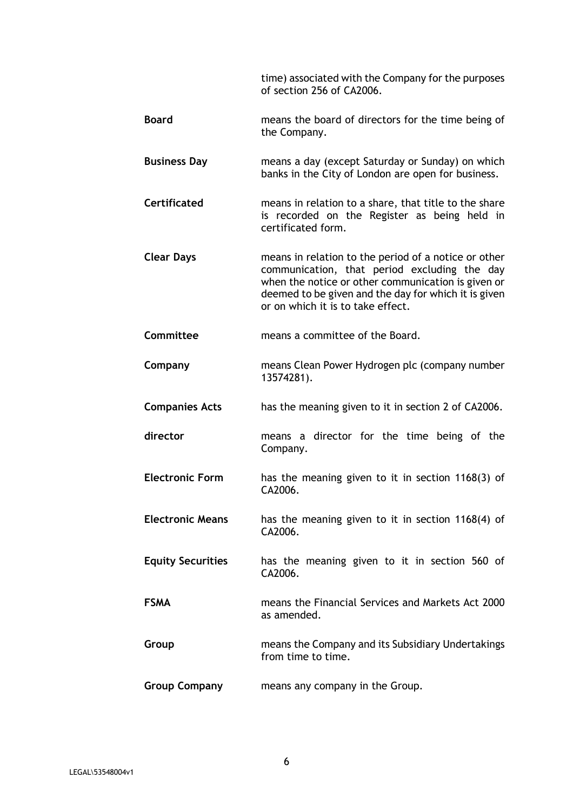time) associated with the Company for the purposes of section 256 of CA2006.

- **Board** means the board of directors for the time being of the Company.
- **Business Day** means a day (except Saturday or Sunday) on which banks in the City of London are open for business.
- **Certificated** means in relation to a share, that title to the share is recorded on the Register as being held in certificated form.
- **Clear Days** means in relation to the period of a notice or other communication, that period excluding the day when the notice or other communication is given or deemed to be given and the day for which it is given or on which it is to take effect.
- **Committee** means a committee of the Board.
- **Company** means Clean Power Hydrogen plc (company number 13574281).
- **Companies Acts** has the meaning given to it in section 2 of CA2006.
- **director** means a director for the time being of the Company.
- **Electronic Form** has the meaning given to it in section 1168(3) of CA2006.
- **Electronic Means** has the meaning given to it in section 1168(4) of CA2006.
- **Equity Securities** has the meaning given to it in section 560 of CA2006.
- **FSMA** means the Financial Services and Markets Act 2000 as amended.
- **Group** means the Company and its Subsidiary Undertakings from time to time.
- **Group Company** means any company in the Group.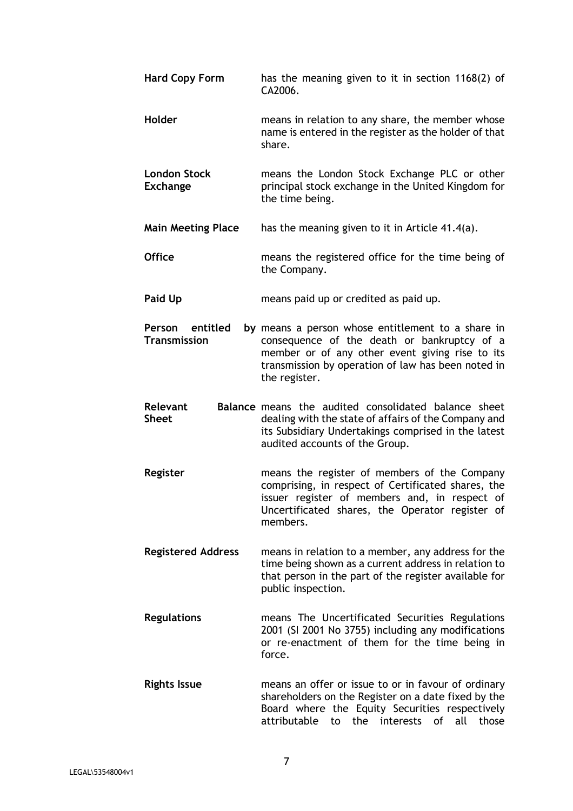| <b>Hard Copy Form</b>                  | has the meaning given to it in section 1168(2) of<br>CA2006.                                                                                                                                                               |
|----------------------------------------|----------------------------------------------------------------------------------------------------------------------------------------------------------------------------------------------------------------------------|
| Holder                                 | means in relation to any share, the member whose<br>name is entered in the register as the holder of that<br>share.                                                                                                        |
| <b>London Stock</b><br><b>Exchange</b> | means the London Stock Exchange PLC or other<br>principal stock exchange in the United Kingdom for<br>the time being.                                                                                                      |
| <b>Main Meeting Place</b>              | has the meaning given to it in Article 41.4(a).                                                                                                                                                                            |
| <b>Office</b>                          | means the registered office for the time being of<br>the Company.                                                                                                                                                          |
| Paid Up                                | means paid up or credited as paid up.                                                                                                                                                                                      |
| Person entitled<br><b>Transmission</b> | by means a person whose entitlement to a share in<br>consequence of the death or bankruptcy of a<br>member or of any other event giving rise to its<br>transmission by operation of law has been noted in<br>the register. |
| Relevant                               | Balance means the audited consolidated balance sheet                                                                                                                                                                       |
| <b>Sheet</b>                           | dealing with the state of affairs of the Company and<br>its Subsidiary Undertakings comprised in the latest<br>audited accounts of the Group.                                                                              |
| Register                               | means the register of members of the Company<br>comprising, in respect of Certificated shares, the<br>issuer register of members and, in respect of<br>Uncertificated shares, the Operator register of<br>members.         |
| <b>Registered Address</b>              | means in relation to a member, any address for the<br>time being shown as a current address in relation to<br>that person in the part of the register available for<br>public inspection.                                  |
| <b>Regulations</b>                     | means The Uncertificated Securities Regulations<br>2001 (SI 2001 No 3755) including any modifications<br>or re-enactment of them for the time being in<br>force.                                                           |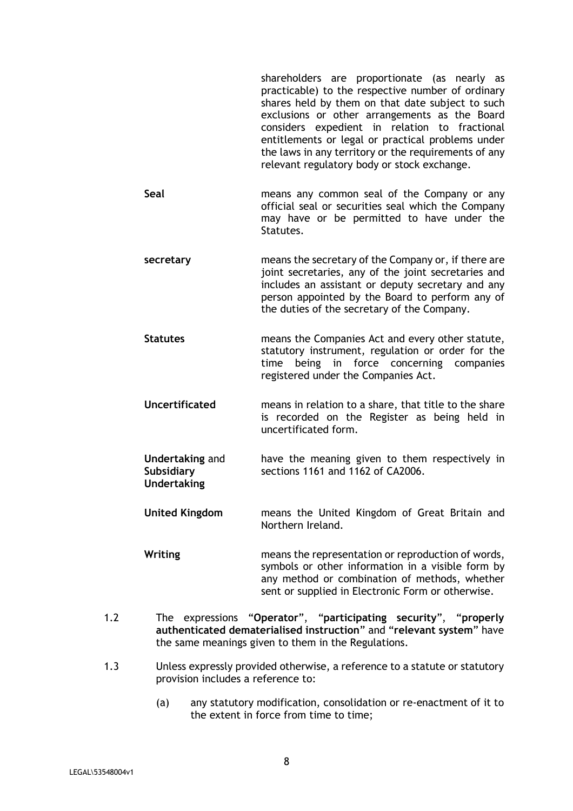shareholders are proportionate (as nearly as practicable) to the respective number of ordinary shares held by them on that date subject to such exclusions or other arrangements as the Board considers expedient in relation to fractional entitlements or legal or practical problems under the laws in any territory or the requirements of any relevant regulatory body or stock exchange.

- **Seal** means any common seal of the Company or any official seal or securities seal which the Company may have or be permitted to have under the Statutes.
- **secretary** means the secretary of the Company or, if there are joint secretaries, any of the joint secretaries and includes an assistant or deputy secretary and any person appointed by the Board to perform any of the duties of the secretary of the Company.
- **Statutes** means the Companies Act and every other statute, statutory instrument, regulation or order for the time being in force concerning companies registered under the Companies Act.
- **Uncertificated** means in relation to a share, that title to the share is recorded on the Register as being held in uncertificated form.
- **Undertaking** and **Subsidiary Undertaking**  have the meaning given to them respectively in sections 1161 and 1162 of CA2006.
- **United Kingdom** means the United Kingdom of Great Britain and Northern Ireland.
- **Writing** means the representation or reproduction of words, symbols or other information in a visible form by any method or combination of methods, whether sent or supplied in Electronic Form or otherwise.
- 1.2 The expressions "**Operator**", "**participating security**", "**properly authenticated dematerialised instruction**" and "**relevant system**" have the same meanings given to them in the Regulations.
- 1.3 Unless expressly provided otherwise, a reference to a statute or statutory provision includes a reference to:
	- (a) any statutory modification, consolidation or re-enactment of it to the extent in force from time to time;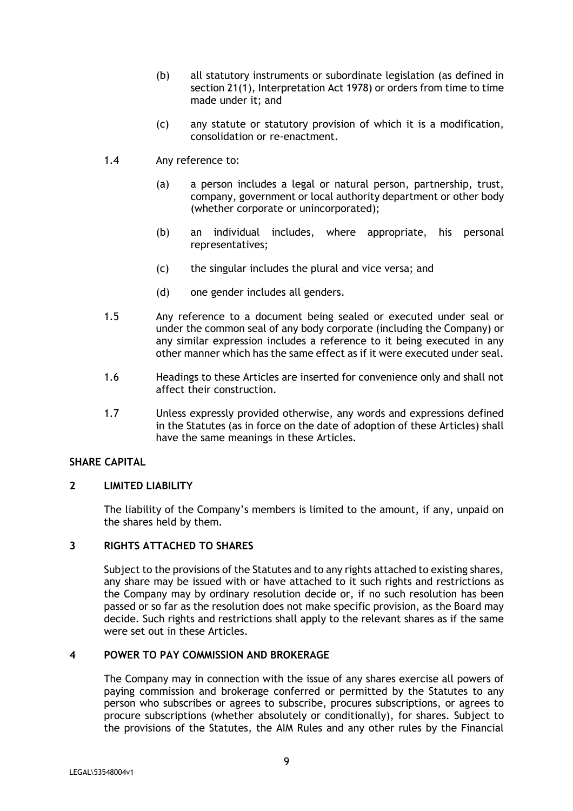- (b) all statutory instruments or subordinate legislation (as defined in section 21(1), Interpretation Act 1978) or orders from time to time made under it; and
- (c) any statute or statutory provision of which it is a modification, consolidation or re-enactment.
- 1.4 Any reference to:
	- (a) a person includes a legal or natural person, partnership, trust, company, government or local authority department or other body (whether corporate or unincorporated);
	- (b) an individual includes, where appropriate, his personal representatives;
	- (c) the singular includes the plural and vice versa; and
	- (d) one gender includes all genders.
- 1.5 Any reference to a document being sealed or executed under seal or under the common seal of any body corporate (including the Company) or any similar expression includes a reference to it being executed in any other manner which has the same effect as if it were executed under seal.
- 1.6 Headings to these Articles are inserted for convenience only and shall not affect their construction.
- 1.7 Unless expressly provided otherwise, any words and expressions defined in the Statutes (as in force on the date of adoption of these Articles) shall have the same meanings in these Articles.

# **SHARE CAPITAL**

#### **2 LIMITED LIABILITY**

The liability of the Company's members is limited to the amount, if any, unpaid on the shares held by them.

## **3 RIGHTS ATTACHED TO SHARES**

Subject to the provisions of the Statutes and to any rights attached to existing shares, any share may be issued with or have attached to it such rights and restrictions as the Company may by ordinary resolution decide or, if no such resolution has been passed or so far as the resolution does not make specific provision, as the Board may decide. Such rights and restrictions shall apply to the relevant shares as if the same were set out in these Articles.

#### **4 POWER TO PAY COMMISSION AND BROKERAGE**

The Company may in connection with the issue of any shares exercise all powers of paying commission and brokerage conferred or permitted by the Statutes to any person who subscribes or agrees to subscribe, procures subscriptions, or agrees to procure subscriptions (whether absolutely or conditionally), for shares. Subject to the provisions of the Statutes, the AIM Rules and any other rules by the Financial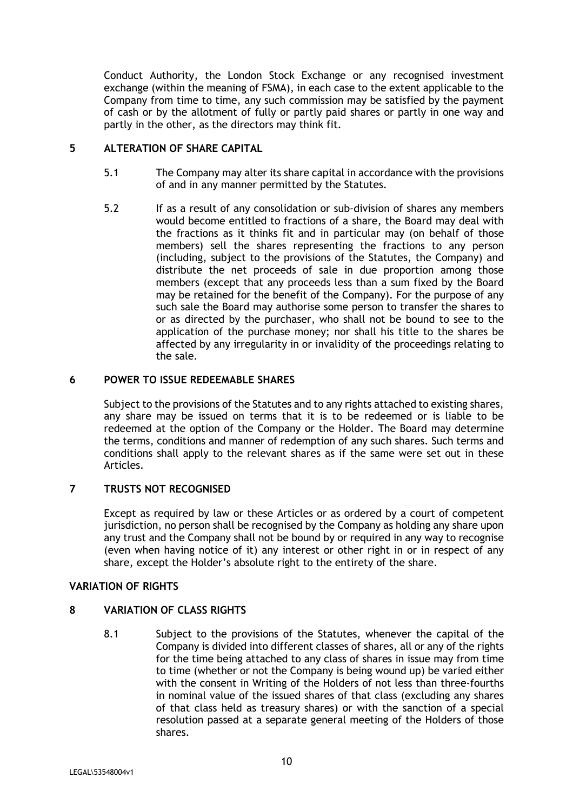Conduct Authority, the London Stock Exchange or any recognised investment exchange (within the meaning of FSMA), in each case to the extent applicable to the Company from time to time, any such commission may be satisfied by the payment of cash or by the allotment of fully or partly paid shares or partly in one way and partly in the other, as the directors may think fit.

# **5 ALTERATION OF SHARE CAPITAL**

- 5.1 The Company may alter its share capital in accordance with the provisions of and in any manner permitted by the Statutes.
- 5.2 If as a result of any consolidation or sub-division of shares any members would become entitled to fractions of a share, the Board may deal with the fractions as it thinks fit and in particular may (on behalf of those members) sell the shares representing the fractions to any person (including, subject to the provisions of the Statutes, the Company) and distribute the net proceeds of sale in due proportion among those members (except that any proceeds less than a sum fixed by the Board may be retained for the benefit of the Company). For the purpose of any such sale the Board may authorise some person to transfer the shares to or as directed by the purchaser, who shall not be bound to see to the application of the purchase money; nor shall his title to the shares be affected by any irregularity in or invalidity of the proceedings relating to the sale.

# **6 POWER TO ISSUE REDEEMABLE SHARES**

Subject to the provisions of the Statutes and to any rights attached to existing shares, any share may be issued on terms that it is to be redeemed or is liable to be redeemed at the option of the Company or the Holder. The Board may determine the terms, conditions and manner of redemption of any such shares. Such terms and conditions shall apply to the relevant shares as if the same were set out in these Articles.

# **7 TRUSTS NOT RECOGNISED**

Except as required by law or these Articles or as ordered by a court of competent jurisdiction, no person shall be recognised by the Company as holding any share upon any trust and the Company shall not be bound by or required in any way to recognise (even when having notice of it) any interest or other right in or in respect of any share, except the Holder's absolute right to the entirety of the share.

# **VARIATION OF RIGHTS**

# **8 VARIATION OF CLASS RIGHTS**

8.1 Subject to the provisions of the Statutes, whenever the capital of the Company is divided into different classes of shares, all or any of the rights for the time being attached to any class of shares in issue may from time to time (whether or not the Company is being wound up) be varied either with the consent in Writing of the Holders of not less than three-fourths in nominal value of the issued shares of that class (excluding any shares of that class held as treasury shares) or with the sanction of a special resolution passed at a separate general meeting of the Holders of those shares.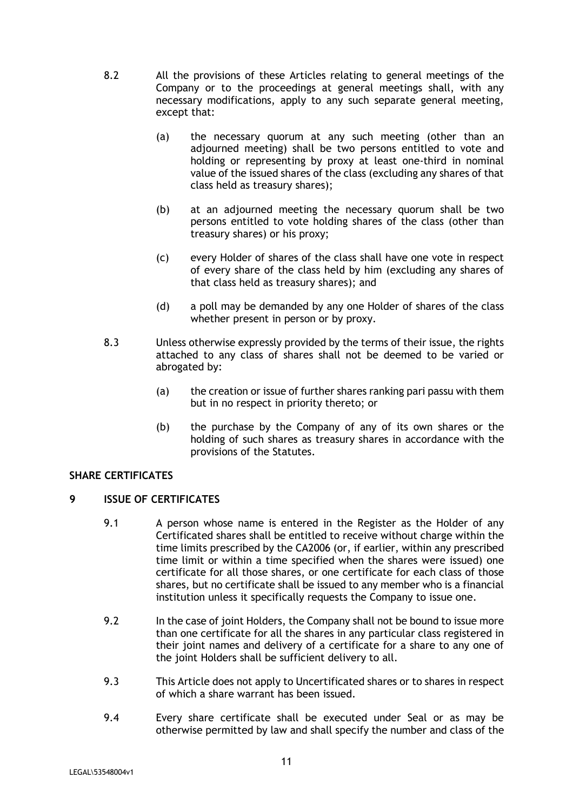- 8.2 All the provisions of these Articles relating to general meetings of the Company or to the proceedings at general meetings shall, with any necessary modifications, apply to any such separate general meeting, except that:
	- (a) the necessary quorum at any such meeting (other than an adjourned meeting) shall be two persons entitled to vote and holding or representing by proxy at least one-third in nominal value of the issued shares of the class (excluding any shares of that class held as treasury shares);
	- (b) at an adjourned meeting the necessary quorum shall be two persons entitled to vote holding shares of the class (other than treasury shares) or his proxy;
	- (c) every Holder of shares of the class shall have one vote in respect of every share of the class held by him (excluding any shares of that class held as treasury shares); and
	- (d) a poll may be demanded by any one Holder of shares of the class whether present in person or by proxy.
- 8.3 Unless otherwise expressly provided by the terms of their issue, the rights attached to any class of shares shall not be deemed to be varied or abrogated by:
	- (a) the creation or issue of further shares ranking pari passu with them but in no respect in priority thereto; or
	- (b) the purchase by the Company of any of its own shares or the holding of such shares as treasury shares in accordance with the provisions of the Statutes.

# **SHARE CERTIFICATES**

# **9 ISSUE OF CERTIFICATES**

- 9.1 A person whose name is entered in the Register as the Holder of any Certificated shares shall be entitled to receive without charge within the time limits prescribed by the CA2006 (or, if earlier, within any prescribed time limit or within a time specified when the shares were issued) one certificate for all those shares, or one certificate for each class of those shares, but no certificate shall be issued to any member who is a financial institution unless it specifically requests the Company to issue one.
- 9.2 In the case of joint Holders, the Company shall not be bound to issue more than one certificate for all the shares in any particular class registered in their joint names and delivery of a certificate for a share to any one of the joint Holders shall be sufficient delivery to all.
- 9.3 This Article does not apply to Uncertificated shares or to shares in respect of which a share warrant has been issued.
- 9.4 Every share certificate shall be executed under Seal or as may be otherwise permitted by law and shall specify the number and class of the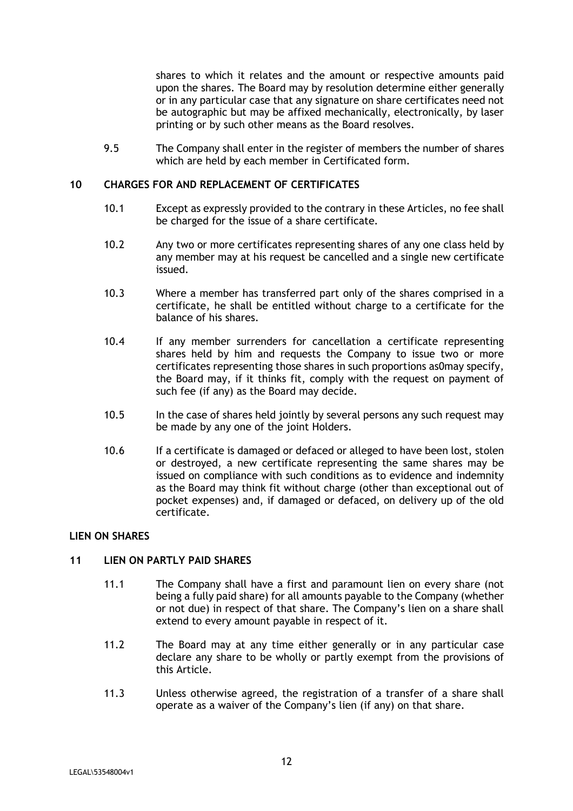shares to which it relates and the amount or respective amounts paid upon the shares. The Board may by resolution determine either generally or in any particular case that any signature on share certificates need not be autographic but may be affixed mechanically, electronically, by laser printing or by such other means as the Board resolves.

9.5 The Company shall enter in the register of members the number of shares which are held by each member in Certificated form.

## **10 CHARGES FOR AND REPLACEMENT OF CERTIFICATES**

- 10.1 Except as expressly provided to the contrary in these Articles, no fee shall be charged for the issue of a share certificate.
- 10.2 Any two or more certificates representing shares of any one class held by any member may at his request be cancelled and a single new certificate issued.
- 10.3 Where a member has transferred part only of the shares comprised in a certificate, he shall be entitled without charge to a certificate for the balance of his shares.
- 10.4 If any member surrenders for cancellation a certificate representing shares held by him and requests the Company to issue two or more certificates representing those shares in such proportions as0may specify, the Board may, if it thinks fit, comply with the request on payment of such fee (if any) as the Board may decide.
- 10.5 In the case of shares held jointly by several persons any such request may be made by any one of the joint Holders.
- 10.6 If a certificate is damaged or defaced or alleged to have been lost, stolen or destroyed, a new certificate representing the same shares may be issued on compliance with such conditions as to evidence and indemnity as the Board may think fit without charge (other than exceptional out of pocket expenses) and, if damaged or defaced, on delivery up of the old certificate.

# **LIEN ON SHARES**

# **11 LIEN ON PARTLY PAID SHARES**

- 11.1 The Company shall have a first and paramount lien on every share (not being a fully paid share) for all amounts payable to the Company (whether or not due) in respect of that share. The Company's lien on a share shall extend to every amount payable in respect of it.
- 11.2 The Board may at any time either generally or in any particular case declare any share to be wholly or partly exempt from the provisions of this Article.
- 11.3 Unless otherwise agreed, the registration of a transfer of a share shall operate as a waiver of the Company's lien (if any) on that share.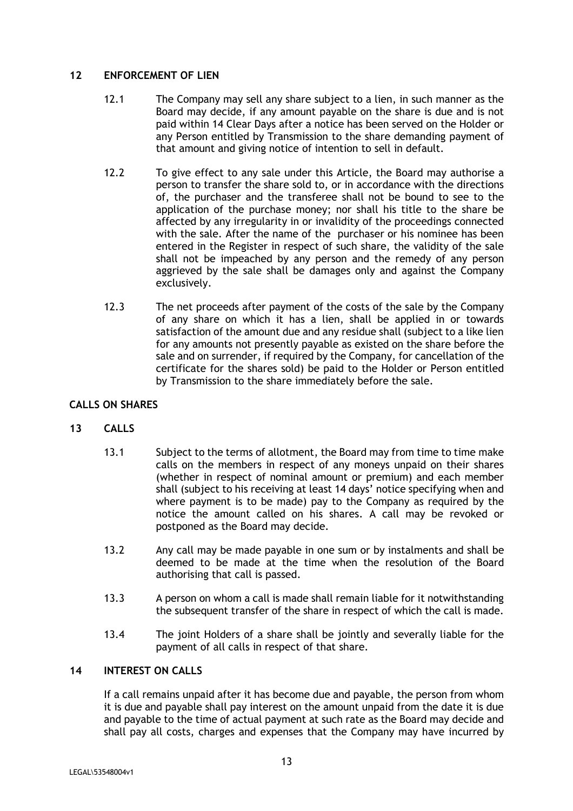## **12 ENFORCEMENT OF LIEN**

- 12.1 The Company may sell any share subject to a lien, in such manner as the Board may decide, if any amount payable on the share is due and is not paid within 14 Clear Days after a notice has been served on the Holder or any Person entitled by Transmission to the share demanding payment of that amount and giving notice of intention to sell in default.
- 12.2 To give effect to any sale under this Article, the Board may authorise a person to transfer the share sold to, or in accordance with the directions of, the purchaser and the transferee shall not be bound to see to the application of the purchase money; nor shall his title to the share be affected by any irregularity in or invalidity of the proceedings connected with the sale. After the name of the purchaser or his nominee has been entered in the Register in respect of such share, the validity of the sale shall not be impeached by any person and the remedy of any person aggrieved by the sale shall be damages only and against the Company exclusively.
- 12.3 The net proceeds after payment of the costs of the sale by the Company of any share on which it has a lien, shall be applied in or towards satisfaction of the amount due and any residue shall (subject to a like lien for any amounts not presently payable as existed on the share before the sale and on surrender, if required by the Company, for cancellation of the certificate for the shares sold) be paid to the Holder or Person entitled by Transmission to the share immediately before the sale.

# **CALLS ON SHARES**

# **13 CALLS**

- 13.1 Subject to the terms of allotment, the Board may from time to time make calls on the members in respect of any moneys unpaid on their shares (whether in respect of nominal amount or premium) and each member shall (subject to his receiving at least 14 days' notice specifying when and where payment is to be made) pay to the Company as required by the notice the amount called on his shares. A call may be revoked or postponed as the Board may decide.
- 13.2 Any call may be made payable in one sum or by instalments and shall be deemed to be made at the time when the resolution of the Board authorising that call is passed.
- 13.3 A person on whom a call is made shall remain liable for it notwithstanding the subsequent transfer of the share in respect of which the call is made.
- 13.4 The joint Holders of a share shall be jointly and severally liable for the payment of all calls in respect of that share.

# **14 INTEREST ON CALLS**

If a call remains unpaid after it has become due and payable, the person from whom it is due and payable shall pay interest on the amount unpaid from the date it is due and payable to the time of actual payment at such rate as the Board may decide and shall pay all costs, charges and expenses that the Company may have incurred by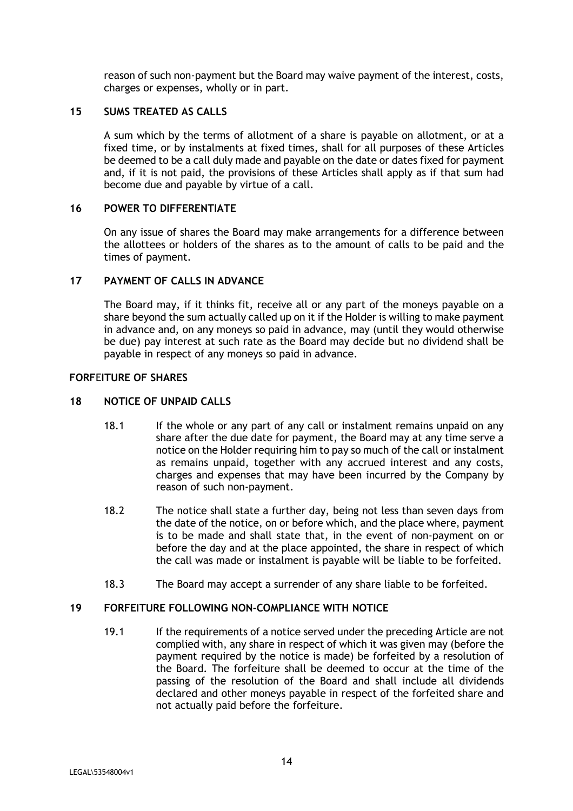reason of such non-payment but the Board may waive payment of the interest, costs, charges or expenses, wholly or in part.

# **15 SUMS TREATED AS CALLS**

A sum which by the terms of allotment of a share is payable on allotment, or at a fixed time, or by instalments at fixed times, shall for all purposes of these Articles be deemed to be a call duly made and payable on the date or dates fixed for payment and, if it is not paid, the provisions of these Articles shall apply as if that sum had become due and payable by virtue of a call.

## **16 POWER TO DIFFERENTIATE**

On any issue of shares the Board may make arrangements for a difference between the allottees or holders of the shares as to the amount of calls to be paid and the times of payment.

## **17 PAYMENT OF CALLS IN ADVANCE**

The Board may, if it thinks fit, receive all or any part of the moneys payable on a share beyond the sum actually called up on it if the Holder is willing to make payment in advance and, on any moneys so paid in advance, may (until they would otherwise be due) pay interest at such rate as the Board may decide but no dividend shall be payable in respect of any moneys so paid in advance.

### **FORF**E**ITURE OF SHARES**

#### **18 NOTICE OF UNPAID CALLS**

- 18.1 If the whole or any part of any call or instalment remains unpaid on any share after the due date for payment, the Board may at any time serve a notice on the Holder requiring him to pay so much of the call or instalment as remains unpaid, together with any accrued interest and any costs, charges and expenses that may have been incurred by the Company by reason of such non-payment.
- 18.2 The notice shall state a further day, being not less than seven days from the date of the notice, on or before which, and the place where, payment is to be made and shall state that, in the event of non-payment on or before the day and at the place appointed, the share in respect of which the call was made or instalment is payable will be liable to be forfeited.
- 18.3 The Board may accept a surrender of any share liable to be forfeited.

# **19 FORFEITURE FOLLOWING NON-COMPLIANCE WITH NOTICE**

19.1 If the requirements of a notice served under the preceding Article are not complied with, any share in respect of which it was given may (before the payment required by the notice is made) be forfeited by a resolution of the Board. The forfeiture shall be deemed to occur at the time of the passing of the resolution of the Board and shall include all dividends declared and other moneys payable in respect of the forfeited share and not actually paid before the forfeiture.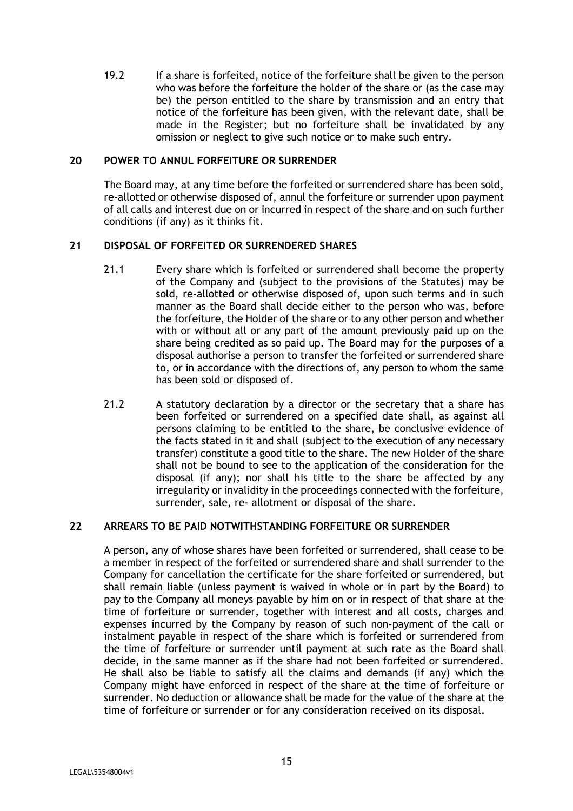19.2 If a share is forfeited, notice of the forfeiture shall be given to the person who was before the forfeiture the holder of the share or (as the case may be) the person entitled to the share by transmission and an entry that notice of the forfeiture has been given, with the relevant date, shall be made in the Register; but no forfeiture shall be invalidated by any omission or neglect to give such notice or to make such entry.

#### **20 POWER TO ANNUL FORFEITURE OR SURRENDER**

The Board may, at any time before the forfeited or surrendered share has been sold, re-allotted or otherwise disposed of, annul the forfeiture or surrender upon payment of all calls and interest due on or incurred in respect of the share and on such further conditions (if any) as it thinks fit.

# **21 DISPOSAL OF FORFEITED OR SURRENDERED SHARES**

- 21.1 Every share which is forfeited or surrendered shall become the property of the Company and (subject to the provisions of the Statutes) may be sold, re-allotted or otherwise disposed of, upon such terms and in such manner as the Board shall decide either to the person who was, before the forfeiture, the Holder of the share or to any other person and whether with or without all or any part of the amount previously paid up on the share being credited as so paid up. The Board may for the purposes of a disposal authorise a person to transfer the forfeited or surrendered share to, or in accordance with the directions of, any person to whom the same has been sold or disposed of.
- 21.2 A statutory declaration by a director or the secretary that a share has been forfeited or surrendered on a specified date shall, as against all persons claiming to be entitled to the share, be conclusive evidence of the facts stated in it and shall (subject to the execution of any necessary transfer) constitute a good title to the share. The new Holder of the share shall not be bound to see to the application of the consideration for the disposal (if any); nor shall his title to the share be affected by any irregularity or invalidity in the proceedings connected with the forfeiture, surrender, sale, re- allotment or disposal of the share.

# **22 ARREARS TO BE PAID NOTWITHSTANDING FORFEITURE OR SURRENDER**

A person, any of whose shares have been forfeited or surrendered, shall cease to be a member in respect of the forfeited or surrendered share and shall surrender to the Company for cancellation the certificate for the share forfeited or surrendered, but shall remain liable (unless payment is waived in whole or in part by the Board) to pay to the Company all moneys payable by him on or in respect of that share at the time of forfeiture or surrender, together with interest and all costs, charges and expenses incurred by the Company by reason of such non-payment of the call or instalment payable in respect of the share which is forfeited or surrendered from the time of forfeiture or surrender until payment at such rate as the Board shall decide, in the same manner as if the share had not been forfeited or surrendered. He shall also be liable to satisfy all the claims and demands (if any) which the Company might have enforced in respect of the share at the time of forfeiture or surrender. No deduction or allowance shall be made for the value of the share at the time of forfeiture or surrender or for any consideration received on its disposal.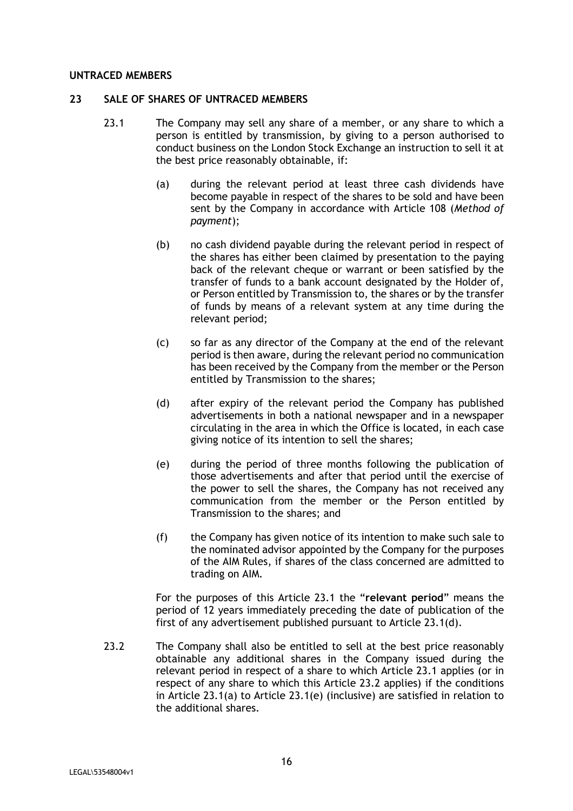#### **UNTRACED MEMBERS**

#### **23 SALE OF SHARES OF UNTRACED MEMBERS**

- 23.1 The Company may sell any share of a member, or any share to which a person is entitled by transmission, by giving to a person authorised to conduct business on the London Stock Exchange an instruction to sell it at the best price reasonably obtainable, if:
	- (a) during the relevant period at least three cash dividends have become payable in respect of the shares to be sold and have been sent by the Company in accordance with Article 108 (*Method of payment*);
	- (b) no cash dividend payable during the relevant period in respect of the shares has either been claimed by presentation to the paying back of the relevant cheque or warrant or been satisfied by the transfer of funds to a bank account designated by the Holder of, or Person entitled by Transmission to, the shares or by the transfer of funds by means of a relevant system at any time during the relevant period;
	- (c) so far as any director of the Company at the end of the relevant period is then aware, during the relevant period no communication has been received by the Company from the member or the Person entitled by Transmission to the shares;
	- (d) after expiry of the relevant period the Company has published advertisements in both a national newspaper and in a newspaper circulating in the area in which the Office is located, in each case giving notice of its intention to sell the shares;
	- (e) during the period of three months following the publication of those advertisements and after that period until the exercise of the power to sell the shares, the Company has not received any communication from the member or the Person entitled by Transmission to the shares; and
	- (f) the Company has given notice of its intention to make such sale to the nominated advisor appointed by the Company for the purposes of the AIM Rules, if shares of the class concerned are admitted to trading on AIM.

For the purposes of this Article 23.1 the "**relevant period**" means the period of 12 years immediately preceding the date of publication of the first of any advertisement published pursuant to Article 23.1(d).

23.2 The Company shall also be entitled to sell at the best price reasonably obtainable any additional shares in the Company issued during the relevant period in respect of a share to which Article 23.1 applies (or in respect of any share to which this Article 23.2 applies) if the conditions in Article 23.1(a) to Article 23.1(e) (inclusive) are satisfied in relation to the additional shares.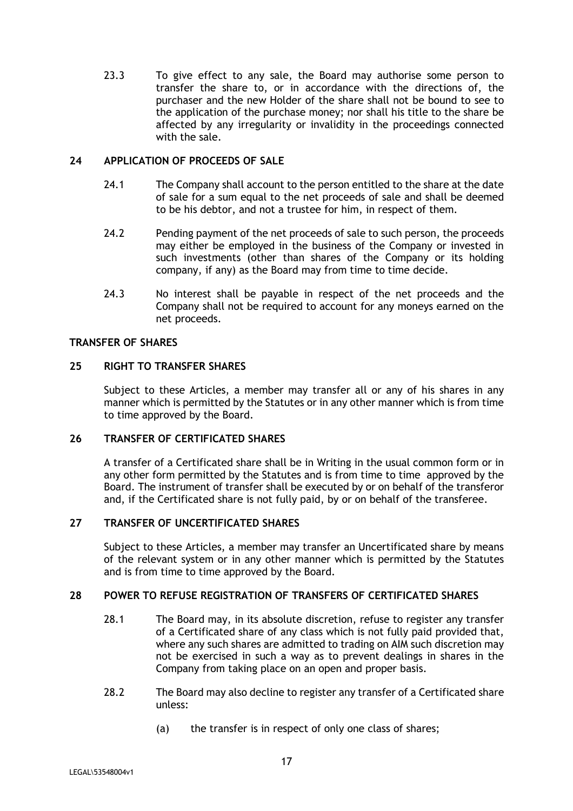23.3 To give effect to any sale, the Board may authorise some person to transfer the share to, or in accordance with the directions of, the purchaser and the new Holder of the share shall not be bound to see to the application of the purchase money; nor shall his title to the share be affected by any irregularity or invalidity in the proceedings connected with the sale.

# **24 APPLICATION OF PROCEEDS OF SALE**

- 24.1 The Company shall account to the person entitled to the share at the date of sale for a sum equal to the net proceeds of sale and shall be deemed to be his debtor, and not a trustee for him, in respect of them.
- 24.2 Pending payment of the net proceeds of sale to such person, the proceeds may either be employed in the business of the Company or invested in such investments (other than shares of the Company or its holding company, if any) as the Board may from time to time decide.
- 24.3 No interest shall be payable in respect of the net proceeds and the Company shall not be required to account for any moneys earned on the net proceeds.

#### **TRANSFER OF SHARES**

#### **25 RIGHT TO TRANSFER SHARES**

Subject to these Articles, a member may transfer all or any of his shares in any manner which is permitted by the Statutes or in any other manner which is from time to time approved by the Board.

## **26 TRANSFER OF CERTIFICATED SHARES**

A transfer of a Certificated share shall be in Writing in the usual common form or in any other form permitted by the Statutes and is from time to time approved by the Board. The instrument of transfer shall be executed by or on behalf of the transferor and, if the Certificated share is not fully paid, by or on behalf of the transferee.

## **27 TRANSFER OF UNCERTIFICATED SHARES**

Subject to these Articles, a member may transfer an Uncertificated share by means of the relevant system or in any other manner which is permitted by the Statutes and is from time to time approved by the Board.

# **28 POWER TO REFUSE REGISTRATION OF TRANSFERS OF CERTIFICATED SHARES**

- 28.1 The Board may, in its absolute discretion, refuse to register any transfer of a Certificated share of any class which is not fully paid provided that, where any such shares are admitted to trading on AIM such discretion may not be exercised in such a way as to prevent dealings in shares in the Company from taking place on an open and proper basis.
- 28.2 The Board may also decline to register any transfer of a Certificated share unless:
	- (a) the transfer is in respect of only one class of shares;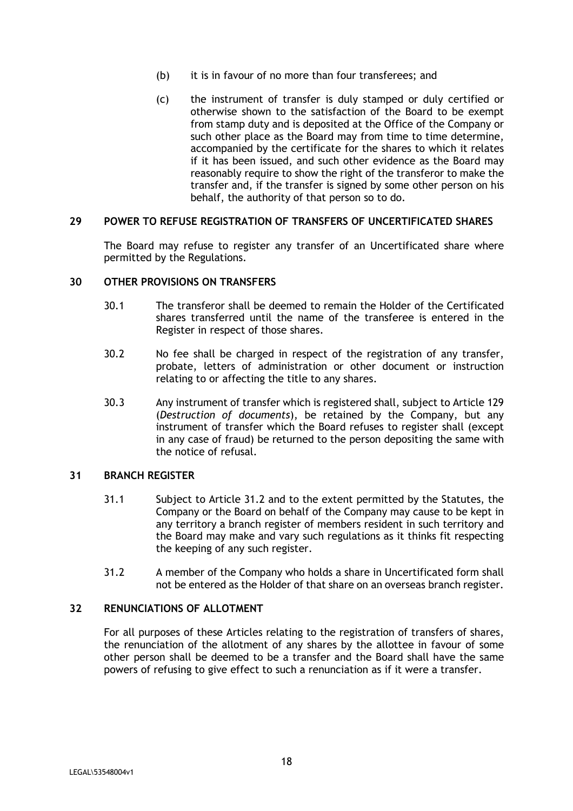- (b) it is in favour of no more than four transferees; and
- (c) the instrument of transfer is duly stamped or duly certified or otherwise shown to the satisfaction of the Board to be exempt from stamp duty and is deposited at the Office of the Company or such other place as the Board may from time to time determine, accompanied by the certificate for the shares to which it relates if it has been issued, and such other evidence as the Board may reasonably require to show the right of the transferor to make the transfer and, if the transfer is signed by some other person on his behalf, the authority of that person so to do.

#### **29 POWER TO REFUSE REGISTRATION OF TRANSFERS OF UNCERTIFICATED SHARES**

The Board may refuse to register any transfer of an Uncertificated share where permitted by the Regulations.

#### **30 OTHER PROVISIONS ON TRANSFERS**

- 30.1 The transferor shall be deemed to remain the Holder of the Certificated shares transferred until the name of the transferee is entered in the Register in respect of those shares.
- 30.2 No fee shall be charged in respect of the registration of any transfer, probate, letters of administration or other document or instruction relating to or affecting the title to any shares.
- 30.3 Any instrument of transfer which is registered shall, subject to Article 129 (*Destruction of documents*), be retained by the Company, but any instrument of transfer which the Board refuses to register shall (except in any case of fraud) be returned to the person depositing the same with the notice of refusal.

#### **31 BRANCH REGISTER**

- 31.1 Subject to Article 31.2 and to the extent permitted by the Statutes, the Company or the Board on behalf of the Company may cause to be kept in any territory a branch register of members resident in such territory and the Board may make and vary such regulations as it thinks fit respecting the keeping of any such register.
- 31.2 A member of the Company who holds a share in Uncertificated form shall not be entered as the Holder of that share on an overseas branch register.

# **32 RENUNCIATIONS OF ALLOTMENT**

For all purposes of these Articles relating to the registration of transfers of shares, the renunciation of the allotment of any shares by the allottee in favour of some other person shall be deemed to be a transfer and the Board shall have the same powers of refusing to give effect to such a renunciation as if it were a transfer.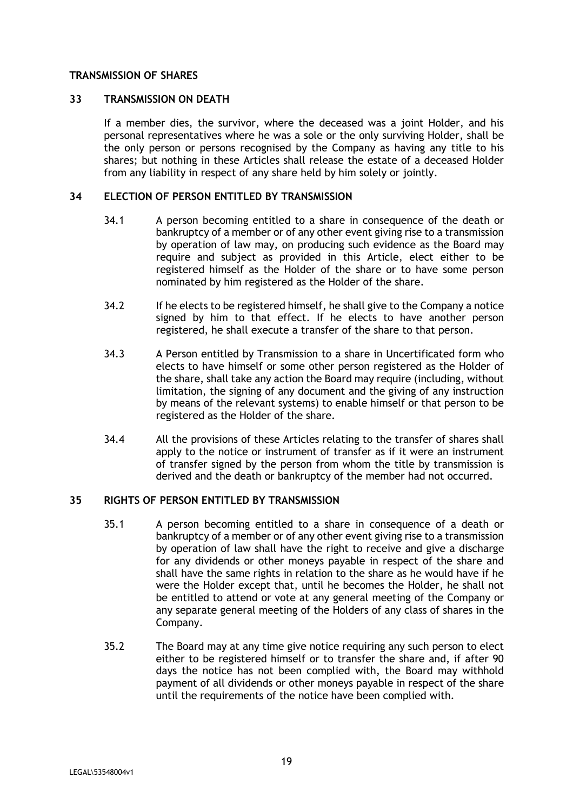#### **TRANSMISSION OF SHARES**

### **33 TRANSMISSION ON DEATH**

If a member dies, the survivor, where the deceased was a joint Holder, and his personal representatives where he was a sole or the only surviving Holder, shall be the only person or persons recognised by the Company as having any title to his shares; but nothing in these Articles shall release the estate of a deceased Holder from any liability in respect of any share held by him solely or jointly.

#### **34 ELECTION OF PERSON ENTITLED BY TRANSMISSION**

- 34.1 A person becoming entitled to a share in consequence of the death or bankruptcy of a member or of any other event giving rise to a transmission by operation of law may, on producing such evidence as the Board may require and subject as provided in this Article, elect either to be registered himself as the Holder of the share or to have some person nominated by him registered as the Holder of the share.
- 34.2 If he elects to be registered himself, he shall give to the Company a notice signed by him to that effect. If he elects to have another person registered, he shall execute a transfer of the share to that person.
- 34.3 A Person entitled by Transmission to a share in Uncertificated form who elects to have himself or some other person registered as the Holder of the share, shall take any action the Board may require (including, without limitation, the signing of any document and the giving of any instruction by means of the relevant systems) to enable himself or that person to be registered as the Holder of the share.
- 34.4 All the provisions of these Articles relating to the transfer of shares shall apply to the notice or instrument of transfer as if it were an instrument of transfer signed by the person from whom the title by transmission is derived and the death or bankruptcy of the member had not occurred.

# **35 RIGHTS OF PERSON ENTITLED BY TRANSMISSION**

- 35.1 A person becoming entitled to a share in consequence of a death or bankruptcy of a member or of any other event giving rise to a transmission by operation of law shall have the right to receive and give a discharge for any dividends or other moneys payable in respect of the share and shall have the same rights in relation to the share as he would have if he were the Holder except that, until he becomes the Holder, he shall not be entitled to attend or vote at any general meeting of the Company or any separate general meeting of the Holders of any class of shares in the Company.
- 35.2 The Board may at any time give notice requiring any such person to elect either to be registered himself or to transfer the share and, if after 90 days the notice has not been complied with, the Board may withhold payment of all dividends or other moneys payable in respect of the share until the requirements of the notice have been complied with.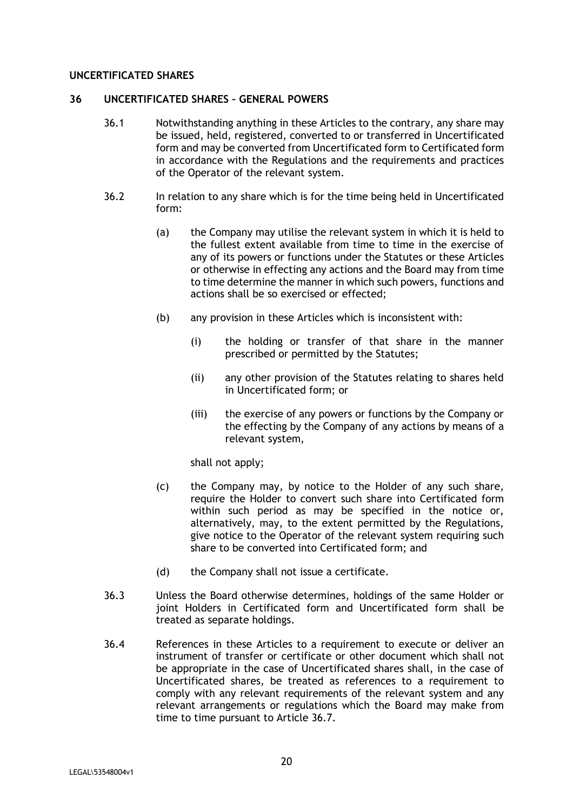#### **UNCERTIFICATED SHARES**

#### **36 UNCERTIFICATED SHARES – GENERAL POWERS**

- 36.1 Notwithstanding anything in these Articles to the contrary, any share may be issued, held, registered, converted to or transferred in Uncertificated form and may be converted from Uncertificated form to Certificated form in accordance with the Regulations and the requirements and practices of the Operator of the relevant system.
- 36.2 In relation to any share which is for the time being held in Uncertificated form:
	- (a) the Company may utilise the relevant system in which it is held to the fullest extent available from time to time in the exercise of any of its powers or functions under the Statutes or these Articles or otherwise in effecting any actions and the Board may from time to time determine the manner in which such powers, functions and actions shall be so exercised or effected;
	- (b) any provision in these Articles which is inconsistent with:
		- (i) the holding or transfer of that share in the manner prescribed or permitted by the Statutes;
		- (ii) any other provision of the Statutes relating to shares held in Uncertificated form; or
		- (iii) the exercise of any powers or functions by the Company or the effecting by the Company of any actions by means of a relevant system,

shall not apply;

- (c) the Company may, by notice to the Holder of any such share, require the Holder to convert such share into Certificated form within such period as may be specified in the notice or, alternatively, may, to the extent permitted by the Regulations, give notice to the Operator of the relevant system requiring such share to be converted into Certificated form; and
- (d) the Company shall not issue a certificate.
- 36.3 Unless the Board otherwise determines, holdings of the same Holder or joint Holders in Certificated form and Uncertificated form shall be treated as separate holdings.
- 36.4 References in these Articles to a requirement to execute or deliver an instrument of transfer or certificate or other document which shall not be appropriate in the case of Uncertificated shares shall, in the case of Uncertificated shares, be treated as references to a requirement to comply with any relevant requirements of the relevant system and any relevant arrangements or regulations which the Board may make from time to time pursuant to Article 36.7.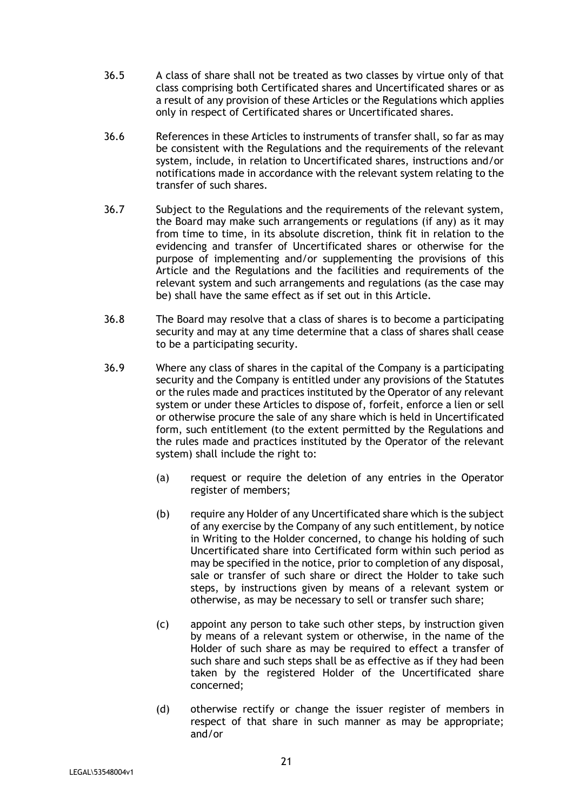- 36.5 A class of share shall not be treated as two classes by virtue only of that class comprising both Certificated shares and Uncertificated shares or as a result of any provision of these Articles or the Regulations which applies only in respect of Certificated shares or Uncertificated shares.
- 36.6 References in these Articles to instruments of transfer shall, so far as may be consistent with the Regulations and the requirements of the relevant system, include, in relation to Uncertificated shares, instructions and/or notifications made in accordance with the relevant system relating to the transfer of such shares.
- 36.7 Subject to the Regulations and the requirements of the relevant system, the Board may make such arrangements or regulations (if any) as it may from time to time, in its absolute discretion, think fit in relation to the evidencing and transfer of Uncertificated shares or otherwise for the purpose of implementing and/or supplementing the provisions of this Article and the Regulations and the facilities and requirements of the relevant system and such arrangements and regulations (as the case may be) shall have the same effect as if set out in this Article.
- 36.8 The Board may resolve that a class of shares is to become a participating security and may at any time determine that a class of shares shall cease to be a participating security.
- 36.9 Where any class of shares in the capital of the Company is a participating security and the Company is entitled under any provisions of the Statutes or the rules made and practices instituted by the Operator of any relevant system or under these Articles to dispose of, forfeit, enforce a lien or sell or otherwise procure the sale of any share which is held in Uncertificated form, such entitlement (to the extent permitted by the Regulations and the rules made and practices instituted by the Operator of the relevant system) shall include the right to:
	- (a) request or require the deletion of any entries in the Operator register of members;
	- (b) require any Holder of any Uncertificated share which is the subject of any exercise by the Company of any such entitlement, by notice in Writing to the Holder concerned, to change his holding of such Uncertificated share into Certificated form within such period as may be specified in the notice, prior to completion of any disposal, sale or transfer of such share or direct the Holder to take such steps, by instructions given by means of a relevant system or otherwise, as may be necessary to sell or transfer such share;
	- (c) appoint any person to take such other steps, by instruction given by means of a relevant system or otherwise, in the name of the Holder of such share as may be required to effect a transfer of such share and such steps shall be as effective as if they had been taken by the registered Holder of the Uncertificated share concerned;
	- (d) otherwise rectify or change the issuer register of members in respect of that share in such manner as may be appropriate; and/or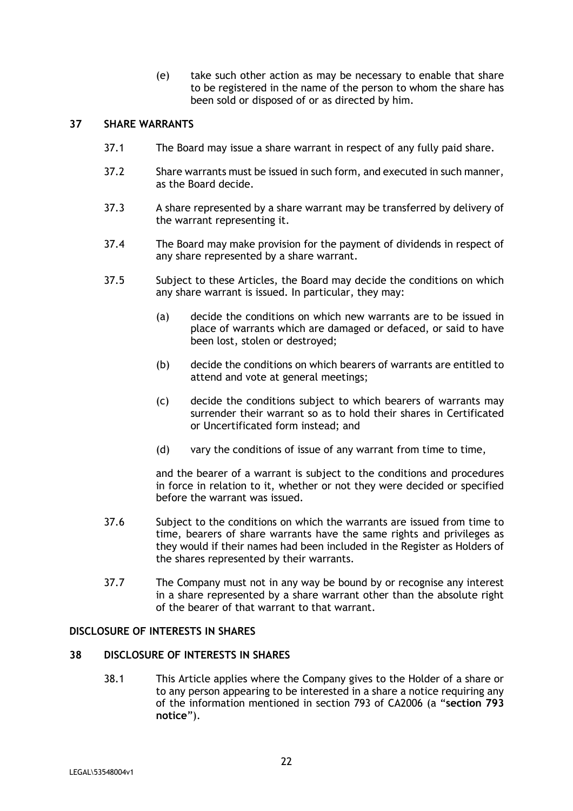(e) take such other action as may be necessary to enable that share to be registered in the name of the person to whom the share has been sold or disposed of or as directed by him.

# **37 SHARE WARRANTS**

- 37.1 The Board may issue a share warrant in respect of any fully paid share.
- 37.2 Share warrants must be issued in such form, and executed in such manner, as the Board decide.
- 37.3 A share represented by a share warrant may be transferred by delivery of the warrant representing it.
- 37.4 The Board may make provision for the payment of dividends in respect of any share represented by a share warrant.
- 37.5 Subject to these Articles, the Board may decide the conditions on which any share warrant is issued. In particular, they may:
	- (a) decide the conditions on which new warrants are to be issued in place of warrants which are damaged or defaced, or said to have been lost, stolen or destroyed;
	- (b) decide the conditions on which bearers of warrants are entitled to attend and vote at general meetings;
	- (c) decide the conditions subject to which bearers of warrants may surrender their warrant so as to hold their shares in Certificated or Uncertificated form instead; and
	- (d) vary the conditions of issue of any warrant from time to time,

and the bearer of a warrant is subject to the conditions and procedures in force in relation to it, whether or not they were decided or specified before the warrant was issued.

- 37.6 Subject to the conditions on which the warrants are issued from time to time, bearers of share warrants have the same rights and privileges as they would if their names had been included in the Register as Holders of the shares represented by their warrants.
- 37.7 The Company must not in any way be bound by or recognise any interest in a share represented by a share warrant other than the absolute right of the bearer of that warrant to that warrant.

## **DISCLOSURE OF INTERESTS IN SHARES**

#### **38 DISCLOSURE OF INTERESTS IN SHARES**

38.1 This Article applies where the Company gives to the Holder of a share or to any person appearing to be interested in a share a notice requiring any of the information mentioned in section 793 of CA2006 (a "**section 793 notice**").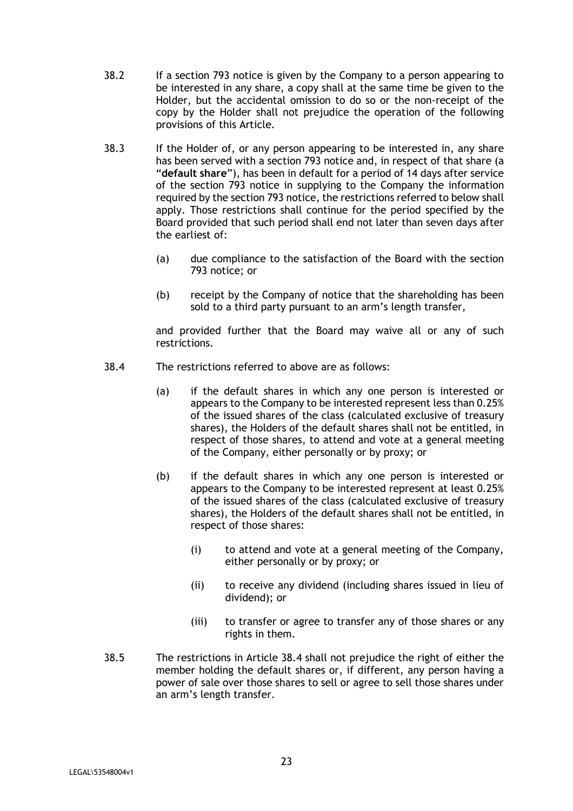- 38.2 If a section 793 notice is given by the Company to a person appearing to be interested in any share, a copy shall at the same time be given to the Holder, but the accidental omission to do so or the non-receipt of the copy by the Holder shall not prejudice the operation of the following provisions of this Article.
- 38.3 If the Holder of, or any person appearing to be interested in, any share has been served with a section 793 notice and, in respect of that share (a "**default share**"), has been in default for a period of 14 days after service of the section 793 notice in supplying to the Company the information required by the section 793 notice, the restrictions referred to below shall apply. Those restrictions shall continue for the period specified by the Board provided that such period shall end not later than seven days after the earliest of:
	- (a) due compliance to the satisfaction of the Board with the section 793 notice; or
	- (b) receipt by the Company of notice that the shareholding has been sold to a third party pursuant to an arm's length transfer,

and provided further that the Board may waive all or any of such restrictions.

- 38.4 The restrictions referred to above are as follows:
	- (a) if the default shares in which any one person is interested or appears to the Company to be interested represent less than 0.25% of the issued shares of the class (calculated exclusive of treasury shares), the Holders of the default shares shall not be entitled, in respect of those shares, to attend and vote at a general meeting of the Company, either personally or by proxy; or
	- (b) if the default shares in which any one person is interested or appears to the Company to be interested represent at least 0.25% of the issued shares of the class (calculated exclusive of treasury shares), the Holders of the default shares shall not be entitled, in respect of those shares:
		- (i) to attend and vote at a general meeting of the Company, either personally or by proxy; or
		- (ii) to receive any dividend (including shares issued in lieu of dividend); or
		- (iii) to transfer or agree to transfer any of those shares or any rights in them.
- 38.5 The restrictions in Article 38.4 shall not prejudice the right of either the member holding the default shares or, if different, any person having a power of sale over those shares to sell or agree to sell those shares under an arm's length transfer.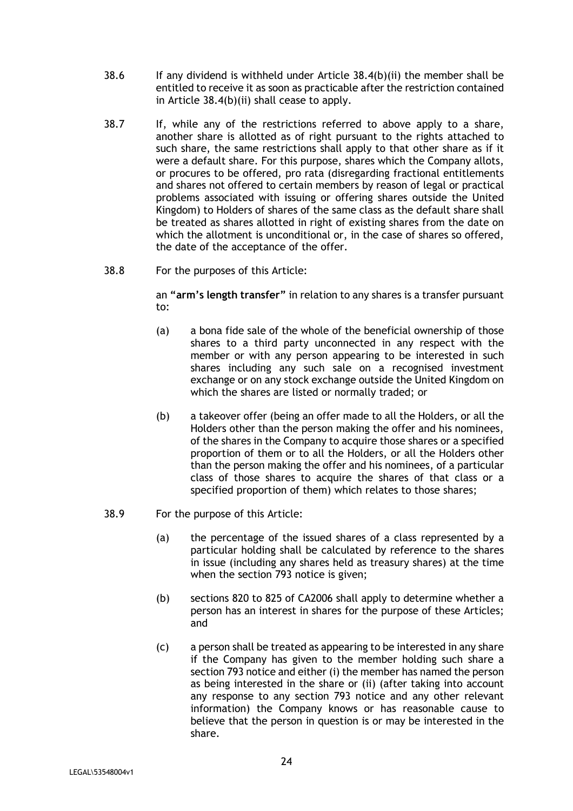- 38.6 If any dividend is withheld under Article 38.4(b)(ii) the member shall be entitled to receive it as soon as practicable after the restriction contained in Article 38.4(b)(ii) shall cease to apply.
- 38.7 If, while any of the restrictions referred to above apply to a share, another share is allotted as of right pursuant to the rights attached to such share, the same restrictions shall apply to that other share as if it were a default share. For this purpose, shares which the Company allots, or procures to be offered, pro rata (disregarding fractional entitlements and shares not offered to certain members by reason of legal or practical problems associated with issuing or offering shares outside the United Kingdom) to Holders of shares of the same class as the default share shall be treated as shares allotted in right of existing shares from the date on which the allotment is unconditional or, in the case of shares so offered, the date of the acceptance of the offer.
- 38.8 For the purposes of this Article:

an **"arm's length transfer"** in relation to any shares is a transfer pursuant to:

- (a) a bona fide sale of the whole of the beneficial ownership of those shares to a third party unconnected in any respect with the member or with any person appearing to be interested in such shares including any such sale on a recognised investment exchange or on any stock exchange outside the United Kingdom on which the shares are listed or normally traded; or
- (b) a takeover offer (being an offer made to all the Holders, or all the Holders other than the person making the offer and his nominees, of the shares in the Company to acquire those shares or a specified proportion of them or to all the Holders, or all the Holders other than the person making the offer and his nominees, of a particular class of those shares to acquire the shares of that class or a specified proportion of them) which relates to those shares;
- 38.9 For the purpose of this Article:
	- (a) the percentage of the issued shares of a class represented by a particular holding shall be calculated by reference to the shares in issue (including any shares held as treasury shares) at the time when the section 793 notice is given;
	- (b) sections 820 to 825 of CA2006 shall apply to determine whether a person has an interest in shares for the purpose of these Articles; and
	- (c) a person shall be treated as appearing to be interested in any share if the Company has given to the member holding such share a section 793 notice and either (i) the member has named the person as being interested in the share or (ii) (after taking into account any response to any section 793 notice and any other relevant information) the Company knows or has reasonable cause to believe that the person in question is or may be interested in the share.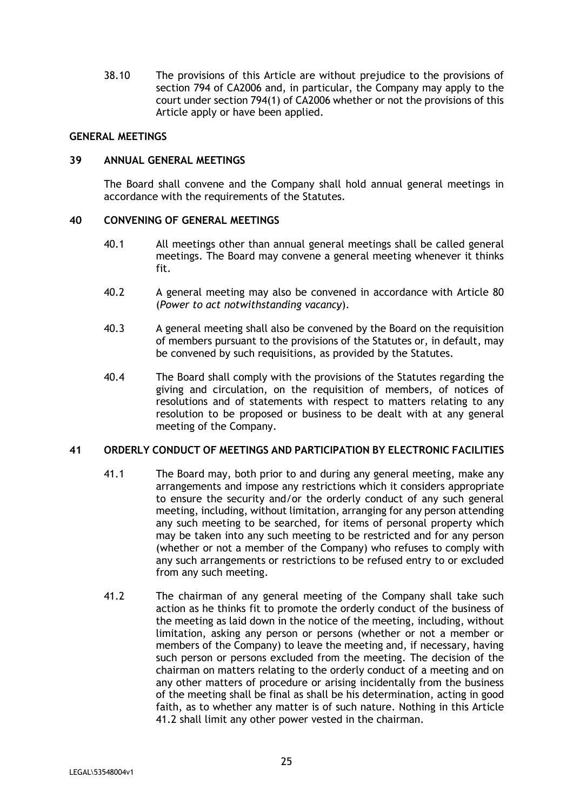38.10 The provisions of this Article are without prejudice to the provisions of section 794 of CA2006 and, in particular, the Company may apply to the court under section 794(1) of CA2006 whether or not the provisions of this Article apply or have been applied.

#### **GENERAL MEETINGS**

#### **39 ANNUAL GENERAL MEETINGS**

The Board shall convene and the Company shall hold annual general meetings in accordance with the requirements of the Statutes.

#### **40 CONVENING OF GENERAL MEETINGS**

- 40.1 All meetings other than annual general meetings shall be called general meetings. The Board may convene a general meeting whenever it thinks fit.
- 40.2 A general meeting may also be convened in accordance with Article 80 (*Power to act notwithstanding vacancy*).
- 40.3 A general meeting shall also be convened by the Board on the requisition of members pursuant to the provisions of the Statutes or, in default, may be convened by such requisitions, as provided by the Statutes.
- 40.4 The Board shall comply with the provisions of the Statutes regarding the giving and circulation, on the requisition of members, of notices of resolutions and of statements with respect to matters relating to any resolution to be proposed or business to be dealt with at any general meeting of the Company.

#### **41 ORDERLY CONDUCT OF MEETINGS AND PARTICIPATION BY ELECTRONIC FACILITIES**

- 41.1 The Board may, both prior to and during any general meeting, make any arrangements and impose any restrictions which it considers appropriate to ensure the security and/or the orderly conduct of any such general meeting, including, without limitation, arranging for any person attending any such meeting to be searched, for items of personal property which may be taken into any such meeting to be restricted and for any person (whether or not a member of the Company) who refuses to comply with any such arrangements or restrictions to be refused entry to or excluded from any such meeting.
- 41.2 The chairman of any general meeting of the Company shall take such action as he thinks fit to promote the orderly conduct of the business of the meeting as laid down in the notice of the meeting, including, without limitation, asking any person or persons (whether or not a member or members of the Company) to leave the meeting and, if necessary, having such person or persons excluded from the meeting. The decision of the chairman on matters relating to the orderly conduct of a meeting and on any other matters of procedure or arising incidentally from the business of the meeting shall be final as shall be his determination, acting in good faith, as to whether any matter is of such nature. Nothing in this Article 41.2 shall limit any other power vested in the chairman.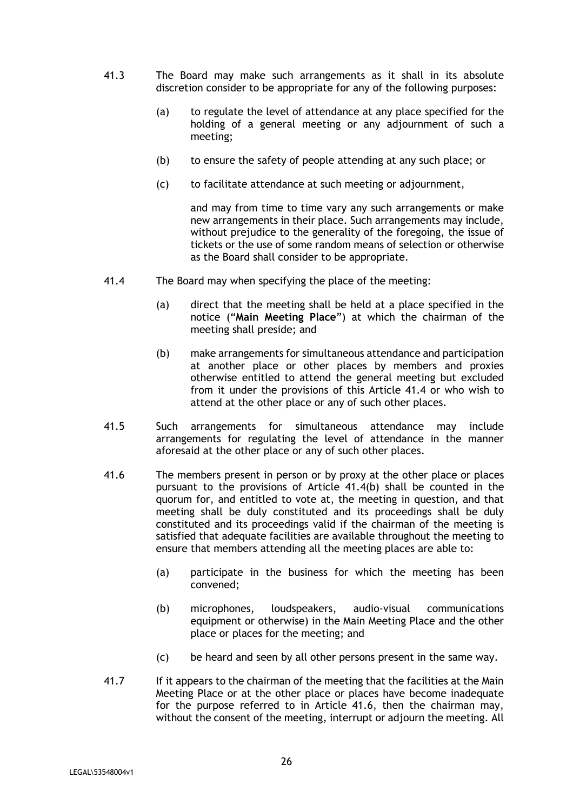- 41.3 The Board may make such arrangements as it shall in its absolute discretion consider to be appropriate for any of the following purposes:
	- (a) to regulate the level of attendance at any place specified for the holding of a general meeting or any adjournment of such a meeting;
	- (b) to ensure the safety of people attending at any such place; or
	- (c) to facilitate attendance at such meeting or adjournment,

and may from time to time vary any such arrangements or make new arrangements in their place. Such arrangements may include, without prejudice to the generality of the foregoing, the issue of tickets or the use of some random means of selection or otherwise as the Board shall consider to be appropriate.

- 41.4 The Board may when specifying the place of the meeting:
	- (a) direct that the meeting shall be held at a place specified in the notice ("**Main Meeting Place**") at which the chairman of the meeting shall preside; and
	- (b) make arrangements for simultaneous attendance and participation at another place or other places by members and proxies otherwise entitled to attend the general meeting but excluded from it under the provisions of this Article 41.4 or who wish to attend at the other place or any of such other places.
- 41.5 Such arrangements for simultaneous attendance may include arrangements for regulating the level of attendance in the manner aforesaid at the other place or any of such other places.
- 41.6 The members present in person or by proxy at the other place or places pursuant to the provisions of Article 41.4(b) shall be counted in the quorum for, and entitled to vote at, the meeting in question, and that meeting shall be duly constituted and its proceedings shall be duly constituted and its proceedings valid if the chairman of the meeting is satisfied that adequate facilities are available throughout the meeting to ensure that members attending all the meeting places are able to:
	- (a) participate in the business for which the meeting has been convened;
	- (b) microphones, loudspeakers, audio-visual communications equipment or otherwise) in the Main Meeting Place and the other place or places for the meeting; and
	- (c) be heard and seen by all other persons present in the same way.
- 41.7 If it appears to the chairman of the meeting that the facilities at the Main Meeting Place or at the other place or places have become inadequate for the purpose referred to in Article 41.6, then the chairman may, without the consent of the meeting, interrupt or adjourn the meeting. All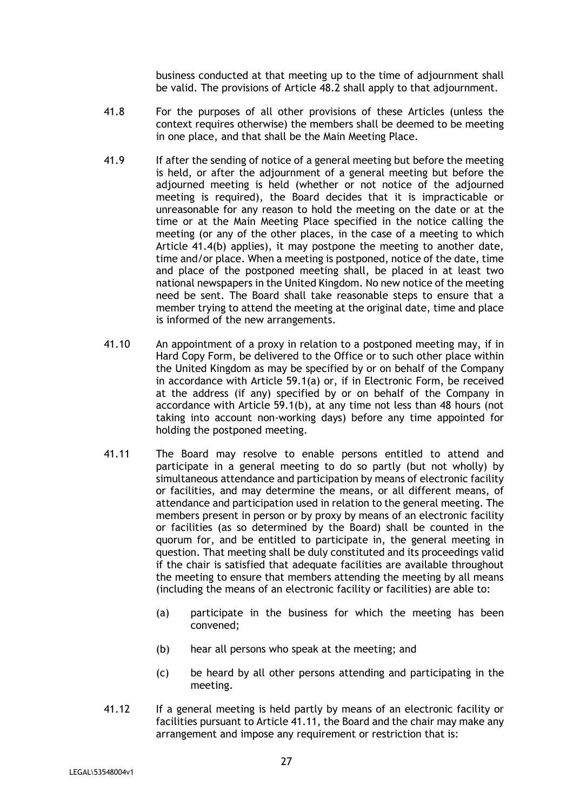business conducted at that meeting up to the time of adjournment shall be valid. The provisions of Article 48.2 shall apply to that adjournment.

- 41.8 For the purposes of all other provisions of these Articles (unless the context requires otherwise) the members shall be deemed to be meeting in one place, and that shall be the Main Meeting Place.
- 41.9 If after the sending of notice of a general meeting but before the meeting is held, or after the adjournment of a general meeting but before the adjourned meeting is held (whether or not notice of the adjourned meeting is required), the Board decides that it is impracticable or unreasonable for any reason to hold the meeting on the date or at the time or at the Main Meeting Place specified in the notice calling the meeting (or any of the other places, in the case of a meeting to which Article 41.4(b) applies), it may postpone the meeting to another date, time and/or place. When a meeting is postponed, notice of the date, time and place of the postponed meeting shall, be placed in at least two national newspapers in the United Kingdom. No new notice of the meeting need be sent. The Board shall take reasonable steps to ensure that a member trying to attend the meeting at the original date, time and place is informed of the new arrangements.
- 41.10 An appointment of a proxy in relation to a postponed meeting may, if in Hard Copy Form, be delivered to the Office or to such other place within the United Kingdom as may be specified by or on behalf of the Company in accordance with Article 59.1(a) or, if in Electronic Form, be received at the address (if any) specified by or on behalf of the Company in accordance with Article 59.1(b), at any time not less than 48 hours (not taking into account non-working days) before any time appointed for holding the postponed meeting.
- 41.11 The Board may resolve to enable persons entitled to attend and participate in a general meeting to do so partly (but not wholly) by simultaneous attendance and participation by means of electronic facility or facilities, and may determine the means, or all different means, of attendance and participation used in relation to the general meeting. The members present in person or by proxy by means of an electronic facility or facilities (as so determined by the Board) shall be counted in the quorum for, and be entitled to participate in, the general meeting in question. That meeting shall be duly constituted and its proceedings valid if the chair is satisfied that adequate facilities are available throughout the meeting to ensure that members attending the meeting by all means (including the means of an electronic facility or facilities) are able to:
	- (a) participate in the business for which the meeting has been convened;
	- (b) hear all persons who speak at the meeting; and
	- (c) be heard by all other persons attending and participating in the meeting.
- 41.12 If a general meeting is held partly by means of an electronic facility or facilities pursuant to Article 41.11, the Board and the chair may make any arrangement and impose any requirement or restriction that is: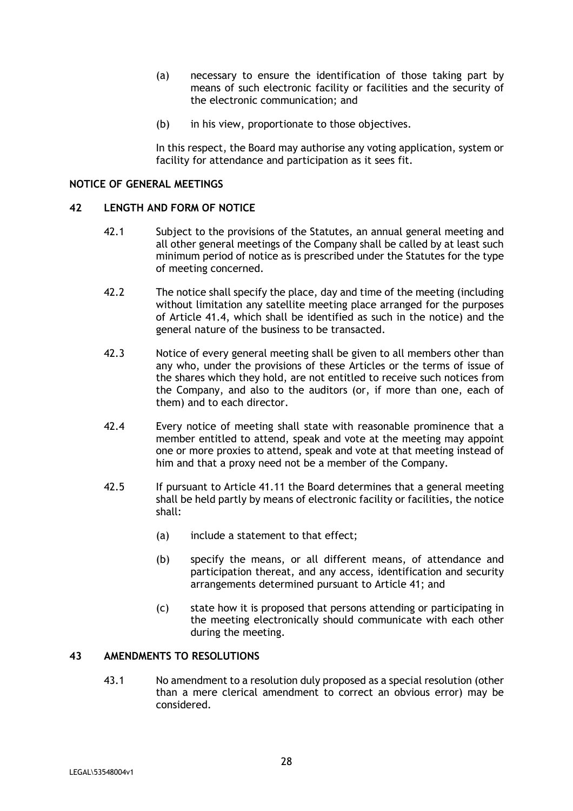- (a) necessary to ensure the identification of those taking part by means of such electronic facility or facilities and the security of the electronic communication; and
- (b) in his view, proportionate to those objectives.

In this respect, the Board may authorise any voting application, system or facility for attendance and participation as it sees fit.

### **NOTICE OF GENERAL MEETINGS**

#### **42 LENGTH AND FORM OF NOTICE**

- 42.1 Subject to the provisions of the Statutes, an annual general meeting and all other general meetings of the Company shall be called by at least such minimum period of notice as is prescribed under the Statutes for the type of meeting concerned.
- 42.2 The notice shall specify the place, day and time of the meeting (including without limitation any satellite meeting place arranged for the purposes of Article 41.4, which shall be identified as such in the notice) and the general nature of the business to be transacted.
- 42.3 Notice of every general meeting shall be given to all members other than any who, under the provisions of these Articles or the terms of issue of the shares which they hold, are not entitled to receive such notices from the Company, and also to the auditors (or, if more than one, each of them) and to each director.
- 42.4 Every notice of meeting shall state with reasonable prominence that a member entitled to attend, speak and vote at the meeting may appoint one or more proxies to attend, speak and vote at that meeting instead of him and that a proxy need not be a member of the Company.
- 42.5 If pursuant to Article 41.11 the Board determines that a general meeting shall be held partly by means of electronic facility or facilities, the notice shall:
	- (a) include a statement to that effect;
	- (b) specify the means, or all different means, of attendance and participation thereat, and any access, identification and security arrangements determined pursuant to Article 41; and
	- (c) state how it is proposed that persons attending or participating in the meeting electronically should communicate with each other during the meeting.

# **43 AMENDMENTS TO RESOLUTIONS**

43.1 No amendment to a resolution duly proposed as a special resolution (other than a mere clerical amendment to correct an obvious error) may be considered.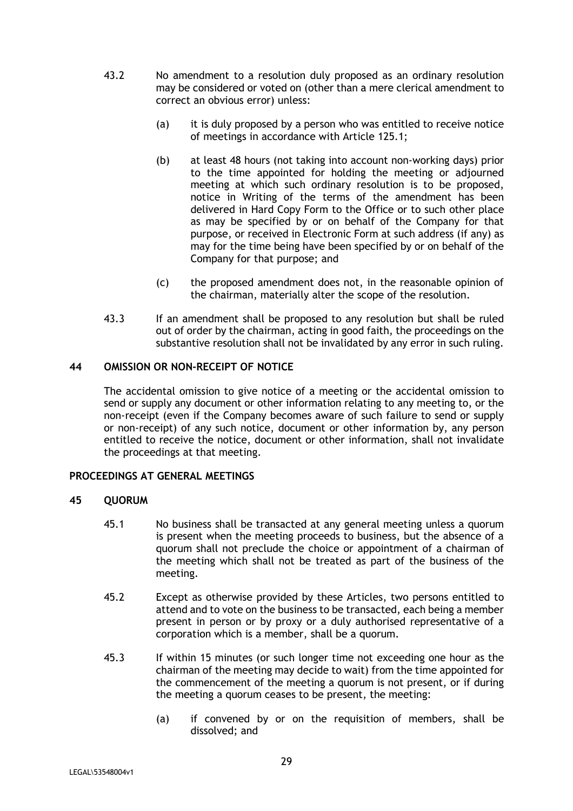- 43.2 No amendment to a resolution duly proposed as an ordinary resolution may be considered or voted on (other than a mere clerical amendment to correct an obvious error) unless:
	- (a) it is duly proposed by a person who was entitled to receive notice of meetings in accordance with Article 125.1;
	- (b) at least 48 hours (not taking into account non-working days) prior to the time appointed for holding the meeting or adjourned meeting at which such ordinary resolution is to be proposed, notice in Writing of the terms of the amendment has been delivered in Hard Copy Form to the Office or to such other place as may be specified by or on behalf of the Company for that purpose, or received in Electronic Form at such address (if any) as may for the time being have been specified by or on behalf of the Company for that purpose; and
	- (c) the proposed amendment does not, in the reasonable opinion of the chairman, materially alter the scope of the resolution.
- 43.3 If an amendment shall be proposed to any resolution but shall be ruled out of order by the chairman, acting in good faith, the proceedings on the substantive resolution shall not be invalidated by any error in such ruling.

# **44 OMISSION OR NON-RECEIPT OF NOTICE**

The accidental omission to give notice of a meeting or the accidental omission to send or supply any document or other information relating to any meeting to, or the non-receipt (even if the Company becomes aware of such failure to send or supply or non-receipt) of any such notice, document or other information by, any person entitled to receive the notice, document or other information, shall not invalidate the proceedings at that meeting.

#### **PROCEEDINGS AT GENERAL MEETINGS**

#### **45 QUORUM**

- 45.1 No business shall be transacted at any general meeting unless a quorum is present when the meeting proceeds to business, but the absence of a quorum shall not preclude the choice or appointment of a chairman of the meeting which shall not be treated as part of the business of the meeting.
- 45.2 Except as otherwise provided by these Articles, two persons entitled to attend and to vote on the business to be transacted, each being a member present in person or by proxy or a duly authorised representative of a corporation which is a member, shall be a quorum.
- 45.3 If within 15 minutes (or such longer time not exceeding one hour as the chairman of the meeting may decide to wait) from the time appointed for the commencement of the meeting a quorum is not present, or if during the meeting a quorum ceases to be present, the meeting:
	- (a) if convened by or on the requisition of members, shall be dissolved; and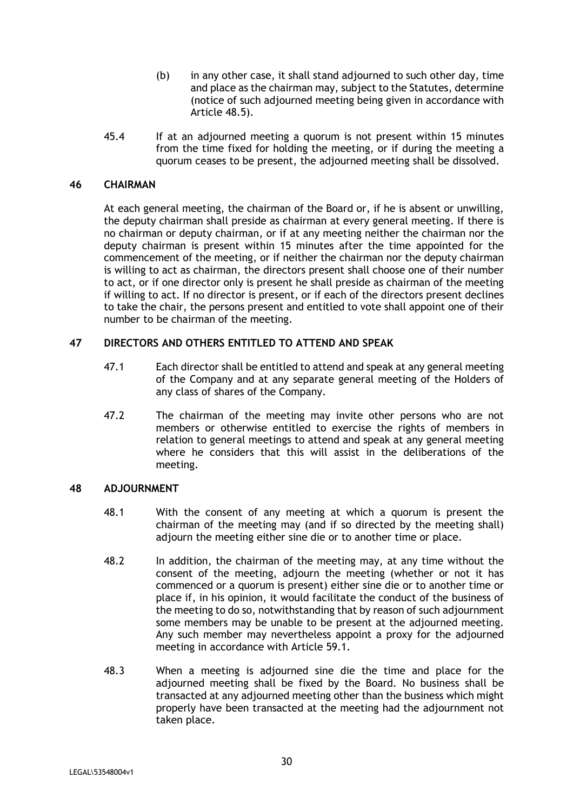- (b) in any other case, it shall stand adjourned to such other day, time and place as the chairman may, subject to the Statutes, determine (notice of such adjourned meeting being given in accordance with Article 48.5).
- 45.4 If at an adjourned meeting a quorum is not present within 15 minutes from the time fixed for holding the meeting, or if during the meeting a quorum ceases to be present, the adjourned meeting shall be dissolved.

## **46 CHAIRMAN**

At each general meeting, the chairman of the Board or, if he is absent or unwilling, the deputy chairman shall preside as chairman at every general meeting. If there is no chairman or deputy chairman, or if at any meeting neither the chairman nor the deputy chairman is present within 15 minutes after the time appointed for the commencement of the meeting, or if neither the chairman nor the deputy chairman is willing to act as chairman, the directors present shall choose one of their number to act, or if one director only is present he shall preside as chairman of the meeting if willing to act. If no director is present, or if each of the directors present declines to take the chair, the persons present and entitled to vote shall appoint one of their number to be chairman of the meeting.

# **47 DIRECTORS AND OTHERS ENTITLED TO ATTEND AND SPEAK**

- 47.1 Each director shall be entitled to attend and speak at any general meeting of the Company and at any separate general meeting of the Holders of any class of shares of the Company.
- 47.2 The chairman of the meeting may invite other persons who are not members or otherwise entitled to exercise the rights of members in relation to general meetings to attend and speak at any general meeting where he considers that this will assist in the deliberations of the meeting.

#### **48 ADJOURNMENT**

- 48.1 With the consent of any meeting at which a quorum is present the chairman of the meeting may (and if so directed by the meeting shall) adjourn the meeting either sine die or to another time or place.
- 48.2 In addition, the chairman of the meeting may, at any time without the consent of the meeting, adjourn the meeting (whether or not it has commenced or a quorum is present) either sine die or to another time or place if, in his opinion, it would facilitate the conduct of the business of the meeting to do so, notwithstanding that by reason of such adjournment some members may be unable to be present at the adjourned meeting. Any such member may nevertheless appoint a proxy for the adjourned meeting in accordance with Article 59.1.
- 48.3 When a meeting is adjourned sine die the time and place for the adjourned meeting shall be fixed by the Board. No business shall be transacted at any adjourned meeting other than the business which might properly have been transacted at the meeting had the adjournment not taken place.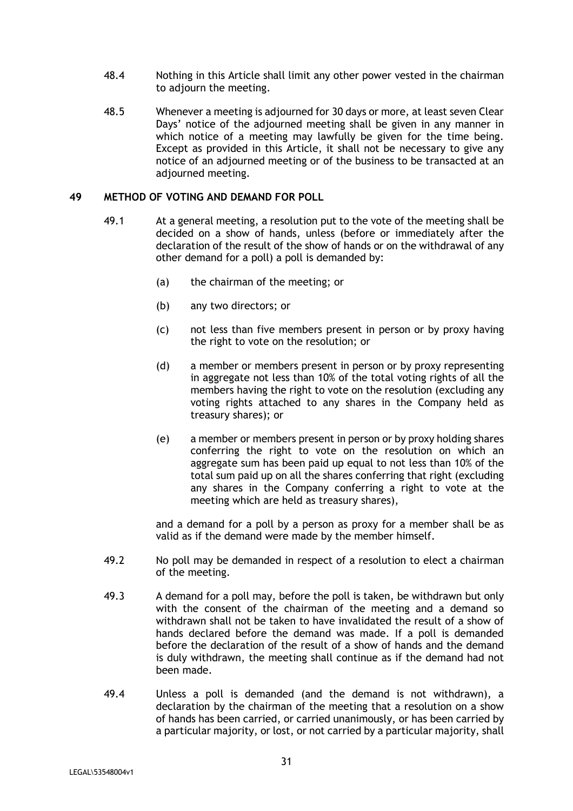- 48.4 Nothing in this Article shall limit any other power vested in the chairman to adjourn the meeting.
- 48.5 Whenever a meeting is adjourned for 30 days or more, at least seven Clear Days' notice of the adjourned meeting shall be given in any manner in which notice of a meeting may lawfully be given for the time being. Except as provided in this Article, it shall not be necessary to give any notice of an adjourned meeting or of the business to be transacted at an adjourned meeting.

#### **49 METHOD OF VOTING AND DEMAND FOR POLL**

- 49.1 At a general meeting, a resolution put to the vote of the meeting shall be decided on a show of hands, unless (before or immediately after the declaration of the result of the show of hands or on the withdrawal of any other demand for a poll) a poll is demanded by:
	- (a) the chairman of the meeting; or
	- (b) any two directors; or
	- (c) not less than five members present in person or by proxy having the right to vote on the resolution; or
	- (d) a member or members present in person or by proxy representing in aggregate not less than 10% of the total voting rights of all the members having the right to vote on the resolution (excluding any voting rights attached to any shares in the Company held as treasury shares); or
	- (e) a member or members present in person or by proxy holding shares conferring the right to vote on the resolution on which an aggregate sum has been paid up equal to not less than 10% of the total sum paid up on all the shares conferring that right (excluding any shares in the Company conferring a right to vote at the meeting which are held as treasury shares),

and a demand for a poll by a person as proxy for a member shall be as valid as if the demand were made by the member himself.

- 49.2 No poll may be demanded in respect of a resolution to elect a chairman of the meeting.
- 49.3 A demand for a poll may, before the poll is taken, be withdrawn but only with the consent of the chairman of the meeting and a demand so withdrawn shall not be taken to have invalidated the result of a show of hands declared before the demand was made. If a poll is demanded before the declaration of the result of a show of hands and the demand is duly withdrawn, the meeting shall continue as if the demand had not been made.
- 49.4 Unless a poll is demanded (and the demand is not withdrawn), a declaration by the chairman of the meeting that a resolution on a show of hands has been carried, or carried unanimously, or has been carried by a particular majority, or lost, or not carried by a particular majority, shall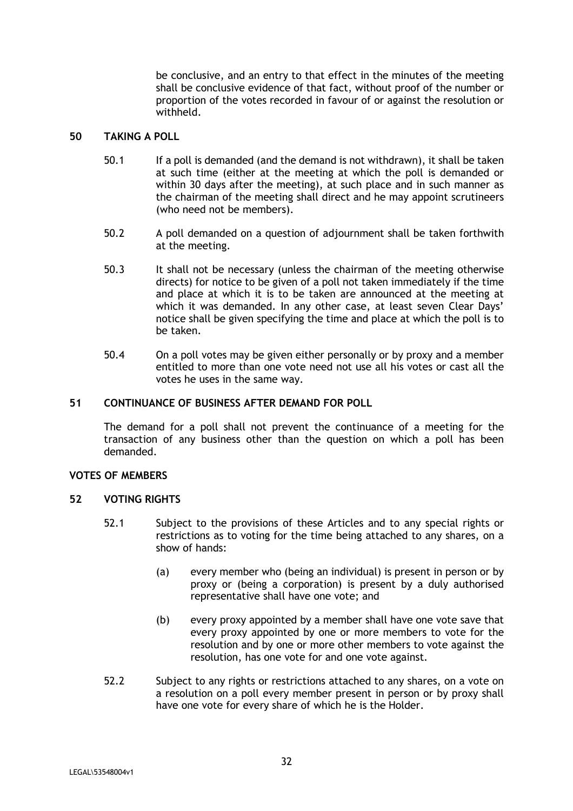be conclusive, and an entry to that effect in the minutes of the meeting shall be conclusive evidence of that fact, without proof of the number or proportion of the votes recorded in favour of or against the resolution or withheld.

# **50 TAKING A POLL**

- 50.1 If a poll is demanded (and the demand is not withdrawn), it shall be taken at such time (either at the meeting at which the poll is demanded or within 30 days after the meeting), at such place and in such manner as the chairman of the meeting shall direct and he may appoint scrutineers (who need not be members).
- 50.2 A poll demanded on a question of adjournment shall be taken forthwith at the meeting.
- 50.3 It shall not be necessary (unless the chairman of the meeting otherwise directs) for notice to be given of a poll not taken immediately if the time and place at which it is to be taken are announced at the meeting at which it was demanded. In any other case, at least seven Clear Days' notice shall be given specifying the time and place at which the poll is to be taken.
- 50.4 On a poll votes may be given either personally or by proxy and a member entitled to more than one vote need not use all his votes or cast all the votes he uses in the same way.

## **51 CONTINUANCE OF BUSINESS AFTER DEMAND FOR POLL**

The demand for a poll shall not prevent the continuance of a meeting for the transaction of any business other than the question on which a poll has been demanded.

# **VOTES OF MEMBERS**

# **52 VOTING RIGHTS**

- 52.1 Subject to the provisions of these Articles and to any special rights or restrictions as to voting for the time being attached to any shares, on a show of hands:
	- (a) every member who (being an individual) is present in person or by proxy or (being a corporation) is present by a duly authorised representative shall have one vote; and
	- (b) every proxy appointed by a member shall have one vote save that every proxy appointed by one or more members to vote for the resolution and by one or more other members to vote against the resolution, has one vote for and one vote against.
- 52.2 Subject to any rights or restrictions attached to any shares, on a vote on a resolution on a poll every member present in person or by proxy shall have one vote for every share of which he is the Holder.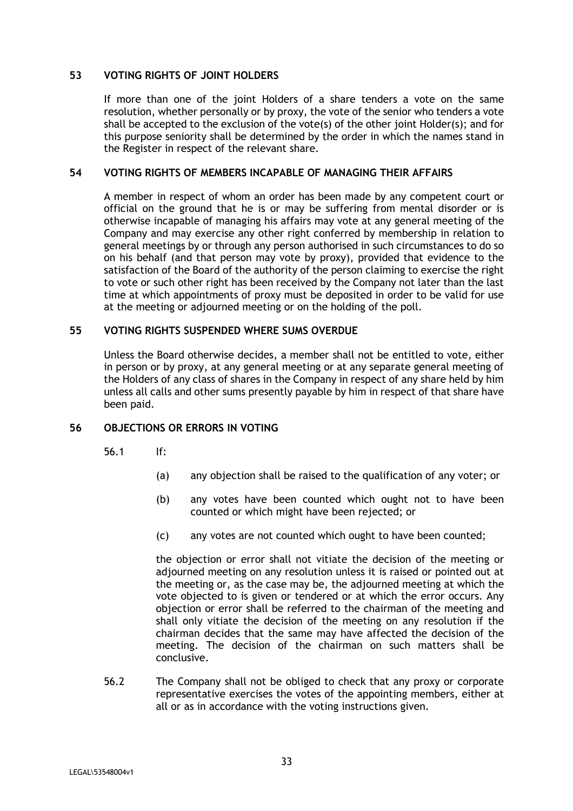#### **53 VOTING RIGHTS OF JOINT HOLDERS**

If more than one of the joint Holders of a share tenders a vote on the same resolution, whether personally or by proxy, the vote of the senior who tenders a vote shall be accepted to the exclusion of the vote(s) of the other joint Holder(s); and for this purpose seniority shall be determined by the order in which the names stand in the Register in respect of the relevant share.

#### **54 VOTING RIGHTS OF MEMBERS INCAPABLE OF MANAGING THEIR AFFAIRS**

A member in respect of whom an order has been made by any competent court or official on the ground that he is or may be suffering from mental disorder or is otherwise incapable of managing his affairs may vote at any general meeting of the Company and may exercise any other right conferred by membership in relation to general meetings by or through any person authorised in such circumstances to do so on his behalf (and that person may vote by proxy), provided that evidence to the satisfaction of the Board of the authority of the person claiming to exercise the right to vote or such other right has been received by the Company not later than the last time at which appointments of proxy must be deposited in order to be valid for use at the meeting or adjourned meeting or on the holding of the poll.

#### **55 VOTING RIGHTS SUSPENDED WHERE SUMS OVERDUE**

Unless the Board otherwise decides, a member shall not be entitled to vote, either in person or by proxy, at any general meeting or at any separate general meeting of the Holders of any class of shares in the Company in respect of any share held by him unless all calls and other sums presently payable by him in respect of that share have been paid.

# **56 OBJECTIONS OR ERRORS IN VOTING**

- 56.1 If:
	- (a) any objection shall be raised to the qualification of any voter; or
	- (b) any votes have been counted which ought not to have been counted or which might have been rejected; or
	- (c) any votes are not counted which ought to have been counted;

the objection or error shall not vitiate the decision of the meeting or adjourned meeting on any resolution unless it is raised or pointed out at the meeting or, as the case may be, the adjourned meeting at which the vote objected to is given or tendered or at which the error occurs. Any objection or error shall be referred to the chairman of the meeting and shall only vitiate the decision of the meeting on any resolution if the chairman decides that the same may have affected the decision of the meeting. The decision of the chairman on such matters shall be conclusive.

56.2 The Company shall not be obliged to check that any proxy or corporate representative exercises the votes of the appointing members, either at all or as in accordance with the voting instructions given.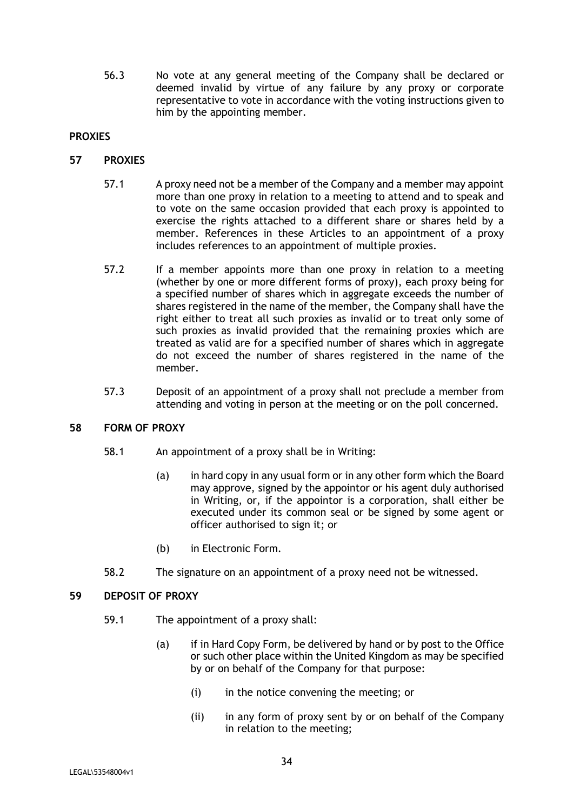56.3 No vote at any general meeting of the Company shall be declared or deemed invalid by virtue of any failure by any proxy or corporate representative to vote in accordance with the voting instructions given to him by the appointing member.

# **PROXIES**

# **57 PROXIES**

- 57.1 A proxy need not be a member of the Company and a member may appoint more than one proxy in relation to a meeting to attend and to speak and to vote on the same occasion provided that each proxy is appointed to exercise the rights attached to a different share or shares held by a member. References in these Articles to an appointment of a proxy includes references to an appointment of multiple proxies.
- 57.2 If a member appoints more than one proxy in relation to a meeting (whether by one or more different forms of proxy), each proxy being for a specified number of shares which in aggregate exceeds the number of shares registered in the name of the member, the Company shall have the right either to treat all such proxies as invalid or to treat only some of such proxies as invalid provided that the remaining proxies which are treated as valid are for a specified number of shares which in aggregate do not exceed the number of shares registered in the name of the member.
- 57.3 Deposit of an appointment of a proxy shall not preclude a member from attending and voting in person at the meeting or on the poll concerned.

# **58 FORM OF PROXY**

- 58.1 An appointment of a proxy shall be in Writing:
	- (a) in hard copy in any usual form or in any other form which the Board may approve, signed by the appointor or his agent duly authorised in Writing, or, if the appointor is a corporation, shall either be executed under its common seal or be signed by some agent or officer authorised to sign it; or
	- (b) in Electronic Form.
- 58.2 The signature on an appointment of a proxy need not be witnessed.

# **59 DEPOSIT OF PROXY**

- 59.1 The appointment of a proxy shall:
	- (a) if in Hard Copy Form, be delivered by hand or by post to the Office or such other place within the United Kingdom as may be specified by or on behalf of the Company for that purpose:
		- (i) in the notice convening the meeting; or
		- (ii) in any form of proxy sent by or on behalf of the Company in relation to the meeting;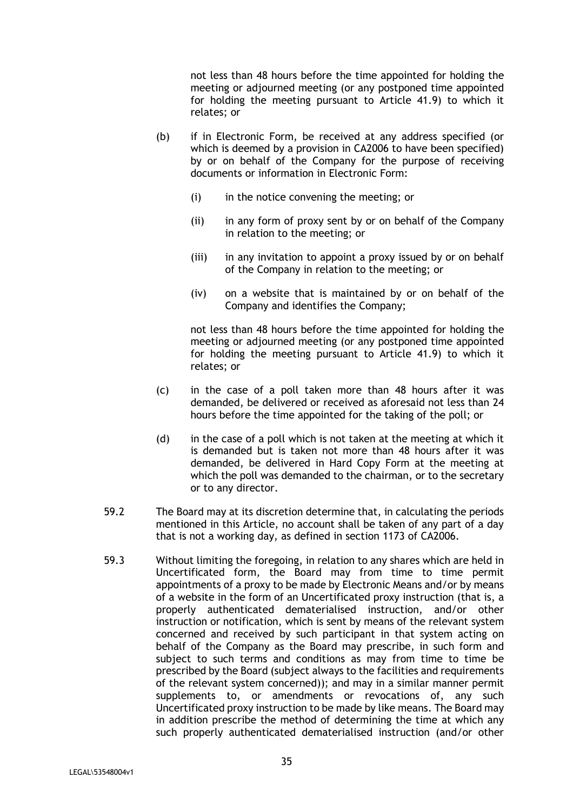not less than 48 hours before the time appointed for holding the meeting or adjourned meeting (or any postponed time appointed for holding the meeting pursuant to Article 41.9) to which it relates; or

- (b) if in Electronic Form, be received at any address specified (or which is deemed by a provision in CA2006 to have been specified) by or on behalf of the Company for the purpose of receiving documents or information in Electronic Form:
	- (i) in the notice convening the meeting; or
	- (ii) in any form of proxy sent by or on behalf of the Company in relation to the meeting; or
	- (iii) in any invitation to appoint a proxy issued by or on behalf of the Company in relation to the meeting; or
	- (iv) on a website that is maintained by or on behalf of the Company and identifies the Company;

not less than 48 hours before the time appointed for holding the meeting or adjourned meeting (or any postponed time appointed for holding the meeting pursuant to Article 41.9) to which it relates; or

- (c) in the case of a poll taken more than 48 hours after it was demanded, be delivered or received as aforesaid not less than 24 hours before the time appointed for the taking of the poll; or
- (d) in the case of a poll which is not taken at the meeting at which it is demanded but is taken not more than 48 hours after it was demanded, be delivered in Hard Copy Form at the meeting at which the poll was demanded to the chairman, or to the secretary or to any director.
- 59.2 The Board may at its discretion determine that, in calculating the periods mentioned in this Article, no account shall be taken of any part of a day that is not a working day, as defined in section 1173 of CA2006.
- 59.3 Without limiting the foregoing, in relation to any shares which are held in Uncertificated form, the Board may from time to time permit appointments of a proxy to be made by Electronic Means and/or by means of a website in the form of an Uncertificated proxy instruction (that is, a properly authenticated dematerialised instruction, and/or other instruction or notification, which is sent by means of the relevant system concerned and received by such participant in that system acting on behalf of the Company as the Board may prescribe, in such form and subject to such terms and conditions as may from time to time be prescribed by the Board (subject always to the facilities and requirements of the relevant system concerned)); and may in a similar manner permit supplements to, or amendments or revocations of, any such Uncertificated proxy instruction to be made by like means. The Board may in addition prescribe the method of determining the time at which any such properly authenticated dematerialised instruction (and/or other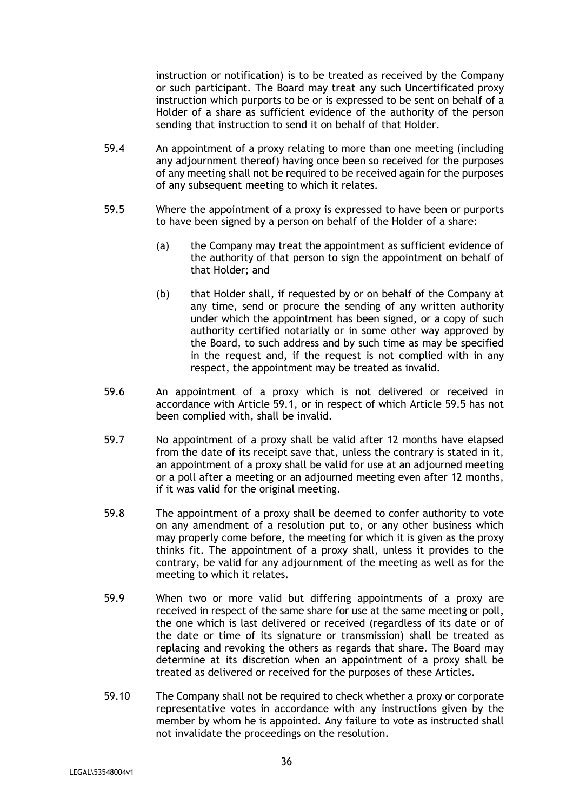instruction or notification) is to be treated as received by the Company or such participant. The Board may treat any such Uncertificated proxy instruction which purports to be or is expressed to be sent on behalf of a Holder of a share as sufficient evidence of the authority of the person sending that instruction to send it on behalf of that Holder.

- 59.4 An appointment of a proxy relating to more than one meeting (including any adjournment thereof) having once been so received for the purposes of any meeting shall not be required to be received again for the purposes of any subsequent meeting to which it relates.
- 59.5 Where the appointment of a proxy is expressed to have been or purports to have been signed by a person on behalf of the Holder of a share:
	- (a) the Company may treat the appointment as sufficient evidence of the authority of that person to sign the appointment on behalf of that Holder; and
	- (b) that Holder shall, if requested by or on behalf of the Company at any time, send or procure the sending of any written authority under which the appointment has been signed, or a copy of such authority certified notarially or in some other way approved by the Board, to such address and by such time as may be specified in the request and, if the request is not complied with in any respect, the appointment may be treated as invalid.
- 59.6 An appointment of a proxy which is not delivered or received in accordance with Article 59.1, or in respect of which Article 59.5 has not been complied with, shall be invalid.
- 59.7 No appointment of a proxy shall be valid after 12 months have elapsed from the date of its receipt save that, unless the contrary is stated in it, an appointment of a proxy shall be valid for use at an adjourned meeting or a poll after a meeting or an adjourned meeting even after 12 months, if it was valid for the original meeting.
- 59.8 The appointment of a proxy shall be deemed to confer authority to vote on any amendment of a resolution put to, or any other business which may properly come before, the meeting for which it is given as the proxy thinks fit. The appointment of a proxy shall, unless it provides to the contrary, be valid for any adjournment of the meeting as well as for the meeting to which it relates.
- 59.9 When two or more valid but differing appointments of a proxy are received in respect of the same share for use at the same meeting or poll, the one which is last delivered or received (regardless of its date or of the date or time of its signature or transmission) shall be treated as replacing and revoking the others as regards that share. The Board may determine at its discretion when an appointment of a proxy shall be treated as delivered or received for the purposes of these Articles.
- 59.10 The Company shall not be required to check whether a proxy or corporate representative votes in accordance with any instructions given by the member by whom he is appointed. Any failure to vote as instructed shall not invalidate the proceedings on the resolution.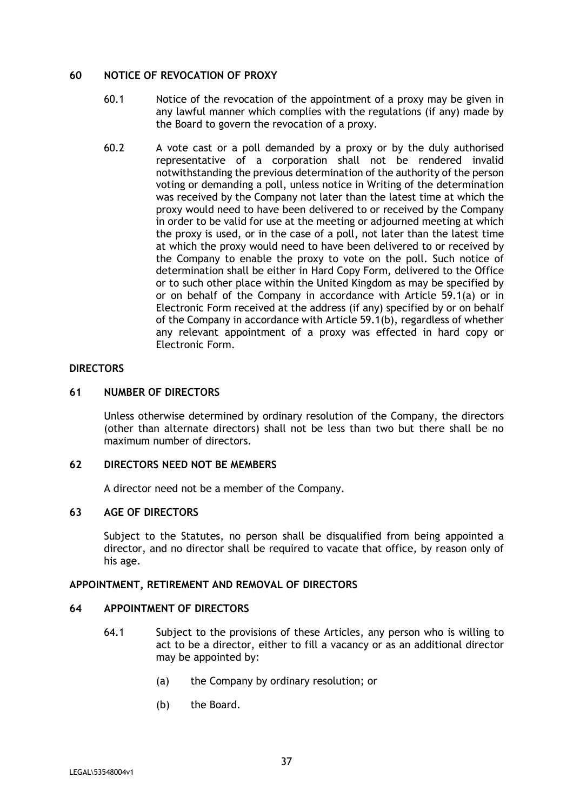#### **60 NOTICE OF REVOCATION OF PROXY**

- 60.1 Notice of the revocation of the appointment of a proxy may be given in any lawful manner which complies with the regulations (if any) made by the Board to govern the revocation of a proxy.
- 60.2 A vote cast or a poll demanded by a proxy or by the duly authorised representative of a corporation shall not be rendered invalid notwithstanding the previous determination of the authority of the person voting or demanding a poll, unless notice in Writing of the determination was received by the Company not later than the latest time at which the proxy would need to have been delivered to or received by the Company in order to be valid for use at the meeting or adjourned meeting at which the proxy is used, or in the case of a poll, not later than the latest time at which the proxy would need to have been delivered to or received by the Company to enable the proxy to vote on the poll. Such notice of determination shall be either in Hard Copy Form, delivered to the Office or to such other place within the United Kingdom as may be specified by or on behalf of the Company in accordance with Article 59.1(a) or in Electronic Form received at the address (if any) specified by or on behalf of the Company in accordance with Article 59.1(b), regardless of whether any relevant appointment of a proxy was effected in hard copy or Electronic Form.

## **DIRECTORS**

## **61 NUMBER OF DIRECTORS**

Unless otherwise determined by ordinary resolution of the Company, the directors (other than alternate directors) shall not be less than two but there shall be no maximum number of directors.

#### **62 DIRECTORS NEED NOT BE MEMBERS**

A director need not be a member of the Company.

# **63 AGE OF DIRECTORS**

Subject to the Statutes, no person shall be disqualified from being appointed a director, and no director shall be required to vacate that office, by reason only of his age.

#### **APPOINTMENT, RETIREMENT AND REMOVAL OF DIRECTORS**

## **64 APPOINTMENT OF DIRECTORS**

- 64.1 Subject to the provisions of these Articles, any person who is willing to act to be a director, either to fill a vacancy or as an additional director may be appointed by:
	- (a) the Company by ordinary resolution; or
	- (b) the Board.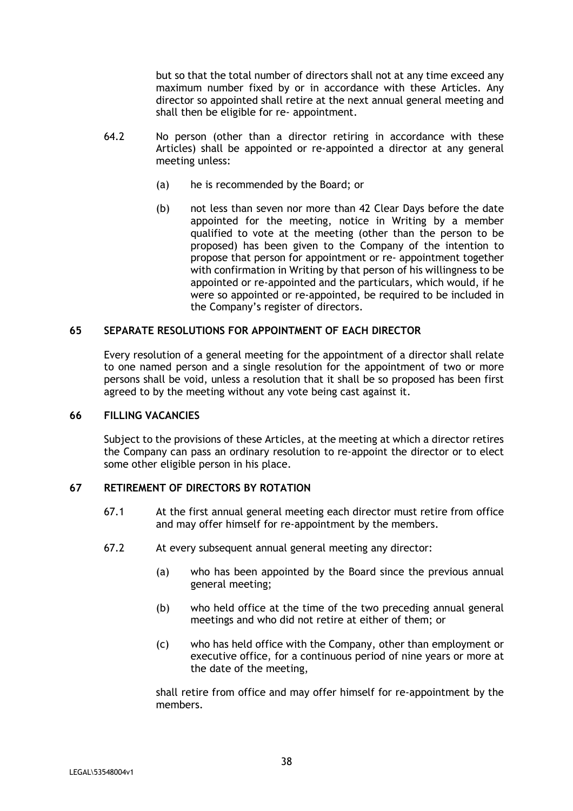but so that the total number of directors shall not at any time exceed any maximum number fixed by or in accordance with these Articles. Any director so appointed shall retire at the next annual general meeting and shall then be eligible for re- appointment.

- 64.2 No person (other than a director retiring in accordance with these Articles) shall be appointed or re-appointed a director at any general meeting unless:
	- (a) he is recommended by the Board; or
	- (b) not less than seven nor more than 42 Clear Days before the date appointed for the meeting, notice in Writing by a member qualified to vote at the meeting (other than the person to be proposed) has been given to the Company of the intention to propose that person for appointment or re- appointment together with confirmation in Writing by that person of his willingness to be appointed or re-appointed and the particulars, which would, if he were so appointed or re-appointed, be required to be included in the Company's register of directors.

# **65 SEPARATE RESOLUTIONS FOR APPOINTMENT OF EACH DIRECTOR**

Every resolution of a general meeting for the appointment of a director shall relate to one named person and a single resolution for the appointment of two or more persons shall be void, unless a resolution that it shall be so proposed has been first agreed to by the meeting without any vote being cast against it.

## **66 FILLING VACANCIES**

Subject to the provisions of these Articles, at the meeting at which a director retires the Company can pass an ordinary resolution to re-appoint the director or to elect some other eligible person in his place.

#### **67 RETIREMENT OF DIRECTORS BY ROTATION**

- 67.1 At the first annual general meeting each director must retire from office and may offer himself for re-appointment by the members.
- 67.2 At every subsequent annual general meeting any director:
	- (a) who has been appointed by the Board since the previous annual general meeting;
	- (b) who held office at the time of the two preceding annual general meetings and who did not retire at either of them; or
	- (c) who has held office with the Company, other than employment or executive office, for a continuous period of nine years or more at the date of the meeting,

shall retire from office and may offer himself for re-appointment by the members.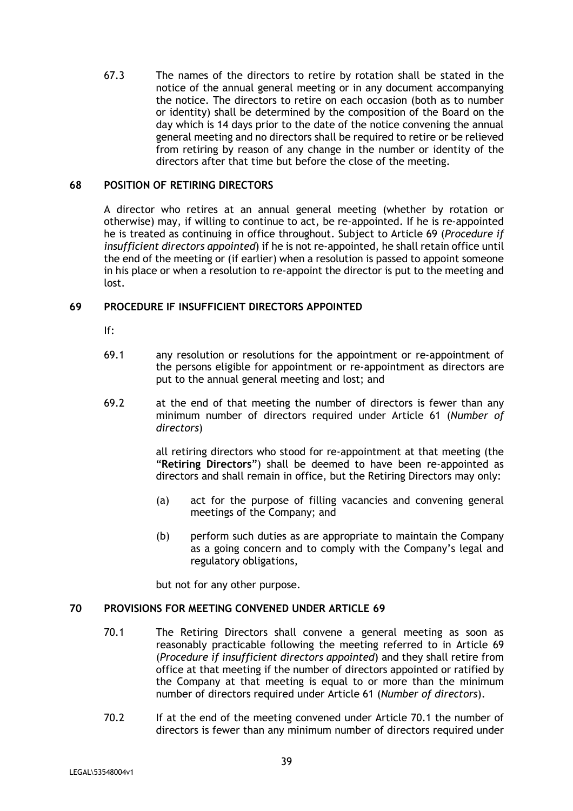67.3 The names of the directors to retire by rotation shall be stated in the notice of the annual general meeting or in any document accompanying the notice. The directors to retire on each occasion (both as to number or identity) shall be determined by the composition of the Board on the day which is 14 days prior to the date of the notice convening the annual general meeting and no directors shall be required to retire or be relieved from retiring by reason of any change in the number or identity of the directors after that time but before the close of the meeting.

## **68 POSITION OF RETIRING DIRECTORS**

A director who retires at an annual general meeting (whether by rotation or otherwise) may, if willing to continue to act, be re-appointed. If he is re-appointed he is treated as continuing in office throughout. Subject to Article 69 (*Procedure if insufficient directors appointed*) if he is not re-appointed, he shall retain office until the end of the meeting or (if earlier) when a resolution is passed to appoint someone in his place or when a resolution to re-appoint the director is put to the meeting and lost.

## **69 PROCEDURE IF INSUFFICIENT DIRECTORS APPOINTED**

- If:
- 69.1 any resolution or resolutions for the appointment or re-appointment of the persons eligible for appointment or re-appointment as directors are put to the annual general meeting and lost; and
- 69.2 at the end of that meeting the number of directors is fewer than any minimum number of directors required under Article 61 (*Number of directors*)

all retiring directors who stood for re-appointment at that meeting (the "**Retiring Directors**") shall be deemed to have been re-appointed as directors and shall remain in office, but the Retiring Directors may only:

- (a) act for the purpose of filling vacancies and convening general meetings of the Company; and
- (b) perform such duties as are appropriate to maintain the Company as a going concern and to comply with the Company's legal and regulatory obligations,

but not for any other purpose.

#### **70 PROVISIONS FOR MEETING CONVENED UNDER ARTICLE 69**

- 70.1 The Retiring Directors shall convene a general meeting as soon as reasonably practicable following the meeting referred to in Article 69 (*Procedure if insufficient directors appointed*) and they shall retire from office at that meeting if the number of directors appointed or ratified by the Company at that meeting is equal to or more than the minimum number of directors required under Article 61 (*Number of directors*).
- 70.2 If at the end of the meeting convened under Article 70.1 the number of directors is fewer than any minimum number of directors required under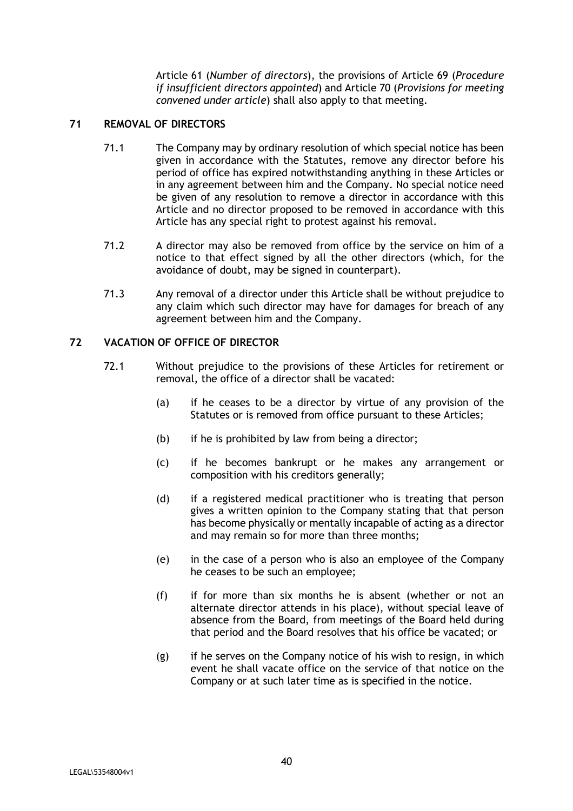Article 61 (*Number of directors*), the provisions of Article 69 (*Procedure if insufficient directors appointed*) and Article 70 (*Provisions for meeting convened under article*) shall also apply to that meeting.

# **71 REMOVAL OF DIRECTORS**

- 71.1 The Company may by ordinary resolution of which special notice has been given in accordance with the Statutes, remove any director before his period of office has expired notwithstanding anything in these Articles or in any agreement between him and the Company. No special notice need be given of any resolution to remove a director in accordance with this Article and no director proposed to be removed in accordance with this Article has any special right to protest against his removal.
- 71.2 A director may also be removed from office by the service on him of a notice to that effect signed by all the other directors (which, for the avoidance of doubt, may be signed in counterpart).
- 71.3 Any removal of a director under this Article shall be without prejudice to any claim which such director may have for damages for breach of any agreement between him and the Company.

# **72 VACATION OF OFFICE OF DIRECTOR**

- 72.1 Without prejudice to the provisions of these Articles for retirement or removal, the office of a director shall be vacated:
	- (a) if he ceases to be a director by virtue of any provision of the Statutes or is removed from office pursuant to these Articles;
	- (b) if he is prohibited by law from being a director;
	- (c) if he becomes bankrupt or he makes any arrangement or composition with his creditors generally;
	- (d) if a registered medical practitioner who is treating that person gives a written opinion to the Company stating that that person has become physically or mentally incapable of acting as a director and may remain so for more than three months;
	- (e) in the case of a person who is also an employee of the Company he ceases to be such an employee;
	- (f) if for more than six months he is absent (whether or not an alternate director attends in his place), without special leave of absence from the Board, from meetings of the Board held during that period and the Board resolves that his office be vacated; or
	- (g) if he serves on the Company notice of his wish to resign, in which event he shall vacate office on the service of that notice on the Company or at such later time as is specified in the notice.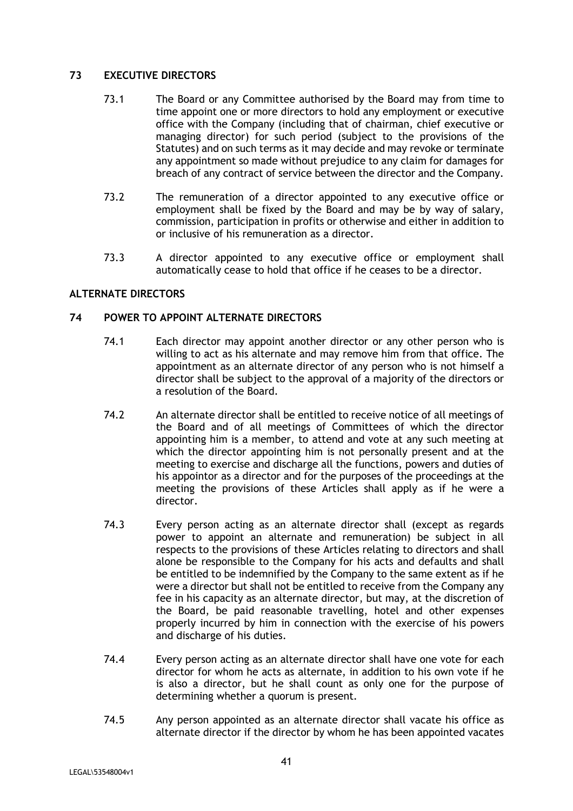# **73 EXECUTIVE DIRECTORS**

- 73.1 The Board or any Committee authorised by the Board may from time to time appoint one or more directors to hold any employment or executive office with the Company (including that of chairman, chief executive or managing director) for such period (subject to the provisions of the Statutes) and on such terms as it may decide and may revoke or terminate any appointment so made without prejudice to any claim for damages for breach of any contract of service between the director and the Company.
- 73.2 The remuneration of a director appointed to any executive office or employment shall be fixed by the Board and may be by way of salary, commission, participation in profits or otherwise and either in addition to or inclusive of his remuneration as a director.
- 73.3 A director appointed to any executive office or employment shall automatically cease to hold that office if he ceases to be a director.

# **ALTERNATE DIRECTORS**

## **74 POWER TO APPOINT ALTERNATE DIRECTORS**

- 74.1 Each director may appoint another director or any other person who is willing to act as his alternate and may remove him from that office. The appointment as an alternate director of any person who is not himself a director shall be subject to the approval of a majority of the directors or a resolution of the Board.
- 74.2 An alternate director shall be entitled to receive notice of all meetings of the Board and of all meetings of Committees of which the director appointing him is a member, to attend and vote at any such meeting at which the director appointing him is not personally present and at the meeting to exercise and discharge all the functions, powers and duties of his appointor as a director and for the purposes of the proceedings at the meeting the provisions of these Articles shall apply as if he were a director.
- 74.3 Every person acting as an alternate director shall (except as regards power to appoint an alternate and remuneration) be subject in all respects to the provisions of these Articles relating to directors and shall alone be responsible to the Company for his acts and defaults and shall be entitled to be indemnified by the Company to the same extent as if he were a director but shall not be entitled to receive from the Company any fee in his capacity as an alternate director, but may, at the discretion of the Board, be paid reasonable travelling, hotel and other expenses properly incurred by him in connection with the exercise of his powers and discharge of his duties.
- 74.4 Every person acting as an alternate director shall have one vote for each director for whom he acts as alternate, in addition to his own vote if he is also a director, but he shall count as only one for the purpose of determining whether a quorum is present.
- 74.5 Any person appointed as an alternate director shall vacate his office as alternate director if the director by whom he has been appointed vacates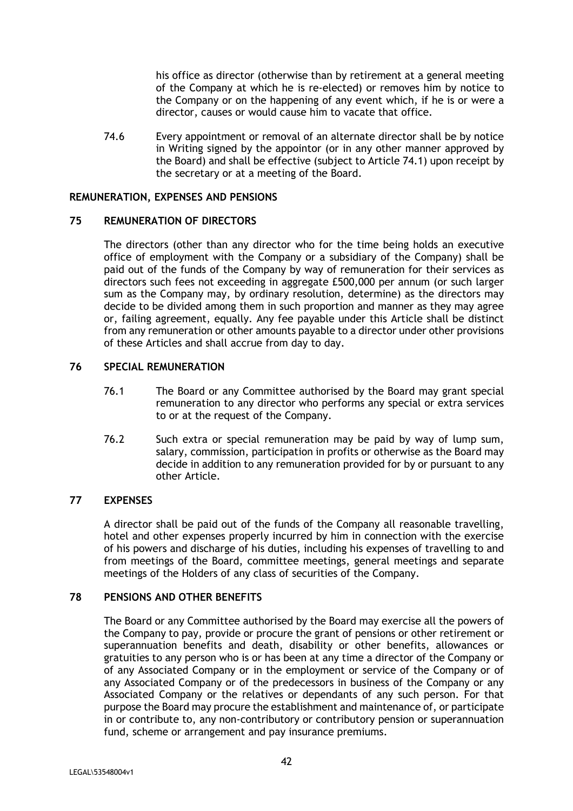his office as director (otherwise than by retirement at a general meeting of the Company at which he is re-elected) or removes him by notice to the Company or on the happening of any event which, if he is or were a director, causes or would cause him to vacate that office.

74.6 Every appointment or removal of an alternate director shall be by notice in Writing signed by the appointor (or in any other manner approved by the Board) and shall be effective (subject to Article 74.1) upon receipt by the secretary or at a meeting of the Board.

## **REMUNERATION, EXPENSES AND PENSIONS**

# **75 REMUNERATION OF DIRECTORS**

The directors (other than any director who for the time being holds an executive office of employment with the Company or a subsidiary of the Company) shall be paid out of the funds of the Company by way of remuneration for their services as directors such fees not exceeding in aggregate £500,000 per annum (or such larger sum as the Company may, by ordinary resolution, determine) as the directors may decide to be divided among them in such proportion and manner as they may agree or, failing agreement, equally. Any fee payable under this Article shall be distinct from any remuneration or other amounts payable to a director under other provisions of these Articles and shall accrue from day to day.

# **76 SPECIAL REMUNERATION**

- 76.1 The Board or any Committee authorised by the Board may grant special remuneration to any director who performs any special or extra services to or at the request of the Company.
- 76.2 Such extra or special remuneration may be paid by way of lump sum, salary, commission, participation in profits or otherwise as the Board may decide in addition to any remuneration provided for by or pursuant to any other Article.

# **77 EXPENSES**

A director shall be paid out of the funds of the Company all reasonable travelling, hotel and other expenses properly incurred by him in connection with the exercise of his powers and discharge of his duties, including his expenses of travelling to and from meetings of the Board, committee meetings, general meetings and separate meetings of the Holders of any class of securities of the Company.

# **78 PENSIONS AND OTHER BENEFITS**

The Board or any Committee authorised by the Board may exercise all the powers of the Company to pay, provide or procure the grant of pensions or other retirement or superannuation benefits and death, disability or other benefits, allowances or gratuities to any person who is or has been at any time a director of the Company or of any Associated Company or in the employment or service of the Company or of any Associated Company or of the predecessors in business of the Company or any Associated Company or the relatives or dependants of any such person. For that purpose the Board may procure the establishment and maintenance of, or participate in or contribute to, any non-contributory or contributory pension or superannuation fund, scheme or arrangement and pay insurance premiums.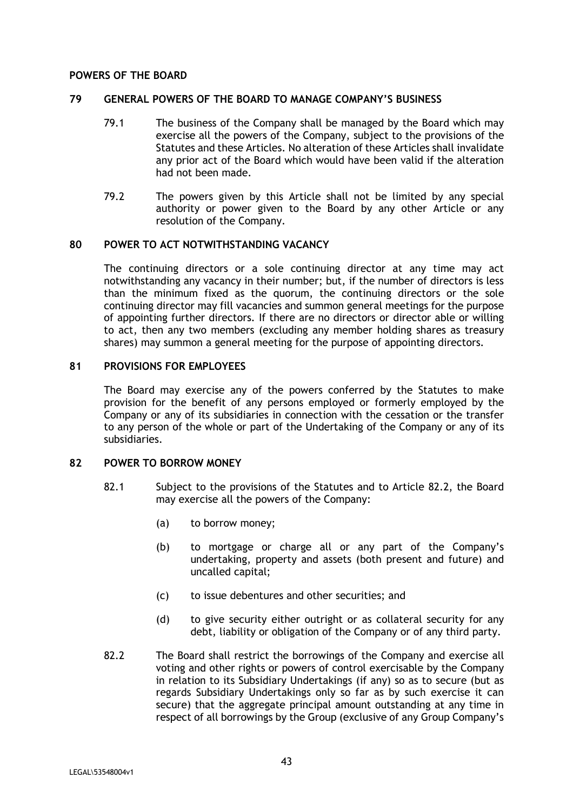### **POWERS OF THE BOARD**

## **79 GENERAL POWERS OF THE BOARD TO MANAGE COMPANY'S BUSINESS**

- 79.1 The business of the Company shall be managed by the Board which may exercise all the powers of the Company, subject to the provisions of the Statutes and these Articles. No alteration of these Articles shall invalidate any prior act of the Board which would have been valid if the alteration had not been made.
- 79.2 The powers given by this Article shall not be limited by any special authority or power given to the Board by any other Article or any resolution of the Company.

#### **80 POWER TO ACT NOTWITHSTANDING VACANCY**

The continuing directors or a sole continuing director at any time may act notwithstanding any vacancy in their number; but, if the number of directors is less than the minimum fixed as the quorum, the continuing directors or the sole continuing director may fill vacancies and summon general meetings for the purpose of appointing further directors. If there are no directors or director able or willing to act, then any two members (excluding any member holding shares as treasury shares) may summon a general meeting for the purpose of appointing directors.

### **81 PROVISIONS FOR EMPLOYEES**

The Board may exercise any of the powers conferred by the Statutes to make provision for the benefit of any persons employed or formerly employed by the Company or any of its subsidiaries in connection with the cessation or the transfer to any person of the whole or part of the Undertaking of the Company or any of its subsidiaries.

### **82 POWER TO BORROW MONEY**

- 82.1 Subject to the provisions of the Statutes and to Article 82.2, the Board may exercise all the powers of the Company:
	- (a) to borrow money;
	- (b) to mortgage or charge all or any part of the Company's undertaking, property and assets (both present and future) and uncalled capital;
	- (c) to issue debentures and other securities; and
	- (d) to give security either outright or as collateral security for any debt, liability or obligation of the Company or of any third party.
- 82.2 The Board shall restrict the borrowings of the Company and exercise all voting and other rights or powers of control exercisable by the Company in relation to its Subsidiary Undertakings (if any) so as to secure (but as regards Subsidiary Undertakings only so far as by such exercise it can secure) that the aggregate principal amount outstanding at any time in respect of all borrowings by the Group (exclusive of any Group Company's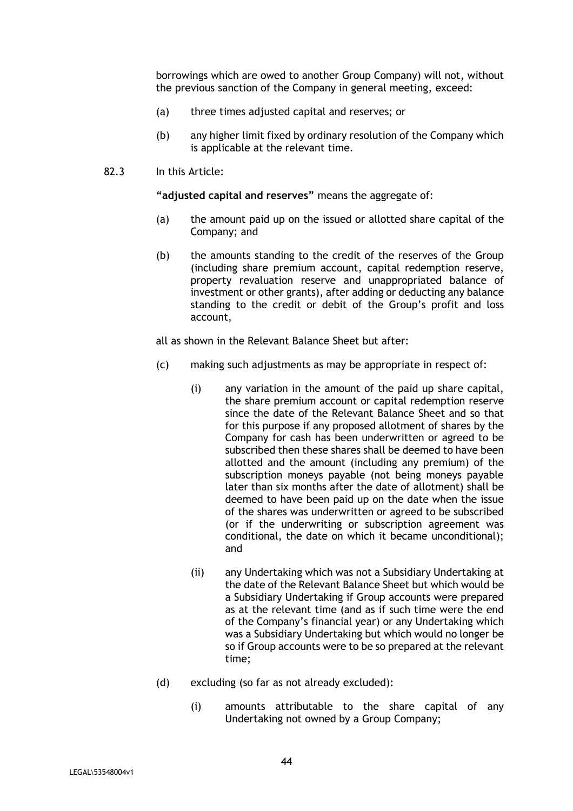borrowings which are owed to another Group Company) will not, without the previous sanction of the Company in general meeting, exceed:

- (a) three times adjusted capital and reserves; or
- (b) any higher limit fixed by ordinary resolution of the Company which is applicable at the relevant time.
- 82.3 In this Article:

**"adjusted capital and reserves"** means the aggregate of:

- (a) the amount paid up on the issued or allotted share capital of the Company; and
- (b) the amounts standing to the credit of the reserves of the Group (including share premium account, capital redemption reserve, property revaluation reserve and unappropriated balance of investment or other grants), after adding or deducting any balance standing to the credit or debit of the Group's profit and loss account,

all as shown in the Relevant Balance Sheet but after:

- (c) making such adjustments as may be appropriate in respect of:
	- (i) any variation in the amount of the paid up share capital, the share premium account or capital redemption reserve since the date of the Relevant Balance Sheet and so that for this purpose if any proposed allotment of shares by the Company for cash has been underwritten or agreed to be subscribed then these shares shall be deemed to have been allotted and the amount (including any premium) of the subscription moneys payable (not being moneys payable later than six months after the date of allotment) shall be deemed to have been paid up on the date when the issue of the shares was underwritten or agreed to be subscribed (or if the underwriting or subscription agreement was conditional, the date on which it became unconditional); and
	- (ii) any Undertaking which was not a Subsidiary Undertaking at the date of the Relevant Balance Sheet but which would be a Subsidiary Undertaking if Group accounts were prepared as at the relevant time (and as if such time were the end of the Company's financial year) or any Undertaking which was a Subsidiary Undertaking but which would no longer be so if Group accounts were to be so prepared at the relevant time;
- (d) excluding (so far as not already excluded):
	- (i) amounts attributable to the share capital of any Undertaking not owned by a Group Company;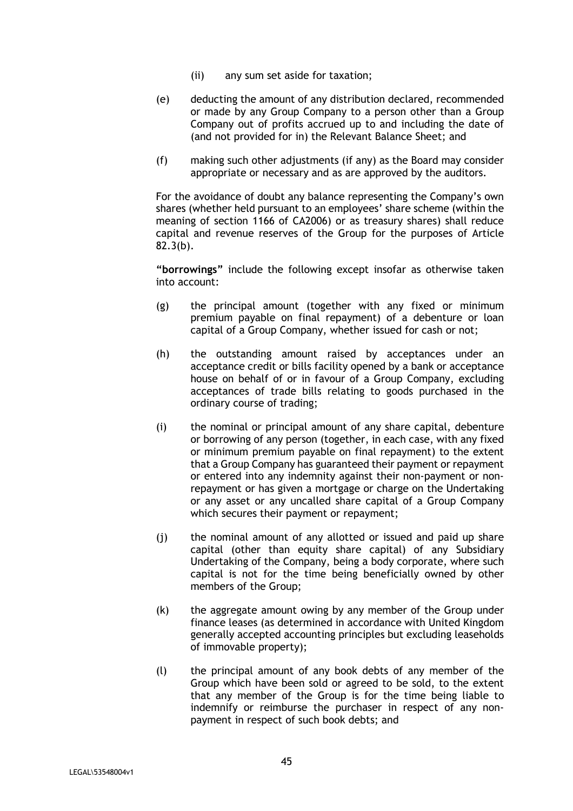- (ii) any sum set aside for taxation;
- (e) deducting the amount of any distribution declared, recommended or made by any Group Company to a person other than a Group Company out of profits accrued up to and including the date of (and not provided for in) the Relevant Balance Sheet; and
- (f) making such other adjustments (if any) as the Board may consider appropriate or necessary and as are approved by the auditors.

For the avoidance of doubt any balance representing the Company's own shares (whether held pursuant to an employees' share scheme (within the meaning of section 1166 of CA2006) or as treasury shares) shall reduce capital and revenue reserves of the Group for the purposes of Article 82.3(b).

**"borrowings"** include the following except insofar as otherwise taken into account:

- (g) the principal amount (together with any fixed or minimum premium payable on final repayment) of a debenture or loan capital of a Group Company, whether issued for cash or not;
- (h) the outstanding amount raised by acceptances under an acceptance credit or bills facility opened by a bank or acceptance house on behalf of or in favour of a Group Company, excluding acceptances of trade bills relating to goods purchased in the ordinary course of trading;
- (i) the nominal or principal amount of any share capital, debenture or borrowing of any person (together, in each case, with any fixed or minimum premium payable on final repayment) to the extent that a Group Company has guaranteed their payment or repayment or entered into any indemnity against their non-payment or nonrepayment or has given a mortgage or charge on the Undertaking or any asset or any uncalled share capital of a Group Company which secures their payment or repayment;
- (j) the nominal amount of any allotted or issued and paid up share capital (other than equity share capital) of any Subsidiary Undertaking of the Company, being a body corporate, where such capital is not for the time being beneficially owned by other members of the Group;
- (k) the aggregate amount owing by any member of the Group under finance leases (as determined in accordance with United Kingdom generally accepted accounting principles but excluding leaseholds of immovable property);
- (l) the principal amount of any book debts of any member of the Group which have been sold or agreed to be sold, to the extent that any member of the Group is for the time being liable to indemnify or reimburse the purchaser in respect of any nonpayment in respect of such book debts; and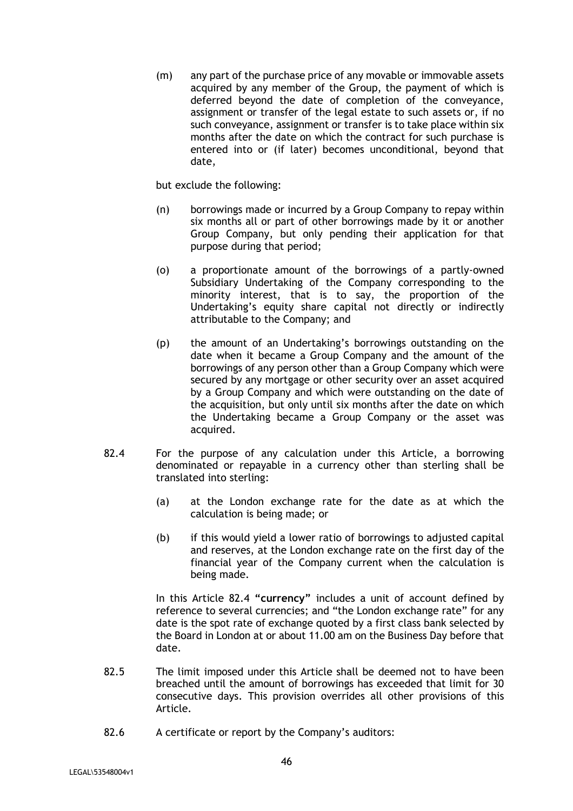(m) any part of the purchase price of any movable or immovable assets acquired by any member of the Group, the payment of which is deferred beyond the date of completion of the conveyance, assignment or transfer of the legal estate to such assets or, if no such conveyance, assignment or transfer is to take place within six months after the date on which the contract for such purchase is entered into or (if later) becomes unconditional, beyond that date,

but exclude the following:

- (n) borrowings made or incurred by a Group Company to repay within six months all or part of other borrowings made by it or another Group Company, but only pending their application for that purpose during that period;
- (o) a proportionate amount of the borrowings of a partly-owned Subsidiary Undertaking of the Company corresponding to the minority interest, that is to say, the proportion of the Undertaking's equity share capital not directly or indirectly attributable to the Company; and
- (p) the amount of an Undertaking's borrowings outstanding on the date when it became a Group Company and the amount of the borrowings of any person other than a Group Company which were secured by any mortgage or other security over an asset acquired by a Group Company and which were outstanding on the date of the acquisition, but only until six months after the date on which the Undertaking became a Group Company or the asset was acquired.
- 82.4 For the purpose of any calculation under this Article, a borrowing denominated or repayable in a currency other than sterling shall be translated into sterling:
	- (a) at the London exchange rate for the date as at which the calculation is being made; or
	- (b) if this would yield a lower ratio of borrowings to adjusted capital and reserves, at the London exchange rate on the first day of the financial year of the Company current when the calculation is being made.

In this Article 82.4 **"currency"** includes a unit of account defined by reference to several currencies; and "the London exchange rate" for any date is the spot rate of exchange quoted by a first class bank selected by the Board in London at or about 11.00 am on the Business Day before that date.

- 82.5 The limit imposed under this Article shall be deemed not to have been breached until the amount of borrowings has exceeded that limit for 30 consecutive days. This provision overrides all other provisions of this Article.
- 82.6 A certificate or report by the Company's auditors: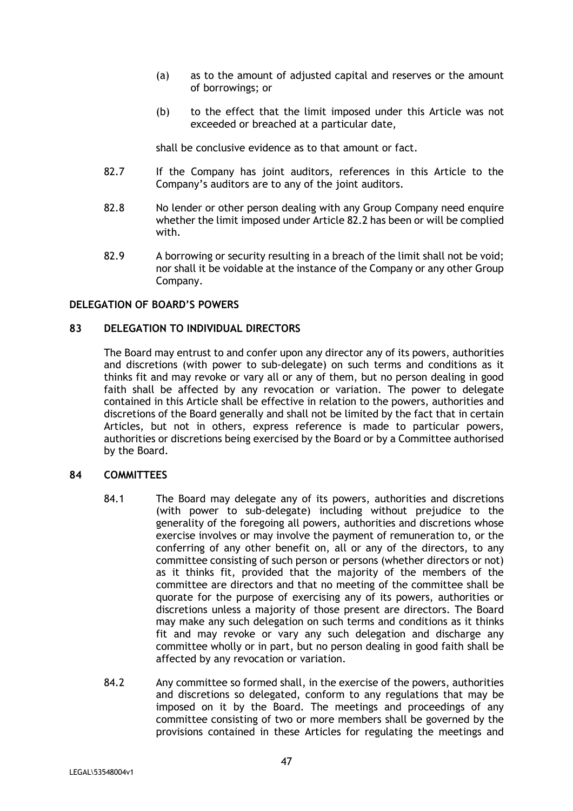- (a) as to the amount of adjusted capital and reserves or the amount of borrowings; or
- (b) to the effect that the limit imposed under this Article was not exceeded or breached at a particular date,

shall be conclusive evidence as to that amount or fact.

- 82.7 If the Company has joint auditors, references in this Article to the Company's auditors are to any of the joint auditors.
- 82.8 No lender or other person dealing with any Group Company need enquire whether the limit imposed under Article 82.2 has been or will be complied with.
- 82.9 A borrowing or security resulting in a breach of the limit shall not be void; nor shall it be voidable at the instance of the Company or any other Group Company.

### **DELEGATION OF BOARD'S POWERS**

## **83 DELEGATION TO INDIVIDUAL DIRECTORS**

The Board may entrust to and confer upon any director any of its powers, authorities and discretions (with power to sub-delegate) on such terms and conditions as it thinks fit and may revoke or vary all or any of them, but no person dealing in good faith shall be affected by any revocation or variation. The power to delegate contained in this Article shall be effective in relation to the powers, authorities and discretions of the Board generally and shall not be limited by the fact that in certain Articles, but not in others, express reference is made to particular powers, authorities or discretions being exercised by the Board or by a Committee authorised by the Board.

#### **84 COMMITTEES**

- 84.1 The Board may delegate any of its powers, authorities and discretions (with power to sub-delegate) including without prejudice to the generality of the foregoing all powers, authorities and discretions whose exercise involves or may involve the payment of remuneration to, or the conferring of any other benefit on, all or any of the directors, to any committee consisting of such person or persons (whether directors or not) as it thinks fit, provided that the majority of the members of the committee are directors and that no meeting of the committee shall be quorate for the purpose of exercising any of its powers, authorities or discretions unless a majority of those present are directors. The Board may make any such delegation on such terms and conditions as it thinks fit and may revoke or vary any such delegation and discharge any committee wholly or in part, but no person dealing in good faith shall be affected by any revocation or variation.
- 84.2 Any committee so formed shall, in the exercise of the powers, authorities and discretions so delegated, conform to any regulations that may be imposed on it by the Board. The meetings and proceedings of any committee consisting of two or more members shall be governed by the provisions contained in these Articles for regulating the meetings and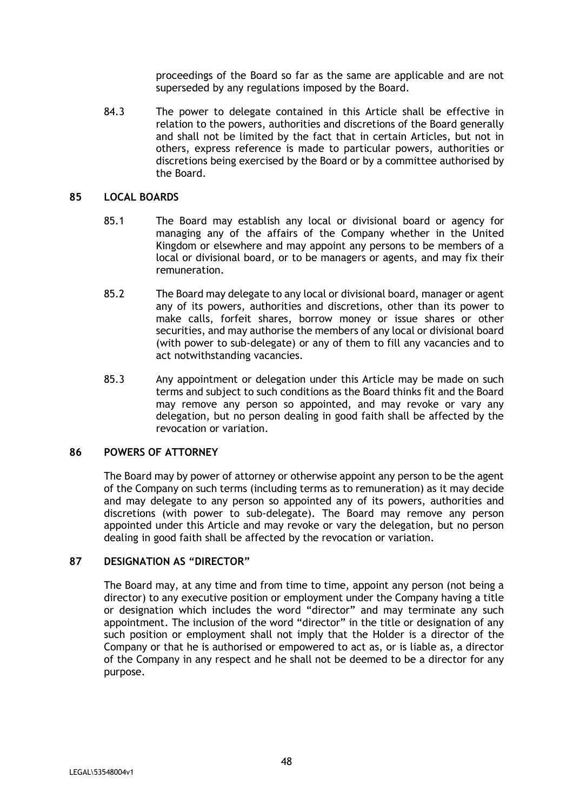proceedings of the Board so far as the same are applicable and are not superseded by any regulations imposed by the Board.

84.3 The power to delegate contained in this Article shall be effective in relation to the powers, authorities and discretions of the Board generally and shall not be limited by the fact that in certain Articles, but not in others, express reference is made to particular powers, authorities or discretions being exercised by the Board or by a committee authorised by the Board.

#### **85 LOCAL BOARDS**

- 85.1 The Board may establish any local or divisional board or agency for managing any of the affairs of the Company whether in the United Kingdom or elsewhere and may appoint any persons to be members of a local or divisional board, or to be managers or agents, and may fix their remuneration.
- 85.2 The Board may delegate to any local or divisional board, manager or agent any of its powers, authorities and discretions, other than its power to make calls, forfeit shares, borrow money or issue shares or other securities, and may authorise the members of any local or divisional board (with power to sub-delegate) or any of them to fill any vacancies and to act notwithstanding vacancies.
- 85.3 Any appointment or delegation under this Article may be made on such terms and subject to such conditions as the Board thinks fit and the Board may remove any person so appointed, and may revoke or vary any delegation, but no person dealing in good faith shall be affected by the revocation or variation.

## **86 POWERS OF ATTORNEY**

The Board may by power of attorney or otherwise appoint any person to be the agent of the Company on such terms (including terms as to remuneration) as it may decide and may delegate to any person so appointed any of its powers, authorities and discretions (with power to sub-delegate). The Board may remove any person appointed under this Article and may revoke or vary the delegation, but no person dealing in good faith shall be affected by the revocation or variation.

### **87 DESIGNATION AS "DIRECTOR"**

The Board may, at any time and from time to time, appoint any person (not being a director) to any executive position or employment under the Company having a title or designation which includes the word "director" and may terminate any such appointment. The inclusion of the word "director" in the title or designation of any such position or employment shall not imply that the Holder is a director of the Company or that he is authorised or empowered to act as, or is liable as, a director of the Company in any respect and he shall not be deemed to be a director for any purpose.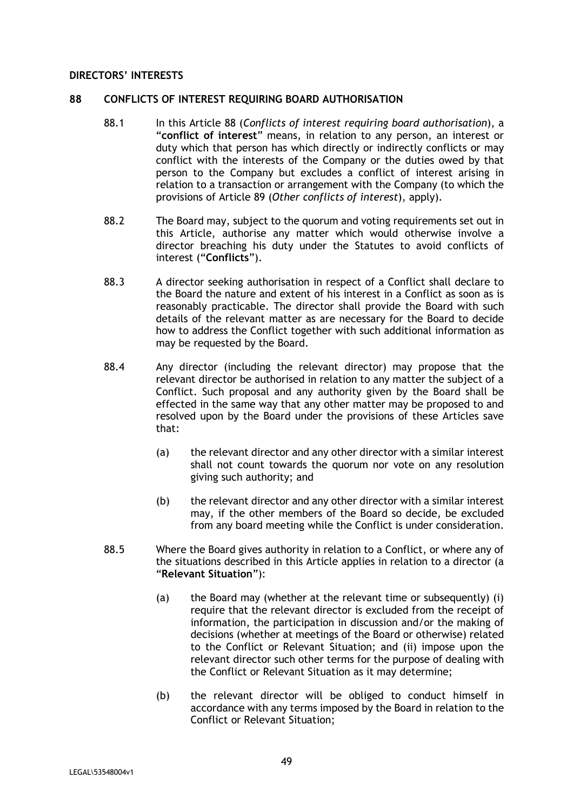#### **DIRECTORS' INTERESTS**

#### **88 CONFLICTS OF INTEREST REQUIRING BOARD AUTHORISATION**

- 88.1 In this Article 88 (*Conflicts of interest requiring board authorisation*), a "**conflict of interest**" means, in relation to any person, an interest or duty which that person has which directly or indirectly conflicts or may conflict with the interests of the Company or the duties owed by that person to the Company but excludes a conflict of interest arising in relation to a transaction or arrangement with the Company (to which the provisions of Article 89 (*Other conflicts of interest*), apply).
- 88.2 The Board may, subject to the quorum and voting requirements set out in this Article, authorise any matter which would otherwise involve a director breaching his duty under the Statutes to avoid conflicts of interest ("**Conflicts**").
- 88.3 A director seeking authorisation in respect of a Conflict shall declare to the Board the nature and extent of his interest in a Conflict as soon as is reasonably practicable. The director shall provide the Board with such details of the relevant matter as are necessary for the Board to decide how to address the Conflict together with such additional information as may be requested by the Board.
- 88.4 Any director (including the relevant director) may propose that the relevant director be authorised in relation to any matter the subject of a Conflict. Such proposal and any authority given by the Board shall be effected in the same way that any other matter may be proposed to and resolved upon by the Board under the provisions of these Articles save that:
	- (a) the relevant director and any other director with a similar interest shall not count towards the quorum nor vote on any resolution giving such authority; and
	- (b) the relevant director and any other director with a similar interest may, if the other members of the Board so decide, be excluded from any board meeting while the Conflict is under consideration.
- 88.5 Where the Board gives authority in relation to a Conflict, or where any of the situations described in this Article applies in relation to a director (a "**Relevant Situation**"):
	- (a) the Board may (whether at the relevant time or subsequently) (i) require that the relevant director is excluded from the receipt of information, the participation in discussion and/or the making of decisions (whether at meetings of the Board or otherwise) related to the Conflict or Relevant Situation; and (ii) impose upon the relevant director such other terms for the purpose of dealing with the Conflict or Relevant Situation as it may determine;
	- (b) the relevant director will be obliged to conduct himself in accordance with any terms imposed by the Board in relation to the Conflict or Relevant Situation;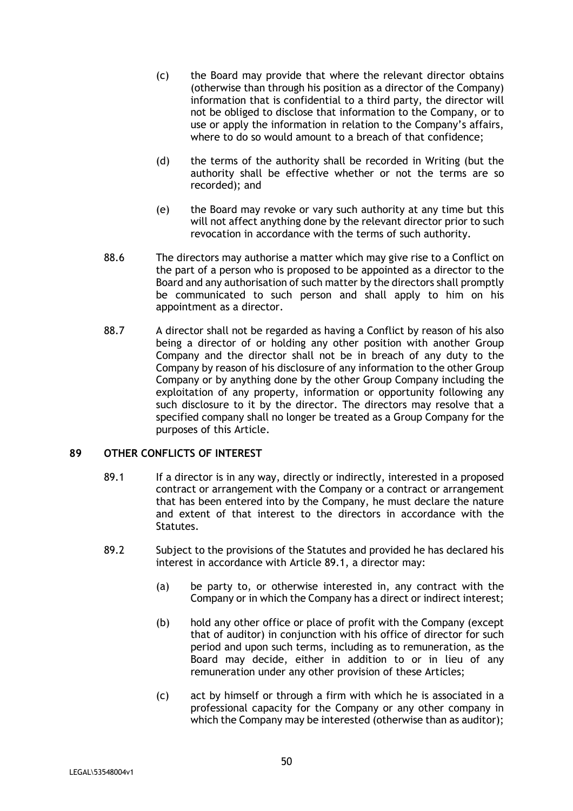- (c) the Board may provide that where the relevant director obtains (otherwise than through his position as a director of the Company) information that is confidential to a third party, the director will not be obliged to disclose that information to the Company, or to use or apply the information in relation to the Company's affairs, where to do so would amount to a breach of that confidence;
- (d) the terms of the authority shall be recorded in Writing (but the authority shall be effective whether or not the terms are so recorded); and
- (e) the Board may revoke or vary such authority at any time but this will not affect anything done by the relevant director prior to such revocation in accordance with the terms of such authority.
- 88.6 The directors may authorise a matter which may give rise to a Conflict on the part of a person who is proposed to be appointed as a director to the Board and any authorisation of such matter by the directors shall promptly be communicated to such person and shall apply to him on his appointment as a director.
- 88.7 A director shall not be regarded as having a Conflict by reason of his also being a director of or holding any other position with another Group Company and the director shall not be in breach of any duty to the Company by reason of his disclosure of any information to the other Group Company or by anything done by the other Group Company including the exploitation of any property, information or opportunity following any such disclosure to it by the director. The directors may resolve that a specified company shall no longer be treated as a Group Company for the purposes of this Article.

# **89 OTHER CONFLICTS OF INTEREST**

- 89.1 If a director is in any way, directly or indirectly, interested in a proposed contract or arrangement with the Company or a contract or arrangement that has been entered into by the Company, he must declare the nature and extent of that interest to the directors in accordance with the Statutes.
- 89.2 Subject to the provisions of the Statutes and provided he has declared his interest in accordance with Article 89.1, a director may:
	- (a) be party to, or otherwise interested in, any contract with the Company or in which the Company has a direct or indirect interest;
	- (b) hold any other office or place of profit with the Company (except that of auditor) in conjunction with his office of director for such period and upon such terms, including as to remuneration, as the Board may decide, either in addition to or in lieu of any remuneration under any other provision of these Articles;
	- (c) act by himself or through a firm with which he is associated in a professional capacity for the Company or any other company in which the Company may be interested (otherwise than as auditor);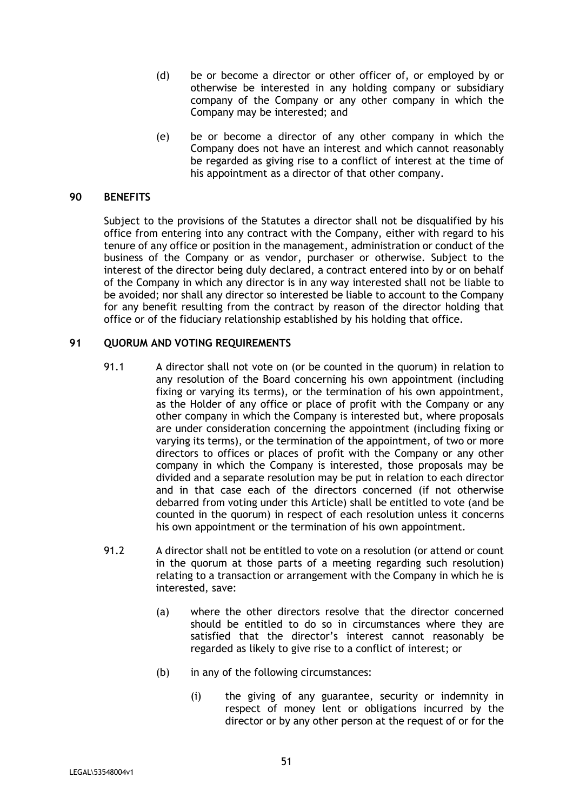- (d) be or become a director or other officer of, or employed by or otherwise be interested in any holding company or subsidiary company of the Company or any other company in which the Company may be interested; and
- (e) be or become a director of any other company in which the Company does not have an interest and which cannot reasonably be regarded as giving rise to a conflict of interest at the time of his appointment as a director of that other company.

### **90 BENEFITS**

Subject to the provisions of the Statutes a director shall not be disqualified by his office from entering into any contract with the Company, either with regard to his tenure of any office or position in the management, administration or conduct of the business of the Company or as vendor, purchaser or otherwise. Subject to the interest of the director being duly declared, a contract entered into by or on behalf of the Company in which any director is in any way interested shall not be liable to be avoided; nor shall any director so interested be liable to account to the Company for any benefit resulting from the contract by reason of the director holding that office or of the fiduciary relationship established by his holding that office.

# **91 QUORUM AND VOTING REQUIREMENTS**

- 91.1 A director shall not vote on (or be counted in the quorum) in relation to any resolution of the Board concerning his own appointment (including fixing or varying its terms), or the termination of his own appointment, as the Holder of any office or place of profit with the Company or any other company in which the Company is interested but, where proposals are under consideration concerning the appointment (including fixing or varying its terms), or the termination of the appointment, of two or more directors to offices or places of profit with the Company or any other company in which the Company is interested, those proposals may be divided and a separate resolution may be put in relation to each director and in that case each of the directors concerned (if not otherwise debarred from voting under this Article) shall be entitled to vote (and be counted in the quorum) in respect of each resolution unless it concerns his own appointment or the termination of his own appointment.
- 91.2 A director shall not be entitled to vote on a resolution (or attend or count in the quorum at those parts of a meeting regarding such resolution) relating to a transaction or arrangement with the Company in which he is interested, save:
	- (a) where the other directors resolve that the director concerned should be entitled to do so in circumstances where they are satisfied that the director's interest cannot reasonably be regarded as likely to give rise to a conflict of interest; or
	- (b) in any of the following circumstances:
		- (i) the giving of any guarantee, security or indemnity in respect of money lent or obligations incurred by the director or by any other person at the request of or for the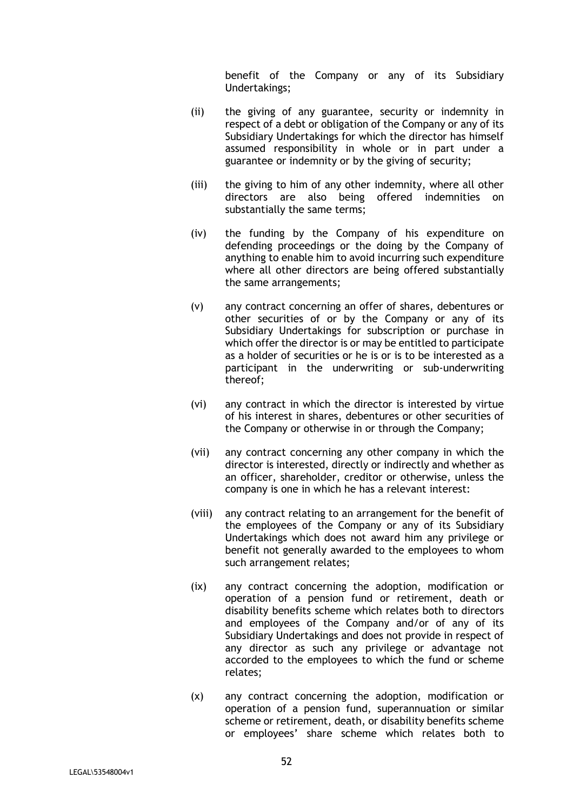benefit of the Company or any of its Subsidiary Undertakings;

- (ii) the giving of any guarantee, security or indemnity in respect of a debt or obligation of the Company or any of its Subsidiary Undertakings for which the director has himself assumed responsibility in whole or in part under a guarantee or indemnity or by the giving of security;
- (iii) the giving to him of any other indemnity, where all other directors are also being offered indemnities on substantially the same terms;
- (iv) the funding by the Company of his expenditure on defending proceedings or the doing by the Company of anything to enable him to avoid incurring such expenditure where all other directors are being offered substantially the same arrangements;
- (v) any contract concerning an offer of shares, debentures or other securities of or by the Company or any of its Subsidiary Undertakings for subscription or purchase in which offer the director is or may be entitled to participate as a holder of securities or he is or is to be interested as a participant in the underwriting or sub-underwriting thereof;
- (vi) any contract in which the director is interested by virtue of his interest in shares, debentures or other securities of the Company or otherwise in or through the Company;
- (vii) any contract concerning any other company in which the director is interested, directly or indirectly and whether as an officer, shareholder, creditor or otherwise, unless the company is one in which he has a relevant interest:
- (viii) any contract relating to an arrangement for the benefit of the employees of the Company or any of its Subsidiary Undertakings which does not award him any privilege or benefit not generally awarded to the employees to whom such arrangement relates;
- (ix) any contract concerning the adoption, modification or operation of a pension fund or retirement, death or disability benefits scheme which relates both to directors and employees of the Company and/or of any of its Subsidiary Undertakings and does not provide in respect of any director as such any privilege or advantage not accorded to the employees to which the fund or scheme relates;
- (x) any contract concerning the adoption, modification or operation of a pension fund, superannuation or similar scheme or retirement, death, or disability benefits scheme or employees' share scheme which relates both to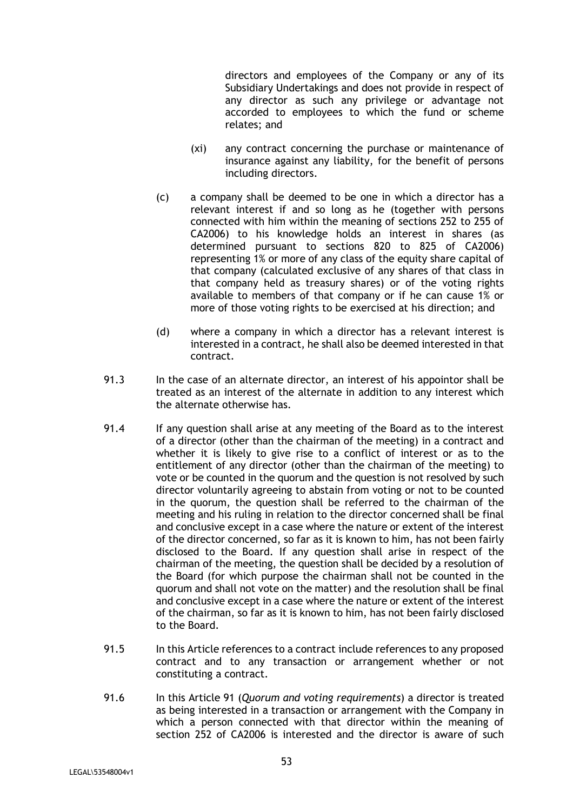directors and employees of the Company or any of its Subsidiary Undertakings and does not provide in respect of any director as such any privilege or advantage not accorded to employees to which the fund or scheme relates; and

- (xi) any contract concerning the purchase or maintenance of insurance against any liability, for the benefit of persons including directors.
- (c) a company shall be deemed to be one in which a director has a relevant interest if and so long as he (together with persons connected with him within the meaning of sections 252 to 255 of CA2006) to his knowledge holds an interest in shares (as determined pursuant to sections 820 to 825 of CA2006) representing 1% or more of any class of the equity share capital of that company (calculated exclusive of any shares of that class in that company held as treasury shares) or of the voting rights available to members of that company or if he can cause 1% or more of those voting rights to be exercised at his direction; and
- (d) where a company in which a director has a relevant interest is interested in a contract, he shall also be deemed interested in that contract.
- 91.3 In the case of an alternate director, an interest of his appointor shall be treated as an interest of the alternate in addition to any interest which the alternate otherwise has.
- 91.4 If any question shall arise at any meeting of the Board as to the interest of a director (other than the chairman of the meeting) in a contract and whether it is likely to give rise to a conflict of interest or as to the entitlement of any director (other than the chairman of the meeting) to vote or be counted in the quorum and the question is not resolved by such director voluntarily agreeing to abstain from voting or not to be counted in the quorum, the question shall be referred to the chairman of the meeting and his ruling in relation to the director concerned shall be final and conclusive except in a case where the nature or extent of the interest of the director concerned, so far as it is known to him, has not been fairly disclosed to the Board. If any question shall arise in respect of the chairman of the meeting, the question shall be decided by a resolution of the Board (for which purpose the chairman shall not be counted in the quorum and shall not vote on the matter) and the resolution shall be final and conclusive except in a case where the nature or extent of the interest of the chairman, so far as it is known to him, has not been fairly disclosed to the Board.
- 91.5 In this Article references to a contract include references to any proposed contract and to any transaction or arrangement whether or not constituting a contract.
- 91.6 In this Article 91 (*Quorum and voting requirements*) a director is treated as being interested in a transaction or arrangement with the Company in which a person connected with that director within the meaning of section 252 of CA2006 is interested and the director is aware of such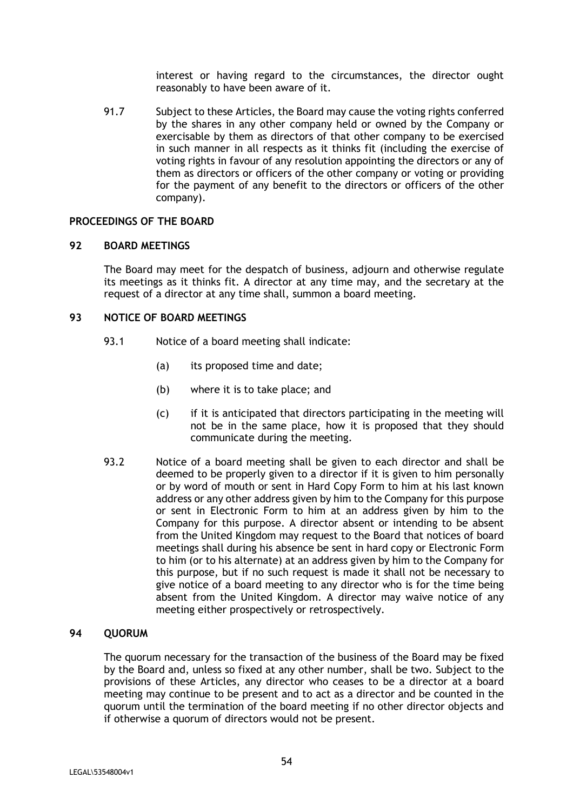interest or having regard to the circumstances, the director ought reasonably to have been aware of it.

91.7 Subject to these Articles, the Board may cause the voting rights conferred by the shares in any other company held or owned by the Company or exercisable by them as directors of that other company to be exercised in such manner in all respects as it thinks fit (including the exercise of voting rights in favour of any resolution appointing the directors or any of them as directors or officers of the other company or voting or providing for the payment of any benefit to the directors or officers of the other company).

#### **PROCEEDINGS OF THE BOARD**

#### **92 BOARD MEETINGS**

The Board may meet for the despatch of business, adjourn and otherwise regulate its meetings as it thinks fit. A director at any time may, and the secretary at the request of a director at any time shall, summon a board meeting.

## **93 NOTICE OF BOARD MEETINGS**

- 93.1 Notice of a board meeting shall indicate:
	- (a) its proposed time and date;
	- (b) where it is to take place; and
	- (c) if it is anticipated that directors participating in the meeting will not be in the same place, how it is proposed that they should communicate during the meeting.
- 93.2 Notice of a board meeting shall be given to each director and shall be deemed to be properly given to a director if it is given to him personally or by word of mouth or sent in Hard Copy Form to him at his last known address or any other address given by him to the Company for this purpose or sent in Electronic Form to him at an address given by him to the Company for this purpose. A director absent or intending to be absent from the United Kingdom may request to the Board that notices of board meetings shall during his absence be sent in hard copy or Electronic Form to him (or to his alternate) at an address given by him to the Company for this purpose, but if no such request is made it shall not be necessary to give notice of a board meeting to any director who is for the time being absent from the United Kingdom. A director may waive notice of any meeting either prospectively or retrospectively.

#### **94 QUORUM**

The quorum necessary for the transaction of the business of the Board may be fixed by the Board and, unless so fixed at any other number, shall be two. Subject to the provisions of these Articles, any director who ceases to be a director at a board meeting may continue to be present and to act as a director and be counted in the quorum until the termination of the board meeting if no other director objects and if otherwise a quorum of directors would not be present.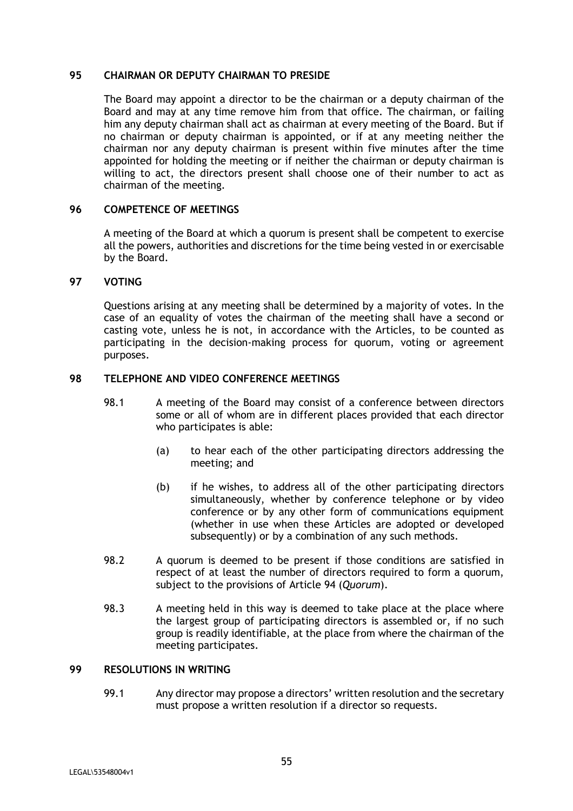### **95 CHAIRMAN OR DEPUTY CHAIRMAN TO PRESIDE**

The Board may appoint a director to be the chairman or a deputy chairman of the Board and may at any time remove him from that office. The chairman, or failing him any deputy chairman shall act as chairman at every meeting of the Board. But if no chairman or deputy chairman is appointed, or if at any meeting neither the chairman nor any deputy chairman is present within five minutes after the time appointed for holding the meeting or if neither the chairman or deputy chairman is willing to act, the directors present shall choose one of their number to act as chairman of the meeting.

# **96 COMPETENCE OF MEETINGS**

A meeting of the Board at which a quorum is present shall be competent to exercise all the powers, authorities and discretions for the time being vested in or exercisable by the Board.

## **97 VOTING**

Questions arising at any meeting shall be determined by a majority of votes. In the case of an equality of votes the chairman of the meeting shall have a second or casting vote, unless he is not, in accordance with the Articles, to be counted as participating in the decision-making process for quorum, voting or agreement purposes.

# **98 TELEPHONE AND VIDEO CONFERENCE MEETINGS**

- 98.1 A meeting of the Board may consist of a conference between directors some or all of whom are in different places provided that each director who participates is able:
	- (a) to hear each of the other participating directors addressing the meeting; and
	- (b) if he wishes, to address all of the other participating directors simultaneously, whether by conference telephone or by video conference or by any other form of communications equipment (whether in use when these Articles are adopted or developed subsequently) or by a combination of any such methods.
- 98.2 A quorum is deemed to be present if those conditions are satisfied in respect of at least the number of directors required to form a quorum, subject to the provisions of Article 94 (*Quorum*).
- 98.3 A meeting held in this way is deemed to take place at the place where the largest group of participating directors is assembled or, if no such group is readily identifiable, at the place from where the chairman of the meeting participates.

## **99 RESOLUTIONS IN WRITING**

99.1 Any director may propose a directors' written resolution and the secretary must propose a written resolution if a director so requests.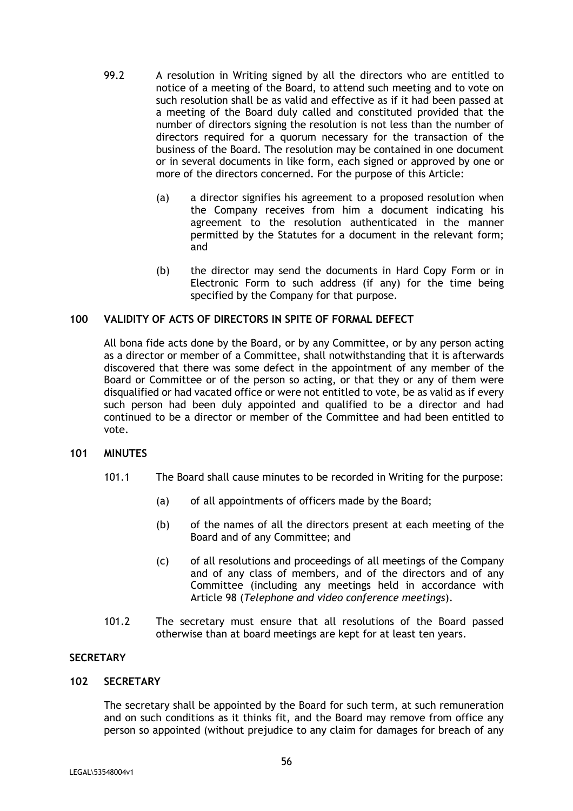- 99.2 A resolution in Writing signed by all the directors who are entitled to notice of a meeting of the Board, to attend such meeting and to vote on such resolution shall be as valid and effective as if it had been passed at a meeting of the Board duly called and constituted provided that the number of directors signing the resolution is not less than the number of directors required for a quorum necessary for the transaction of the business of the Board. The resolution may be contained in one document or in several documents in like form, each signed or approved by one or more of the directors concerned. For the purpose of this Article:
	- (a) a director signifies his agreement to a proposed resolution when the Company receives from him a document indicating his agreement to the resolution authenticated in the manner permitted by the Statutes for a document in the relevant form; and
	- (b) the director may send the documents in Hard Copy Form or in Electronic Form to such address (if any) for the time being specified by the Company for that purpose.

# **100 VALIDITY OF ACTS OF DIRECTORS IN SPITE OF FORMAL DEFECT**

All bona fide acts done by the Board, or by any Committee, or by any person acting as a director or member of a Committee, shall notwithstanding that it is afterwards discovered that there was some defect in the appointment of any member of the Board or Committee or of the person so acting, or that they or any of them were disqualified or had vacated office or were not entitled to vote, be as valid as if every such person had been duly appointed and qualified to be a director and had continued to be a director or member of the Committee and had been entitled to vote.

## **101 MINUTES**

- 101.1 The Board shall cause minutes to be recorded in Writing for the purpose:
	- (a) of all appointments of officers made by the Board;
	- (b) of the names of all the directors present at each meeting of the Board and of any Committee; and
	- (c) of all resolutions and proceedings of all meetings of the Company and of any class of members, and of the directors and of any Committee (including any meetings held in accordance with Article 98 (*Telephone and video conference meetings*).
- 101.2 The secretary must ensure that all resolutions of the Board passed otherwise than at board meetings are kept for at least ten years.

# **SECRETARY**

#### **102 SECRETARY**

The secretary shall be appointed by the Board for such term, at such remuneration and on such conditions as it thinks fit, and the Board may remove from office any person so appointed (without prejudice to any claim for damages for breach of any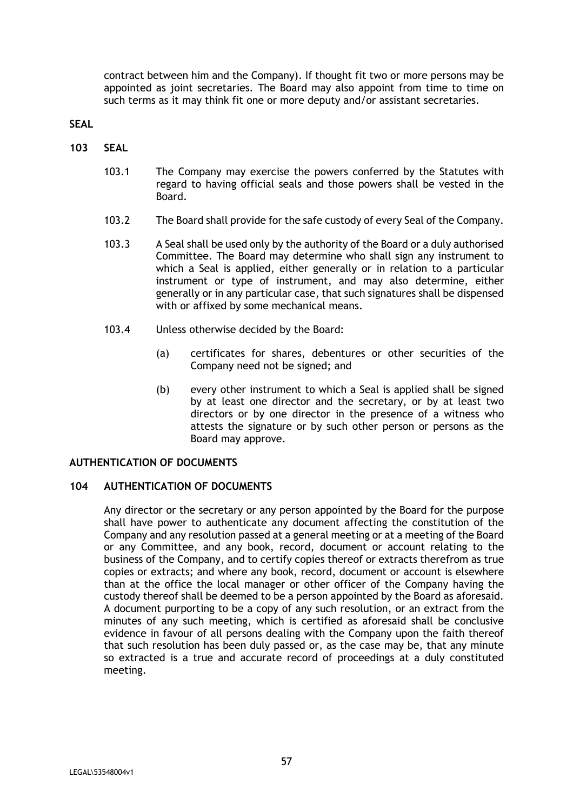contract between him and the Company). If thought fit two or more persons may be appointed as joint secretaries. The Board may also appoint from time to time on such terms as it may think fit one or more deputy and/or assistant secretaries.

**SEAL** 

- **103 SEAL** 
	- 103.1 The Company may exercise the powers conferred by the Statutes with regard to having official seals and those powers shall be vested in the Board.
	- 103.2 The Board shall provide for the safe custody of every Seal of the Company.
	- 103.3 A Seal shall be used only by the authority of the Board or a duly authorised Committee. The Board may determine who shall sign any instrument to which a Seal is applied, either generally or in relation to a particular instrument or type of instrument, and may also determine, either generally or in any particular case, that such signatures shall be dispensed with or affixed by some mechanical means.
	- 103.4 Unless otherwise decided by the Board:
		- (a) certificates for shares, debentures or other securities of the Company need not be signed; and
		- (b) every other instrument to which a Seal is applied shall be signed by at least one director and the secretary, or by at least two directors or by one director in the presence of a witness who attests the signature or by such other person or persons as the Board may approve.

# **AUTHENTICATION OF DOCUMENTS**

# **104 AUTHENTICATION OF DOCUMENTS**

Any director or the secretary or any person appointed by the Board for the purpose shall have power to authenticate any document affecting the constitution of the Company and any resolution passed at a general meeting or at a meeting of the Board or any Committee, and any book, record, document or account relating to the business of the Company, and to certify copies thereof or extracts therefrom as true copies or extracts; and where any book, record, document or account is elsewhere than at the office the local manager or other officer of the Company having the custody thereof shall be deemed to be a person appointed by the Board as aforesaid. A document purporting to be a copy of any such resolution, or an extract from the minutes of any such meeting, which is certified as aforesaid shall be conclusive evidence in favour of all persons dealing with the Company upon the faith thereof that such resolution has been duly passed or, as the case may be, that any minute so extracted is a true and accurate record of proceedings at a duly constituted meeting.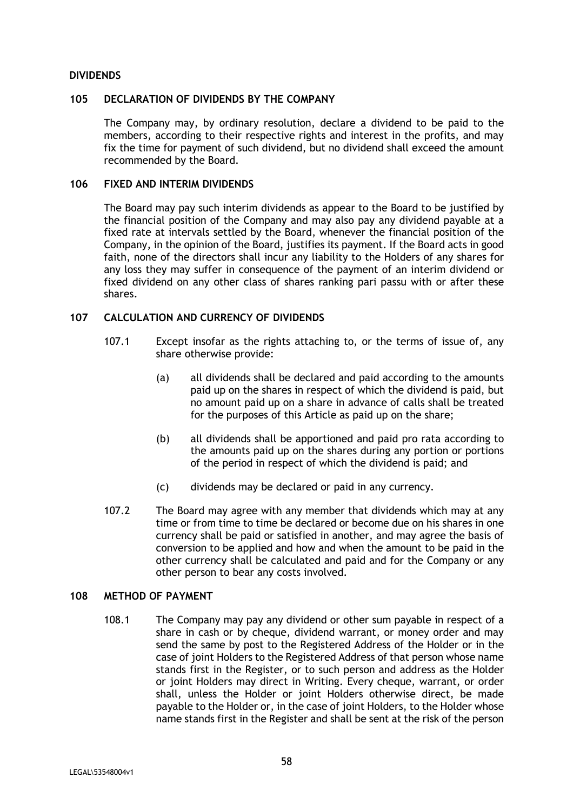### **DIVIDENDS**

#### **105 DECLARATION OF DIVIDENDS BY THE COMPANY**

The Company may, by ordinary resolution, declare a dividend to be paid to the members, according to their respective rights and interest in the profits, and may fix the time for payment of such dividend, but no dividend shall exceed the amount recommended by the Board.

# **106 FIXED AND INTERIM DIVIDENDS**

The Board may pay such interim dividends as appear to the Board to be justified by the financial position of the Company and may also pay any dividend payable at a fixed rate at intervals settled by the Board, whenever the financial position of the Company, in the opinion of the Board, justifies its payment. If the Board acts in good faith, none of the directors shall incur any liability to the Holders of any shares for any loss they may suffer in consequence of the payment of an interim dividend or fixed dividend on any other class of shares ranking pari passu with or after these shares.

# **107 CALCULATION AND CURRENCY OF DIVIDENDS**

- 107.1 Except insofar as the rights attaching to, or the terms of issue of, any share otherwise provide:
	- (a) all dividends shall be declared and paid according to the amounts paid up on the shares in respect of which the dividend is paid, but no amount paid up on a share in advance of calls shall be treated for the purposes of this Article as paid up on the share;
	- (b) all dividends shall be apportioned and paid pro rata according to the amounts paid up on the shares during any portion or portions of the period in respect of which the dividend is paid; and
	- (c) dividends may be declared or paid in any currency.
- 107.2 The Board may agree with any member that dividends which may at any time or from time to time be declared or become due on his shares in one currency shall be paid or satisfied in another, and may agree the basis of conversion to be applied and how and when the amount to be paid in the other currency shall be calculated and paid and for the Company or any other person to bear any costs involved.

## **108 METHOD OF PAYMENT**

108.1 The Company may pay any dividend or other sum payable in respect of a share in cash or by cheque, dividend warrant, or money order and may send the same by post to the Registered Address of the Holder or in the case of joint Holders to the Registered Address of that person whose name stands first in the Register, or to such person and address as the Holder or joint Holders may direct in Writing. Every cheque, warrant, or order shall, unless the Holder or joint Holders otherwise direct, be made payable to the Holder or, in the case of joint Holders, to the Holder whose name stands first in the Register and shall be sent at the risk of the person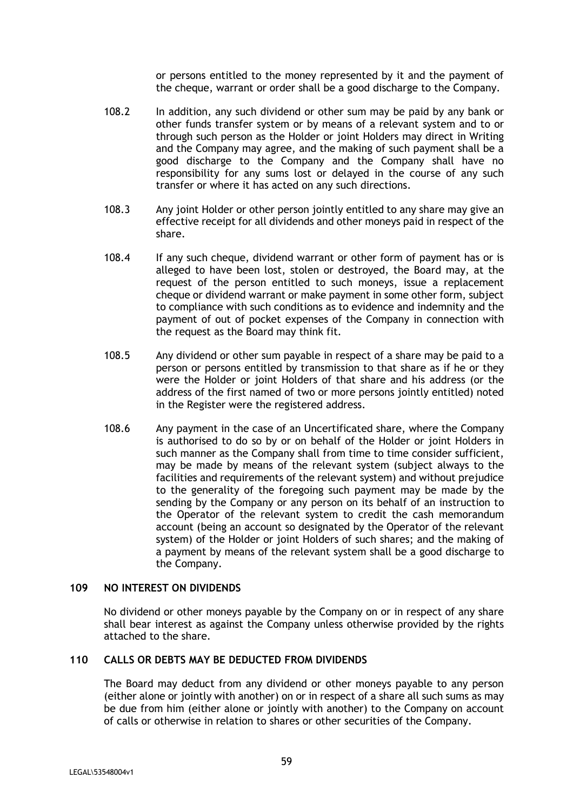or persons entitled to the money represented by it and the payment of the cheque, warrant or order shall be a good discharge to the Company.

- 108.2 In addition, any such dividend or other sum may be paid by any bank or other funds transfer system or by means of a relevant system and to or through such person as the Holder or joint Holders may direct in Writing and the Company may agree, and the making of such payment shall be a good discharge to the Company and the Company shall have no responsibility for any sums lost or delayed in the course of any such transfer or where it has acted on any such directions.
- 108.3 Any joint Holder or other person jointly entitled to any share may give an effective receipt for all dividends and other moneys paid in respect of the share.
- 108.4 If any such cheque, dividend warrant or other form of payment has or is alleged to have been lost, stolen or destroyed, the Board may, at the request of the person entitled to such moneys, issue a replacement cheque or dividend warrant or make payment in some other form, subject to compliance with such conditions as to evidence and indemnity and the payment of out of pocket expenses of the Company in connection with the request as the Board may think fit.
- 108.5 Any dividend or other sum payable in respect of a share may be paid to a person or persons entitled by transmission to that share as if he or they were the Holder or joint Holders of that share and his address (or the address of the first named of two or more persons jointly entitled) noted in the Register were the registered address.
- 108.6 Any payment in the case of an Uncertificated share, where the Company is authorised to do so by or on behalf of the Holder or joint Holders in such manner as the Company shall from time to time consider sufficient, may be made by means of the relevant system (subject always to the facilities and requirements of the relevant system) and without prejudice to the generality of the foregoing such payment may be made by the sending by the Company or any person on its behalf of an instruction to the Operator of the relevant system to credit the cash memorandum account (being an account so designated by the Operator of the relevant system) of the Holder or joint Holders of such shares; and the making of a payment by means of the relevant system shall be a good discharge to the Company.

## **109 NO INTEREST ON DIVIDENDS**

No dividend or other moneys payable by the Company on or in respect of any share shall bear interest as against the Company unless otherwise provided by the rights attached to the share.

# **110 CALLS OR DEBTS MAY BE DEDUCTED FROM DIVIDENDS**

The Board may deduct from any dividend or other moneys payable to any person (either alone or jointly with another) on or in respect of a share all such sums as may be due from him (either alone or jointly with another) to the Company on account of calls or otherwise in relation to shares or other securities of the Company.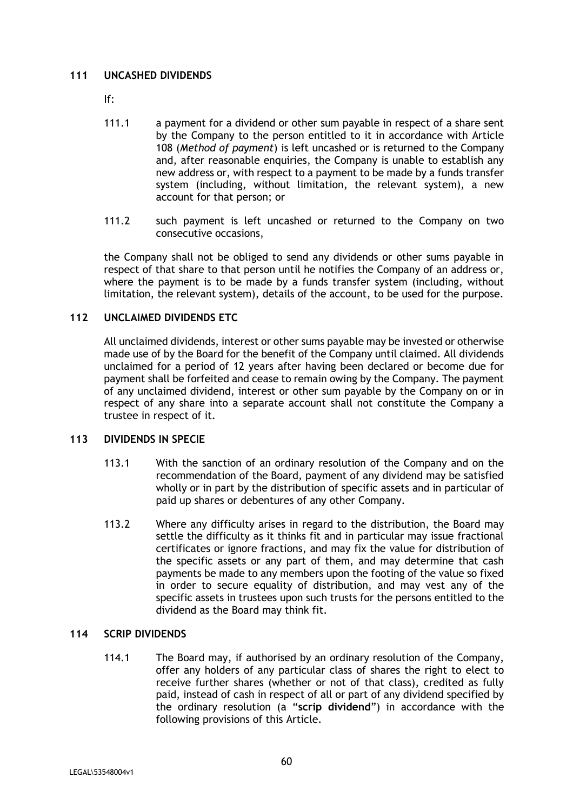# **111 UNCASHED DIVIDENDS**

If:

- 111.1 a payment for a dividend or other sum payable in respect of a share sent by the Company to the person entitled to it in accordance with Article 108 (*Method of payment*) is left uncashed or is returned to the Company and, after reasonable enquiries, the Company is unable to establish any new address or, with respect to a payment to be made by a funds transfer system (including, without limitation, the relevant system), a new account for that person; or
- 111.2 such payment is left uncashed or returned to the Company on two consecutive occasions,

the Company shall not be obliged to send any dividends or other sums payable in respect of that share to that person until he notifies the Company of an address or, where the payment is to be made by a funds transfer system (including, without limitation, the relevant system), details of the account, to be used for the purpose.

# **112 UNCLAIMED DIVIDENDS ETC**

All unclaimed dividends, interest or other sums payable may be invested or otherwise made use of by the Board for the benefit of the Company until claimed. All dividends unclaimed for a period of 12 years after having been declared or become due for payment shall be forfeited and cease to remain owing by the Company. The payment of any unclaimed dividend, interest or other sum payable by the Company on or in respect of any share into a separate account shall not constitute the Company a trustee in respect of it.

# **113 DIVIDENDS IN SPECIE**

- 113.1 With the sanction of an ordinary resolution of the Company and on the recommendation of the Board, payment of any dividend may be satisfied wholly or in part by the distribution of specific assets and in particular of paid up shares or debentures of any other Company.
- 113.2 Where any difficulty arises in regard to the distribution, the Board may settle the difficulty as it thinks fit and in particular may issue fractional certificates or ignore fractions, and may fix the value for distribution of the specific assets or any part of them, and may determine that cash payments be made to any members upon the footing of the value so fixed in order to secure equality of distribution, and may vest any of the specific assets in trustees upon such trusts for the persons entitled to the dividend as the Board may think fit.

# **114 SCRIP DIVIDENDS**

114.1 The Board may, if authorised by an ordinary resolution of the Company, offer any holders of any particular class of shares the right to elect to receive further shares (whether or not of that class), credited as fully paid, instead of cash in respect of all or part of any dividend specified by the ordinary resolution (a "**scrip dividend**") in accordance with the following provisions of this Article.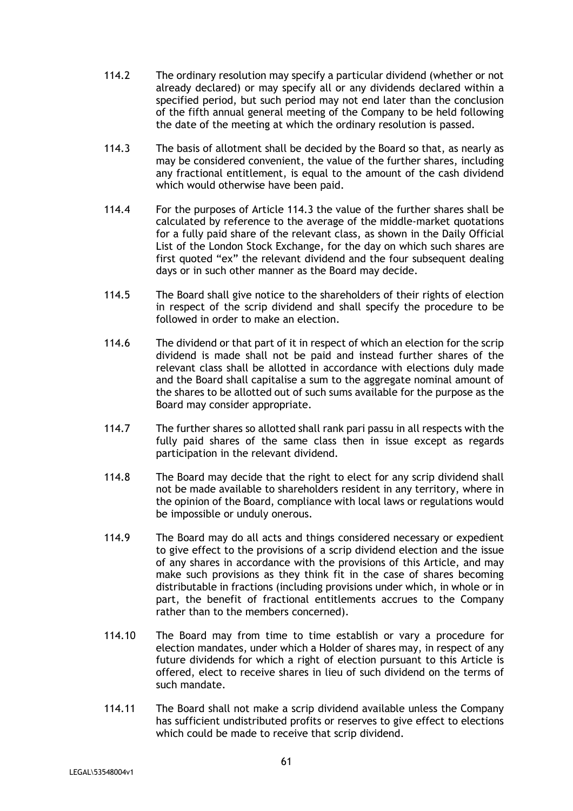- 114.2 The ordinary resolution may specify a particular dividend (whether or not already declared) or may specify all or any dividends declared within a specified period, but such period may not end later than the conclusion of the fifth annual general meeting of the Company to be held following the date of the meeting at which the ordinary resolution is passed.
- 114.3 The basis of allotment shall be decided by the Board so that, as nearly as may be considered convenient, the value of the further shares, including any fractional entitlement, is equal to the amount of the cash dividend which would otherwise have been paid.
- 114.4 For the purposes of Article 114.3 the value of the further shares shall be calculated by reference to the average of the middle-market quotations for a fully paid share of the relevant class, as shown in the Daily Official List of the London Stock Exchange, for the day on which such shares are first quoted "ex" the relevant dividend and the four subsequent dealing days or in such other manner as the Board may decide.
- 114.5 The Board shall give notice to the shareholders of their rights of election in respect of the scrip dividend and shall specify the procedure to be followed in order to make an election.
- 114.6 The dividend or that part of it in respect of which an election for the scrip dividend is made shall not be paid and instead further shares of the relevant class shall be allotted in accordance with elections duly made and the Board shall capitalise a sum to the aggregate nominal amount of the shares to be allotted out of such sums available for the purpose as the Board may consider appropriate.
- 114.7 The further shares so allotted shall rank pari passu in all respects with the fully paid shares of the same class then in issue except as regards participation in the relevant dividend.
- 114.8 The Board may decide that the right to elect for any scrip dividend shall not be made available to shareholders resident in any territory, where in the opinion of the Board, compliance with local laws or regulations would be impossible or unduly onerous.
- 114.9 The Board may do all acts and things considered necessary or expedient to give effect to the provisions of a scrip dividend election and the issue of any shares in accordance with the provisions of this Article, and may make such provisions as they think fit in the case of shares becoming distributable in fractions (including provisions under which, in whole or in part, the benefit of fractional entitlements accrues to the Company rather than to the members concerned).
- 114.10 The Board may from time to time establish or vary a procedure for election mandates, under which a Holder of shares may, in respect of any future dividends for which a right of election pursuant to this Article is offered, elect to receive shares in lieu of such dividend on the terms of such mandate.
- 114.11 The Board shall not make a scrip dividend available unless the Company has sufficient undistributed profits or reserves to give effect to elections which could be made to receive that scrip dividend.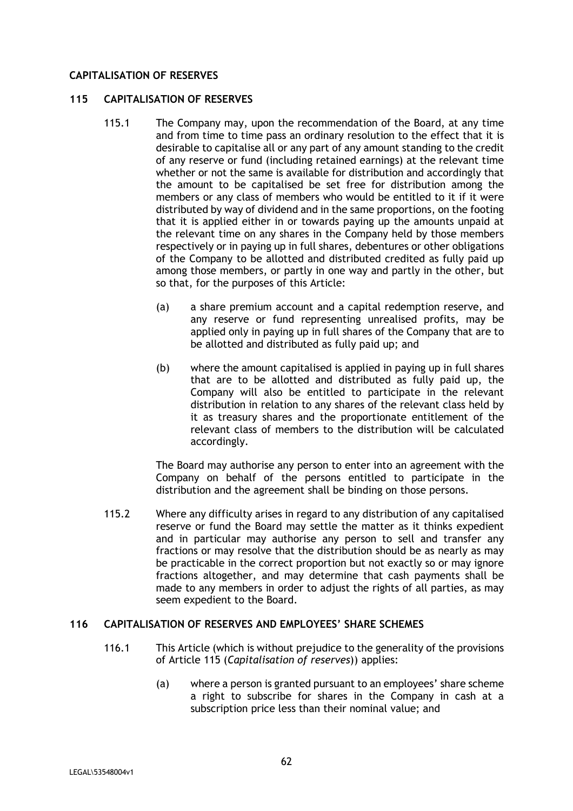# **CAPITALISATION OF RESERVES**

## **115 CAPITALISATION OF RESERVES**

- 115.1 The Company may, upon the recommendation of the Board, at any time and from time to time pass an ordinary resolution to the effect that it is desirable to capitalise all or any part of any amount standing to the credit of any reserve or fund (including retained earnings) at the relevant time whether or not the same is available for distribution and accordingly that the amount to be capitalised be set free for distribution among the members or any class of members who would be entitled to it if it were distributed by way of dividend and in the same proportions, on the footing that it is applied either in or towards paying up the amounts unpaid at the relevant time on any shares in the Company held by those members respectively or in paying up in full shares, debentures or other obligations of the Company to be allotted and distributed credited as fully paid up among those members, or partly in one way and partly in the other, but so that, for the purposes of this Article:
	- (a) a share premium account and a capital redemption reserve, and any reserve or fund representing unrealised profits, may be applied only in paying up in full shares of the Company that are to be allotted and distributed as fully paid up; and
	- (b) where the amount capitalised is applied in paying up in full shares that are to be allotted and distributed as fully paid up, the Company will also be entitled to participate in the relevant distribution in relation to any shares of the relevant class held by it as treasury shares and the proportionate entitlement of the relevant class of members to the distribution will be calculated accordingly.

The Board may authorise any person to enter into an agreement with the Company on behalf of the persons entitled to participate in the distribution and the agreement shall be binding on those persons.

115.2 Where any difficulty arises in regard to any distribution of any capitalised reserve or fund the Board may settle the matter as it thinks expedient and in particular may authorise any person to sell and transfer any fractions or may resolve that the distribution should be as nearly as may be practicable in the correct proportion but not exactly so or may ignore fractions altogether, and may determine that cash payments shall be made to any members in order to adjust the rights of all parties, as may seem expedient to the Board.

## **116 CAPITALISATION OF RESERVES AND EMPLOYEES' SHARE SCHEMES**

- 116.1 This Article (which is without prejudice to the generality of the provisions of Article 115 (*Capitalisation of reserves*)) applies:
	- (a) where a person is granted pursuant to an employees' share scheme a right to subscribe for shares in the Company in cash at a subscription price less than their nominal value; and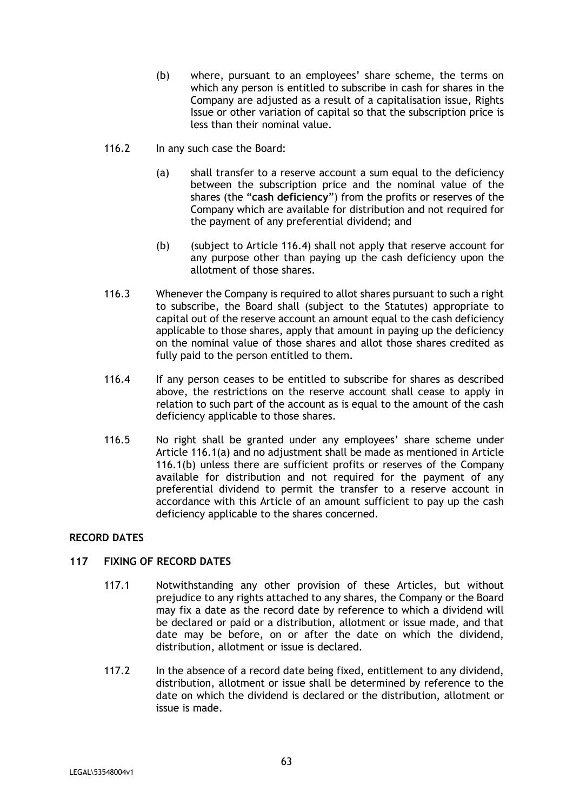- (b) where, pursuant to an employees' share scheme, the terms on which any person is entitled to subscribe in cash for shares in the Company are adjusted as a result of a capitalisation issue, Rights Issue or other variation of capital so that the subscription price is less than their nominal value.
- 116.2 In any such case the Board:
	- (a) shall transfer to a reserve account a sum equal to the deficiency between the subscription price and the nominal value of the shares (the "**cash deficiency**") from the profits or reserves of the Company which are available for distribution and not required for the payment of any preferential dividend; and
	- (b) (subject to Article 116.4) shall not apply that reserve account for any purpose other than paying up the cash deficiency upon the allotment of those shares.
- 116.3 Whenever the Company is required to allot shares pursuant to such a right to subscribe, the Board shall (subject to the Statutes) appropriate to capital out of the reserve account an amount equal to the cash deficiency applicable to those shares, apply that amount in paying up the deficiency on the nominal value of those shares and allot those shares credited as fully paid to the person entitled to them.
- 116.4 If any person ceases to be entitled to subscribe for shares as described above, the restrictions on the reserve account shall cease to apply in relation to such part of the account as is equal to the amount of the cash deficiency applicable to those shares.
- 116.5 No right shall be granted under any employees' share scheme under Article 116.1(a) and no adjustment shall be made as mentioned in Article 116.1(b) unless there are sufficient profits or reserves of the Company available for distribution and not required for the payment of any preferential dividend to permit the transfer to a reserve account in accordance with this Article of an amount sufficient to pay up the cash deficiency applicable to the shares concerned.

# **RECORD DATES**

# **117 FIXING OF RECORD DATES**

- 117.1 Notwithstanding any other provision of these Articles, but without prejudice to any rights attached to any shares, the Company or the Board may fix a date as the record date by reference to which a dividend will be declared or paid or a distribution, allotment or issue made, and that date may be before, on or after the date on which the dividend, distribution, allotment or issue is declared.
- 117.2 In the absence of a record date being fixed, entitlement to any dividend, distribution, allotment or issue shall be determined by reference to the date on which the dividend is declared or the distribution, allotment or issue is made.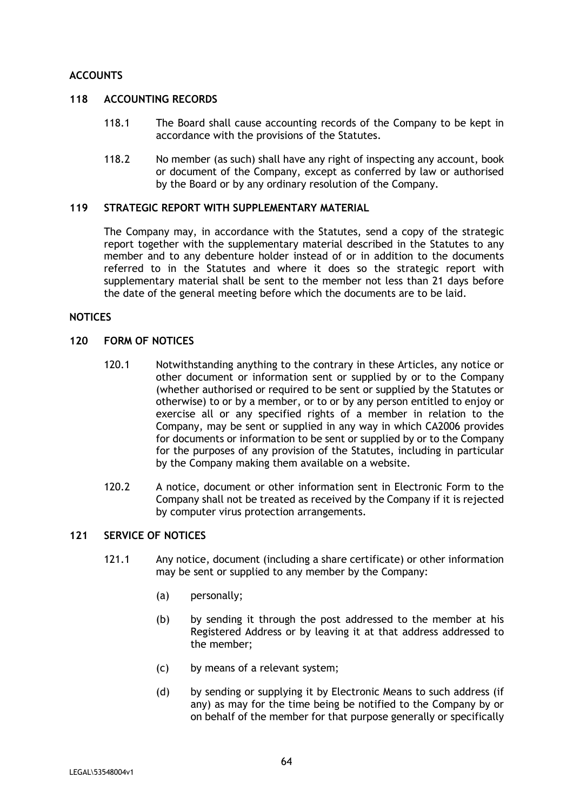# **ACCOUNTS**

## **118 ACCOUNTING RECORDS**

- 118.1 The Board shall cause accounting records of the Company to be kept in accordance with the provisions of the Statutes.
- 118.2 No member (as such) shall have any right of inspecting any account, book or document of the Company, except as conferred by law or authorised by the Board or by any ordinary resolution of the Company.

#### **119 STRATEGIC REPORT WITH SUPPLEMENTARY MATERIAL**

The Company may, in accordance with the Statutes, send a copy of the strategic report together with the supplementary material described in the Statutes to any member and to any debenture holder instead of or in addition to the documents referred to in the Statutes and where it does so the strategic report with supplementary material shall be sent to the member not less than 21 days before the date of the general meeting before which the documents are to be laid.

## **NOTICES**

#### **120 FORM OF NOTICES**

- 120.1 Notwithstanding anything to the contrary in these Articles, any notice or other document or information sent or supplied by or to the Company (whether authorised or required to be sent or supplied by the Statutes or otherwise) to or by a member, or to or by any person entitled to enjoy or exercise all or any specified rights of a member in relation to the Company, may be sent or supplied in any way in which CA2006 provides for documents or information to be sent or supplied by or to the Company for the purposes of any provision of the Statutes, including in particular by the Company making them available on a website.
- 120.2 A notice, document or other information sent in Electronic Form to the Company shall not be treated as received by the Company if it is rejected by computer virus protection arrangements.

# **121 SERVICE OF NOTICES**

- 121.1 Any notice, document (including a share certificate) or other information may be sent or supplied to any member by the Company:
	- (a) personally;
	- (b) by sending it through the post addressed to the member at his Registered Address or by leaving it at that address addressed to the member;
	- (c) by means of a relevant system;
	- (d) by sending or supplying it by Electronic Means to such address (if any) as may for the time being be notified to the Company by or on behalf of the member for that purpose generally or specifically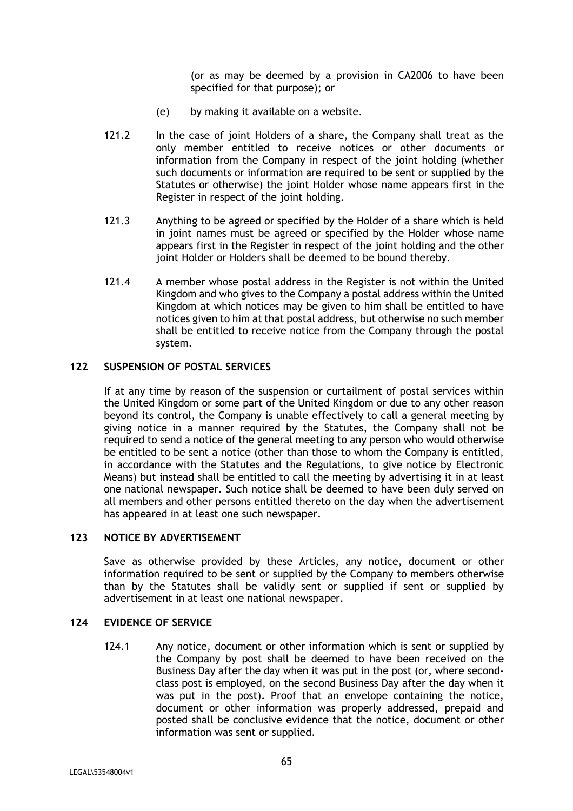(or as may be deemed by a provision in CA2006 to have been specified for that purpose); or

- (e) by making it available on a website.
- 121.2 In the case of joint Holders of a share, the Company shall treat as the only member entitled to receive notices or other documents or information from the Company in respect of the joint holding (whether such documents or information are required to be sent or supplied by the Statutes or otherwise) the joint Holder whose name appears first in the Register in respect of the joint holding.
- 121.3 Anything to be agreed or specified by the Holder of a share which is held in joint names must be agreed or specified by the Holder whose name appears first in the Register in respect of the joint holding and the other joint Holder or Holders shall be deemed to be bound thereby.
- 121.4 A member whose postal address in the Register is not within the United Kingdom and who gives to the Company a postal address within the United Kingdom at which notices may be given to him shall be entitled to have notices given to him at that postal address, but otherwise no such member shall be entitled to receive notice from the Company through the postal system.

# **122 SUSPENSION OF POSTAL SERVICES**

If at any time by reason of the suspension or curtailment of postal services within the United Kingdom or some part of the United Kingdom or due to any other reason beyond its control, the Company is unable effectively to call a general meeting by giving notice in a manner required by the Statutes, the Company shall not be required to send a notice of the general meeting to any person who would otherwise be entitled to be sent a notice (other than those to whom the Company is entitled, in accordance with the Statutes and the Regulations, to give notice by Electronic Means) but instead shall be entitled to call the meeting by advertising it in at least one national newspaper. Such notice shall be deemed to have been duly served on all members and other persons entitled thereto on the day when the advertisement has appeared in at least one such newspaper.

## **123 NOTICE BY ADVERTISEMENT**

Save as otherwise provided by these Articles, any notice, document or other information required to be sent or supplied by the Company to members otherwise than by the Statutes shall be validly sent or supplied if sent or supplied by advertisement in at least one national newspaper.

#### **124 EVIDENCE OF SERVICE**

124.1 Any notice, document or other information which is sent or supplied by the Company by post shall be deemed to have been received on the Business Day after the day when it was put in the post (or, where secondclass post is employed, on the second Business Day after the day when it was put in the post). Proof that an envelope containing the notice, document or other information was properly addressed, prepaid and posted shall be conclusive evidence that the notice, document or other information was sent or supplied.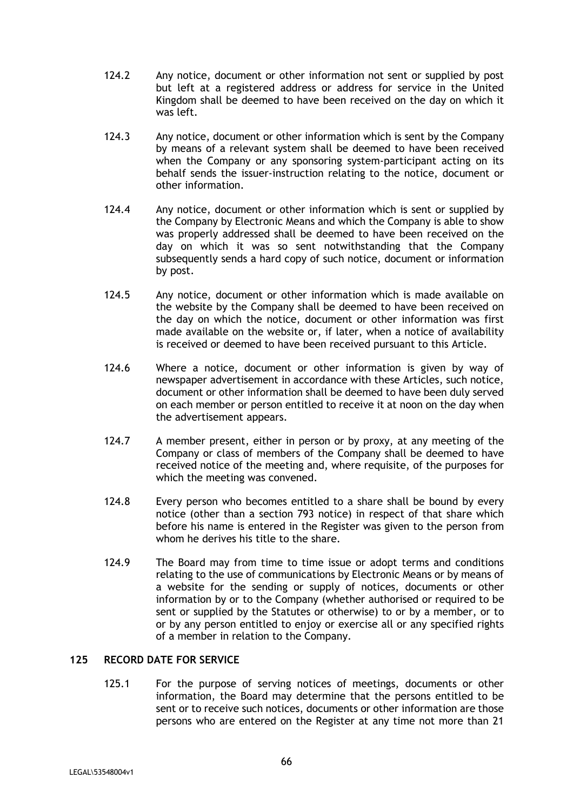- 124.2 Any notice, document or other information not sent or supplied by post but left at a registered address or address for service in the United Kingdom shall be deemed to have been received on the day on which it was left.
- 124.3 Any notice, document or other information which is sent by the Company by means of a relevant system shall be deemed to have been received when the Company or any sponsoring system-participant acting on its behalf sends the issuer-instruction relating to the notice, document or other information.
- 124.4 Any notice, document or other information which is sent or supplied by the Company by Electronic Means and which the Company is able to show was properly addressed shall be deemed to have been received on the day on which it was so sent notwithstanding that the Company subsequently sends a hard copy of such notice, document or information by post.
- 124.5 Any notice, document or other information which is made available on the website by the Company shall be deemed to have been received on the day on which the notice, document or other information was first made available on the website or, if later, when a notice of availability is received or deemed to have been received pursuant to this Article.
- 124.6 Where a notice, document or other information is given by way of newspaper advertisement in accordance with these Articles, such notice, document or other information shall be deemed to have been duly served on each member or person entitled to receive it at noon on the day when the advertisement appears.
- 124.7 A member present, either in person or by proxy, at any meeting of the Company or class of members of the Company shall be deemed to have received notice of the meeting and, where requisite, of the purposes for which the meeting was convened.
- 124.8 Every person who becomes entitled to a share shall be bound by every notice (other than a section 793 notice) in respect of that share which before his name is entered in the Register was given to the person from whom he derives his title to the share.
- 124.9 The Board may from time to time issue or adopt terms and conditions relating to the use of communications by Electronic Means or by means of a website for the sending or supply of notices, documents or other information by or to the Company (whether authorised or required to be sent or supplied by the Statutes or otherwise) to or by a member, or to or by any person entitled to enjoy or exercise all or any specified rights of a member in relation to the Company.

# **125 RECORD DATE FOR SERVICE**

125.1 For the purpose of serving notices of meetings, documents or other information, the Board may determine that the persons entitled to be sent or to receive such notices, documents or other information are those persons who are entered on the Register at any time not more than 21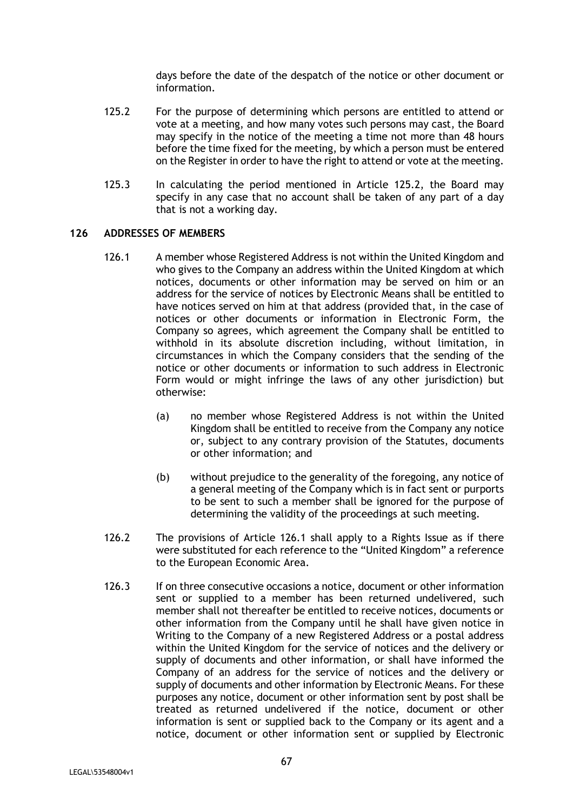days before the date of the despatch of the notice or other document or information.

- 125.2 For the purpose of determining which persons are entitled to attend or vote at a meeting, and how many votes such persons may cast, the Board may specify in the notice of the meeting a time not more than 48 hours before the time fixed for the meeting, by which a person must be entered on the Register in order to have the right to attend or vote at the meeting.
- 125.3 In calculating the period mentioned in Article 125.2, the Board may specify in any case that no account shall be taken of any part of a day that is not a working day.

## **126 ADDRESSES OF MEMBERS**

- 126.1 A member whose Registered Address is not within the United Kingdom and who gives to the Company an address within the United Kingdom at which notices, documents or other information may be served on him or an address for the service of notices by Electronic Means shall be entitled to have notices served on him at that address (provided that, in the case of notices or other documents or information in Electronic Form, the Company so agrees, which agreement the Company shall be entitled to withhold in its absolute discretion including, without limitation, in circumstances in which the Company considers that the sending of the notice or other documents or information to such address in Electronic Form would or might infringe the laws of any other jurisdiction) but otherwise:
	- (a) no member whose Registered Address is not within the United Kingdom shall be entitled to receive from the Company any notice or, subject to any contrary provision of the Statutes, documents or other information; and
	- (b) without prejudice to the generality of the foregoing, any notice of a general meeting of the Company which is in fact sent or purports to be sent to such a member shall be ignored for the purpose of determining the validity of the proceedings at such meeting.
- 126.2 The provisions of Article 126.1 shall apply to a Rights Issue as if there were substituted for each reference to the "United Kingdom" a reference to the European Economic Area.
- 126.3 If on three consecutive occasions a notice, document or other information sent or supplied to a member has been returned undelivered, such member shall not thereafter be entitled to receive notices, documents or other information from the Company until he shall have given notice in Writing to the Company of a new Registered Address or a postal address within the United Kingdom for the service of notices and the delivery or supply of documents and other information, or shall have informed the Company of an address for the service of notices and the delivery or supply of documents and other information by Electronic Means. For these purposes any notice, document or other information sent by post shall be treated as returned undelivered if the notice, document or other information is sent or supplied back to the Company or its agent and a notice, document or other information sent or supplied by Electronic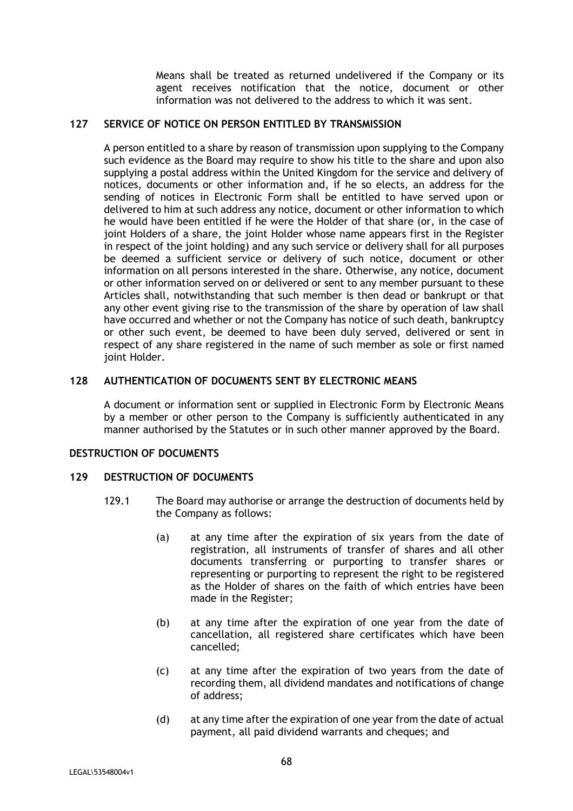Means shall be treated as returned undelivered if the Company or its agent receives notification that the notice, document or other information was not delivered to the address to which it was sent.

# **127 SERVICE OF NOTICE ON PERSON ENTITLED BY TRANSMISSION**

A person entitled to a share by reason of transmission upon supplying to the Company such evidence as the Board may require to show his title to the share and upon also supplying a postal address within the United Kingdom for the service and delivery of notices, documents or other information and, if he so elects, an address for the sending of notices in Electronic Form shall be entitled to have served upon or delivered to him at such address any notice, document or other information to which he would have been entitled if he were the Holder of that share (or, in the case of joint Holders of a share, the joint Holder whose name appears first in the Register in respect of the joint holding) and any such service or delivery shall for all purposes be deemed a sufficient service or delivery of such notice, document or other information on all persons interested in the share. Otherwise, any notice, document or other information served on or delivered or sent to any member pursuant to these Articles shall, notwithstanding that such member is then dead or bankrupt or that any other event giving rise to the transmission of the share by operation of law shall have occurred and whether or not the Company has notice of such death, bankruptcy or other such event, be deemed to have been duly served, delivered or sent in respect of any share registered in the name of such member as sole or first named joint Holder.

# **128 AUTHENTICATION OF DOCUMENTS SENT BY ELECTRONIC MEANS**

A document or information sent or supplied in Electronic Form by Electronic Means by a member or other person to the Company is sufficiently authenticated in any manner authorised by the Statutes or in such other manner approved by the Board.

# **DESTRUCTION OF DOCUMENTS**

#### **129 DESTRUCTION OF DOCUMENTS**

- 129.1 The Board may authorise or arrange the destruction of documents held by the Company as follows:
	- (a) at any time after the expiration of six years from the date of registration, all instruments of transfer of shares and all other documents transferring or purporting to transfer shares or representing or purporting to represent the right to be registered as the Holder of shares on the faith of which entries have been made in the Register;
	- (b) at any time after the expiration of one year from the date of cancellation, all registered share certificates which have been cancelled;
	- (c) at any time after the expiration of two years from the date of recording them, all dividend mandates and notifications of change of address;
	- (d) at any time after the expiration of one year from the date of actual payment, all paid dividend warrants and cheques; and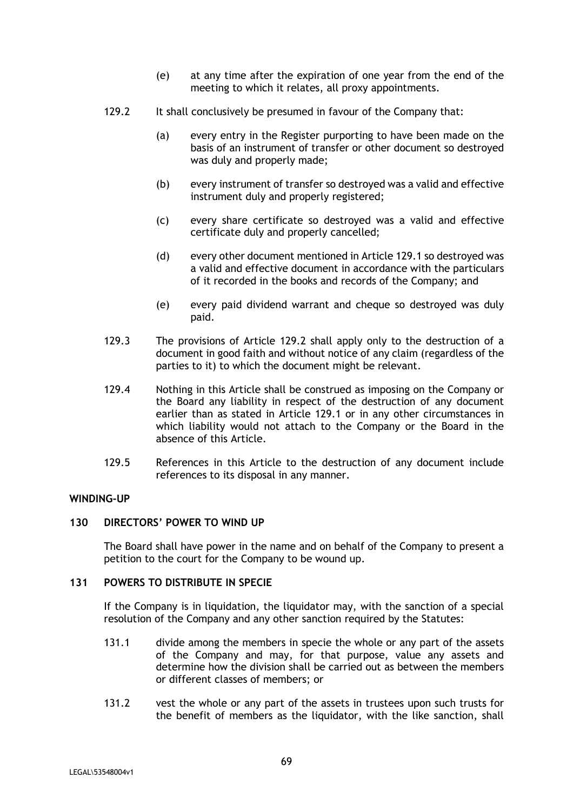- (e) at any time after the expiration of one year from the end of the meeting to which it relates, all proxy appointments.
- 129.2 It shall conclusively be presumed in favour of the Company that:
	- (a) every entry in the Register purporting to have been made on the basis of an instrument of transfer or other document so destroyed was duly and properly made;
	- (b) every instrument of transfer so destroyed was a valid and effective instrument duly and properly registered;
	- (c) every share certificate so destroyed was a valid and effective certificate duly and properly cancelled;
	- (d) every other document mentioned in Article 129.1 so destroyed was a valid and effective document in accordance with the particulars of it recorded in the books and records of the Company; and
	- (e) every paid dividend warrant and cheque so destroyed was duly paid.
- 129.3 The provisions of Article 129.2 shall apply only to the destruction of a document in good faith and without notice of any claim (regardless of the parties to it) to which the document might be relevant.
- 129.4 Nothing in this Article shall be construed as imposing on the Company or the Board any liability in respect of the destruction of any document earlier than as stated in Article 129.1 or in any other circumstances in which liability would not attach to the Company or the Board in the absence of this Article.
- 129.5 References in this Article to the destruction of any document include references to its disposal in any manner.

#### **WINDING-UP**

## **130 DIRECTORS' POWER TO WIND UP**

The Board shall have power in the name and on behalf of the Company to present a petition to the court for the Company to be wound up.

#### **131 POWERS TO DISTRIBUTE IN SPECIE**

If the Company is in liquidation, the liquidator may, with the sanction of a special resolution of the Company and any other sanction required by the Statutes:

- 131.1 divide among the members in specie the whole or any part of the assets of the Company and may, for that purpose, value any assets and determine how the division shall be carried out as between the members or different classes of members; or
- 131.2 vest the whole or any part of the assets in trustees upon such trusts for the benefit of members as the liquidator, with the like sanction, shall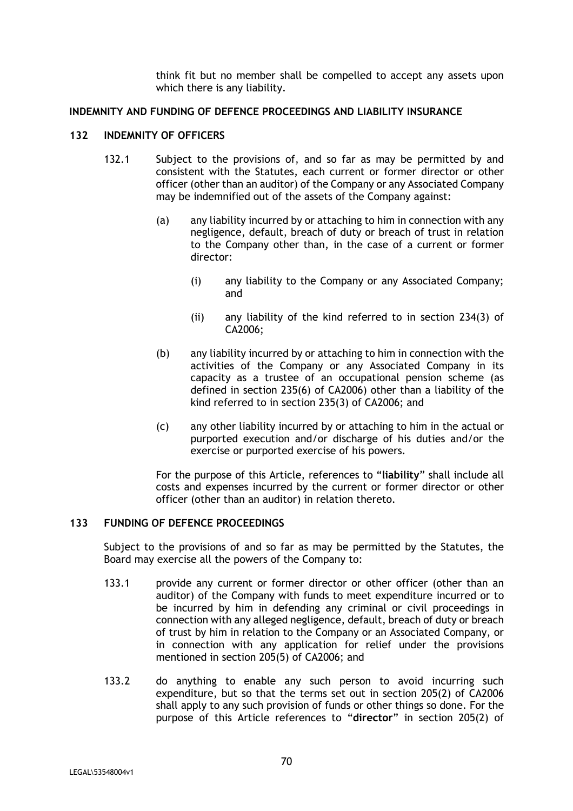think fit but no member shall be compelled to accept any assets upon which there is any liability.

#### **INDEMNITY AND FUNDING OF DEFENCE PROCEEDINGS AND LIABILITY INSURANCE**

### **132 INDEMNITY OF OFFICERS**

- 132.1 Subject to the provisions of, and so far as may be permitted by and consistent with the Statutes, each current or former director or other officer (other than an auditor) of the Company or any Associated Company may be indemnified out of the assets of the Company against:
	- (a) any liability incurred by or attaching to him in connection with any negligence, default, breach of duty or breach of trust in relation to the Company other than, in the case of a current or former director:
		- (i) any liability to the Company or any Associated Company; and
		- (ii) any liability of the kind referred to in section 234(3) of CA2006;
	- (b) any liability incurred by or attaching to him in connection with the activities of the Company or any Associated Company in its capacity as a trustee of an occupational pension scheme (as defined in section 235(6) of CA2006) other than a liability of the kind referred to in section 235(3) of CA2006; and
	- (c) any other liability incurred by or attaching to him in the actual or purported execution and/or discharge of his duties and/or the exercise or purported exercise of his powers.

For the purpose of this Article, references to "**liability**" shall include all costs and expenses incurred by the current or former director or other officer (other than an auditor) in relation thereto.

# **133 FUNDING OF DEFENCE PROCEEDINGS**

Subject to the provisions of and so far as may be permitted by the Statutes, the Board may exercise all the powers of the Company to:

- 133.1 provide any current or former director or other officer (other than an auditor) of the Company with funds to meet expenditure incurred or to be incurred by him in defending any criminal or civil proceedings in connection with any alleged negligence, default, breach of duty or breach of trust by him in relation to the Company or an Associated Company, or in connection with any application for relief under the provisions mentioned in section 205(5) of CA2006; and
- 133.2 do anything to enable any such person to avoid incurring such expenditure, but so that the terms set out in section 205(2) of CA2006 shall apply to any such provision of funds or other things so done. For the purpose of this Article references to "**director**" in section 205(2) of